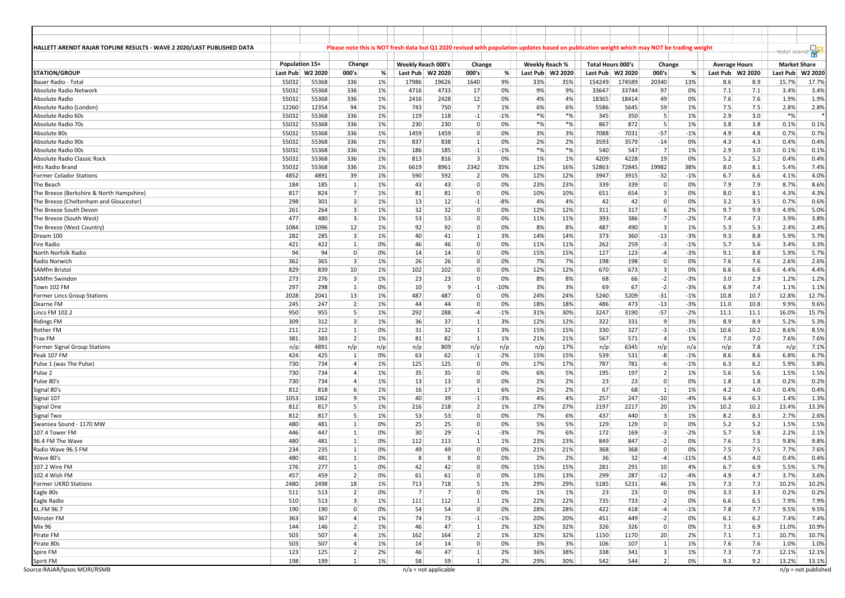| HALLETT ARENDT RAJAR TOPLINE RESULTS - WAVE 2 2020/LAST PUBLISHED DATA |       |                    |                         |     |          |                              |                |        |                |         | Please note this is NOT fresh data but Q1 2020 revised with population updates based on publication weight which may NOT be trading weight |         |                         |        |                      |      |                     | Hallet Arendt                  |
|------------------------------------------------------------------------|-------|--------------------|-------------------------|-----|----------|------------------------------|----------------|--------|----------------|---------|--------------------------------------------------------------------------------------------------------------------------------------------|---------|-------------------------|--------|----------------------|------|---------------------|--------------------------------|
|                                                                        |       | Population 15+     | Change                  |     |          | Weekly Reach 000's           | Change         |        | Weekly Reach % |         | <b>Total Hours 000's</b>                                                                                                                   |         | Change                  |        | <b>Average Hours</b> |      | <b>Market Share</b> |                                |
| <b>STATION/GROUP</b>                                                   |       | Last Pub   W2 2020 | 000's                   | %   | Last Pub | W2 2020                      | 000's          | %      | Last Pub       | W2 2020 | Last Pub                                                                                                                                   | W2 2020 | 000's                   | %      | Last Pub   W2 2020   |      | Last Pub            | W2 2020                        |
| Bauer Radio - Total                                                    | 55032 | 55368              | 336                     | 1%  | 17986    | 19626                        | 1640           | 9%     | 33%            | 35%     | 154249                                                                                                                                     | 174589  | 20340                   | 13%    | 8.6                  | 8.9  | 15.7%               | 17.7%                          |
| Absolute Radio Network                                                 | 55032 | 55368              | 336                     | 1%  | 4716     | 4733                         | 17             | 0%     | 9%             | 9%      | 33647                                                                                                                                      | 33744   | 97                      | 0%     | 7.1                  | 7.1  | 3.4%                | 3.4%                           |
| Absolute Radio                                                         | 55032 | 55368              | 336                     | 1%  | 2416     | 2428                         | 12             | 0%     | 4%             | 4%      | 18365                                                                                                                                      | 18414   | 49                      | 0%     | 7.6                  | 7.6  | 1.9%                | 1.9%                           |
| Absolute Radio (London)                                                | 12260 | 12354              | 94                      | 1%  | 743      | 750                          | $\overline{7}$ | 1%     | 6%             | 6%      | 5586                                                                                                                                       | 5645    | 59                      | 1%     | 7.5                  | 7.5  | 2.8%                | 2.8%                           |
| Absolute Radio 60s                                                     | 55032 | 55368              | 336                     | 1%  | 119      | 118                          | $-1$           | $-1%$  | $*$ %          | $*$ %   | 345                                                                                                                                        | 350     | 5                       | 1%     | 2.9                  | 3.0  | $*$ %               |                                |
| Absolute Radio 70s                                                     | 55032 | 55368              | 336                     | 1%  | 230      | 230                          | $\mathbf{0}$   | 0%     | $*_{\%}$       | $*%$    | 867                                                                                                                                        | 872     | 5                       | 1%     | 3.8                  | 3.8  | 0.1%                | 0.1%                           |
| Absolute 80s                                                           | 55032 | 55368              | 336                     | 1%  | 1459     | 1459                         | $\overline{0}$ | 0%     | 3%             | 3%      | 7088                                                                                                                                       | 7031    | $-57$                   | $-1%$  | 4.9                  | 4.8  | 0.7%                | 0.7%                           |
| Absolute Radio 90s                                                     | 55032 | 55368              | 336                     | 1%  | 837      | 838                          | $1\vert$       | 0%     | 2%             | 2%      | 3593                                                                                                                                       | 3579    | $-14$                   | 0%     | 4.3                  | 4.3  | 0.4%                | 0.4%                           |
| Absolute Radio 00s                                                     | 55032 | 55368              | 336                     | 1%  | 186      | 185                          | $-1$           | $-1%$  | $*_{\%}$       | $*%$    | 540                                                                                                                                        | 547     | $\overline{7}$          | 1%     | 2.9                  | 3.0  | 0.1%                | 0.1%                           |
| Absolute Radio Classic Rock                                            | 55032 | 55368              | 336                     | 1%  | 813      | 816                          | 3              | 0%     | 1%             | 1%      | 4209                                                                                                                                       | 4228    | 19                      | 0%     | 5.2                  | 5.2  | 0.4%                | 0.4%                           |
| Hits Radio Brand                                                       | 55032 | 55368              | 336                     | 1%  | 6619     | 8961                         | 2342           | 35%    | 12%            | 16%     | 52863                                                                                                                                      | 72845   | 19982                   | 38%    | 8.0                  | 8.1  | 5.4%                | 7.4%                           |
| Former Celador Stations                                                | 4852  | 4891               | 39                      | 1%  | 590      | 592                          | $\overline{2}$ | 0%     | 12%            | 12%     | 3947                                                                                                                                       | 3915    | $-32$                   | $-1%$  | 6.7                  | 6.6  | 4.1%                | 4.0%                           |
| The Beach                                                              | 184   | 185                | 1                       | 1%  | 43       | 43                           | $\mathbf{0}$   | 0%     | 23%            | 23%     | 339                                                                                                                                        | 339     | 0                       | 0%     | 7.9                  | 7.9  | 8.7%                | 8.6%                           |
| The Breeze (Berkshire & North Hampshire)                               | 817   | 824                | $\overline{7}$          | 1%  | 81       | 81                           | $\mathbf{0}$   | 0%     | 10%            | 10%     | 651                                                                                                                                        | 654     | $\overline{3}$          | 0%     | 8.0                  | 8.1  | 4.3%                | 4.3%                           |
| The Breeze (Cheltenham and Gloucester)                                 | 298   | 301                | $\overline{\mathbf{3}}$ | 1%  | 13       | 12                           | $-1$           | -8%    | 4%             | 4%      | 42                                                                                                                                         | 42      | $\overline{0}$          | 0%     | 3.2                  | 3.5  | 0.7%                | 0.6%                           |
| The Breeze South Devon                                                 | 261   | 264                | $\overline{\mathbf{3}}$ | 1%  | 32       | 32                           | 0              | 0%     | 12%            | 12%     | 311                                                                                                                                        | 317     | 6                       | 2%     | 9.7                  | 9.9  | 4.9%                | 5.0%                           |
| The Breeze (South West)                                                | 477   | 480                | $\overline{3}$          | 1%  | 53       | 53                           | $\Omega$       | 0%     | 11%            | 11%     | 393                                                                                                                                        | 386     | $-7$                    | $-2%$  | 7.4                  | 7.3  | 3.9%                | 3.8%                           |
| The Breeze (West Country)                                              | 1084  | 1096               | 12                      | 1%  | 92       | 92                           | $\mathbf{0}$   | 0%     | 8%             | 8%      | 487                                                                                                                                        | 490     | $\overline{\mathbf{3}}$ | 1%     | 5.3                  | 5.3  | 2.4%                | 2.4%                           |
| Dream 100                                                              | 282   | 285                | $\overline{\mathbf{3}}$ | 1%  | 40       | 41                           | $1\vert$       | 3%     | 14%            | 14%     | 373                                                                                                                                        | 360     | $-13$                   | $-3%$  | 9.3                  | 8.8  | 5.9%                | 5.7%                           |
| Fire Radio                                                             | 421   | 422                | $\mathbf{1}$            | 0%  | 46       | 46                           | $\mathbf{0}$   | 0%     | 11%            | 11%     | 262                                                                                                                                        | 259     | $-3$                    | $-1%$  | 5.7                  | 5.6  | 3.4%                | 3.3%                           |
| North Norfolk Radio                                                    | 94    | 94                 | $\mathbf 0$             | 0%  | 14       | 14                           | $\overline{0}$ | 0%     | 15%            | 15%     | 127                                                                                                                                        | 123     | $-4$                    | $-3%$  | 9.1                  | 8.8  | 5.9%                | 5.7%                           |
| Radio Norwich                                                          | 362   | 365                | $\overline{\mathbf{3}}$ | 1%  | 26       | 26                           | 0              | 0%     | 7%             | 7%      | 198                                                                                                                                        | 198     | 0                       | 0%     | 7.6                  | 7.6  | 2.6%                | 2.6%                           |
| <b>SAMfm Bristol</b>                                                   | 829   | 839                | 10                      | 1%  | 102      | 102                          | 0              | 0%     | 12%            | 12%     | 670                                                                                                                                        | 673     | 3                       | 0%     | 6.6                  | 6.6  | 4.4%                | 4.4%                           |
| <b>SAMfm Swindon</b>                                                   | 273   | 276                | $\overline{\mathbf{3}}$ | 1%  | 23       | 23                           | 0              | 0%     | 8%             | 8%      | 68                                                                                                                                         | 66      | $-2$                    | $-3%$  | 3.0                  | 2.9  | 1.2%                | 1.2%                           |
| Town 102 FM                                                            | 297   | 298                | $\mathbf{1}$            | 0%  | 10       | 9                            | $-1$           | $-10%$ | 3%             | 3%      | 69                                                                                                                                         | 67      | $-2$                    | $-3%$  | 6.9                  | 7.4  | 1.1%                | 1.1%                           |
| <b>Former Lincs Group Stations</b>                                     | 2028  | 2041               | 13                      | 1%  | 487      | 487                          | $\overline{0}$ | 0%     | 24%            | 24%     | 5240                                                                                                                                       | 5209    | $-31$                   | $-1%$  | 10.8                 | 10.7 | 12.8%               | 12.7%                          |
| Dearne FM                                                              | 245   | 247                | $\overline{2}$          | 1%  | 44       | 44                           | $\mathbf{0}$   | 0%     | 18%            | 18%     | 486                                                                                                                                        | 473     | $-13$                   | $-3%$  | 11.0                 | 10.8 | 9.9%                | 9.6%                           |
| Lincs FM 102.2                                                         | 950   | 955                | 5                       | 1%  | 292      | 288                          | $-4$           | $-1%$  | 31%            | 30%     | 3247                                                                                                                                       | 3190    | $-57$                   | $-2%$  | 11.1                 | 11.1 | 16.0%               | 15.7%                          |
| <b>Ridings FM</b>                                                      | 309   | 312                | $\overline{\mathbf{3}}$ | 1%  | 36       | 37                           | 1              | 3%     | 12%            | 12%     | 322                                                                                                                                        | 331     | 9                       | 3%     | 8.9                  | 8.9  | 5.2%                | 5.3%                           |
| Rother FM                                                              | 211   | 212                | $\mathbf{1}$            | 0%  | 31       | 32                           | $\mathbf{1}$   | 3%     | 15%            | 15%     | 330                                                                                                                                        | 327     | $-3$                    | $-1%$  | 10.6                 | 10.2 | 8.6%                | 8.5%                           |
| <b>Trax FM</b>                                                         | 381   | 383                | $\overline{2}$          | 1%  | 81       | 82                           | $\mathbf{1}$   | 1%     | 21%            | 21%     | 567                                                                                                                                        | 571     | $\overline{4}$          | 1%     | 7.0                  | 7.0  | 7.6%                | 7.6%                           |
| Former Signal Group Stations                                           | n/p   | 4891               | n/p                     | n/p | n/p      | 809                          | n/p            | n/p    | n/p            | 17%     | n/p                                                                                                                                        | 6345    | n/p                     | n/a    | n/p                  | 7.8  | n/p                 | 7.1%                           |
| Peak 107 FM                                                            | 424   | 425                | 1                       | 0%  | 63       | 62                           | $-1$           | $-2%$  | 15%            | 15%     | 539                                                                                                                                        | 531     | -8                      | $-1%$  | 8.6                  | 8.6  | 6.8%                | 6.7%                           |
| Pulse 1 (was The Pulse)                                                | 730   | 734                | $\overline{4}$          | 1%  | 125      | 125                          | 0              | 0%     | 17%            | 17%     | 787                                                                                                                                        | 781     | $-6$                    | $-1%$  | 6.3                  | 6.2  | 5.9%                | 5.8%                           |
| Pulse <sub>2</sub>                                                     | 730   | 734                | $\overline{4}$          | 1%  | 35       | 35                           | $\Omega$       | 0%     | 6%             | 5%      | 195                                                                                                                                        | 197     | $\overline{2}$          | 1%     | 5.6                  | 5.6  | 1.5%                | 1.5%                           |
| Pulse 80's                                                             | 730   | 734                | $\overline{4}$          | 1%  | 13       | 13                           | 0              | 0%     | 2%             | 2%      | 23                                                                                                                                         | 23      | $\mathbf 0$             | 0%     | 1.8                  | 1.8  | 0.2%                | 0.2%                           |
| Signal 80's                                                            | 812   | 818                | 6                       | 1%  | 16       | 17                           | $\mathbf{1}$   | 6%     | 2%             | 2%      | 67                                                                                                                                         | 68      | 1                       | 1%     | 4.2                  | 4.0  | 0.4%                | 0.4%                           |
| Signal 107                                                             | 1053  | 1062               | 9                       | 1%  | 40       | 39                           | $-1$           | -3%    | 4%             | 4%      | 257                                                                                                                                        | 247     | $-10$                   | $-4%$  | 6.4                  | 6.3  | 1.4%                | 1.3%                           |
| Signal One                                                             | 812   | 817                | 5                       | 1%  | 216      | 218                          | 2              | 1%     | 27%            | 27%     | 2197                                                                                                                                       | 2217    | 20                      | 1%     | 10.2                 | 10.2 | 13.4%               | 13.3%                          |
| Signal Two                                                             | 812   | 817                | 5                       | 1%  | 53       | 53                           | $\overline{0}$ | 0%     | 7%             | 6%      | 437                                                                                                                                        | 440     | $\overline{3}$          | 1%     | 8.2                  | 8.3  | 2.7%                | 2.6%                           |
| Swansea Sound - 1170 MW                                                | 480   | 481                | $\mathbf{1}$            | 0%  | 25       | 25                           | 0              | 0%     | 5%             | 5%      | 129                                                                                                                                        | 129     | $\overline{0}$          | 0%     | 5.2                  | 5.2  | 1.5%                | 1.5%                           |
| 107.4 Tower FM                                                         | 446   | 447                | $\mathbf{1}$            | 0%  | 30       | 29                           | $-1$           | -3%    | 7%             | 6%      | 172                                                                                                                                        | 169     | -3                      | $-2%$  | 5.7                  | 5.8  | 2.2%                | 2.1%                           |
| 96.4 FM The Wave                                                       | 480   | 481                | $\mathbf{1}$            | 0%  | 112      | 113                          | $1\vert$       | 1%     | 23%            | 23%     | 849                                                                                                                                        | 847     | $-2$                    | 0%     | 7.6                  | 7.5  | 9.8%                | 9.8%                           |
| Radio Wave 96.5 FM                                                     | 234   | 235                | 1                       | 0%  | 49       | 49                           | $\mathbf{0}$   | 0%     | 21%            | 21%     | 368                                                                                                                                        | 368     | 0                       | 0%     | 7.5                  | 7.5  | 7.7%                | 7.6%                           |
| Wave 80's                                                              | 480   | 481                | 1                       | 0%  | 8        | 8                            | $\Omega$       | 0%     | 2%             | 2%      | 36                                                                                                                                         | 32      | $-4$                    | $-11%$ | 4.5                  | 4.0  | 0.4%                | 0.4%                           |
| 107.2 Wire FM                                                          | 276   | 277                | $\mathbf{1}$            | 0%  | 42       | 42                           | $\mathbf{0}$   | 0%     | 15%            | 15%     | 281                                                                                                                                        | 291     | 10                      | 4%     | 6.7                  | 6.9  | 5.5%                | 5.7%                           |
| 102.4 Wish FM                                                          | 457   | 459                | 2                       | 0%  | 61       | 61                           | 0              | 0%     | 13%            | 13%     | 299                                                                                                                                        | 287     | $-12$                   | $-4%$  | 4.9                  | 4.7  | 3.7%                | 3.6%                           |
| <b>Former UKRD Stations</b>                                            | 2480  | 2498               | 18                      | 1%  | 713      | 718                          | 5 <sup>1</sup> | 1%     | 29%            | 29%     | 5185                                                                                                                                       | 5231    | 46                      | 1%     | 7.3                  | 7.3  | 10.2%               | 10.2%                          |
| Eagle 80s                                                              | 511   | 513                | $\overline{2}$          | 0%  | 7        | $\overline{7}$               | $\overline{0}$ | 0%     | 1%             | 1%      | 23                                                                                                                                         | 23      | 0                       | 0%     | 3.3                  | 3.3  | 0.2%                | 0.2%                           |
| Eagle Radio                                                            | 510   | 513                | $\overline{\mathbf{3}}$ | 1%  | 111      | 112                          | $1\vert$       | 1%     | 22%            | 22%     | 735                                                                                                                                        | 733     | $-2$                    | 0%     | 6.6                  | 6.5  | 7.9%                | 7.9%                           |
| KL.FM 96.7                                                             | 190   | 190                | $\pmb{0}$               | 0%  | 54       | 54                           | $\mathbf{0}$   | 0%     | 28%            | 28%     | 422                                                                                                                                        | 418     | $-4$                    | $-1%$  | 7.8                  | 7.7  | 9.5%                | 9.5%                           |
| Minster FM                                                             | 363   | 367                | $\overline{4}$          | 1%  | 74       | 73                           | $-1$           |        | 20%            | 20%     | 451                                                                                                                                        | 449     | $-2$                    | 0%     | 6.1                  | 6.2  | 7.4%                | 7.4%                           |
|                                                                        |       |                    |                         |     |          |                              |                | $-1%$  |                |         |                                                                                                                                            |         |                         |        |                      |      |                     |                                |
| <b>Mix 96</b>                                                          | 144   | 146                | $\overline{2}$          | 1%  | 46       | 47                           | $1\vert$       | 2%     | 32%            | 32%     | 326                                                                                                                                        | 326     | $\overline{0}$          | 0%     | 7.1                  | 6.9  | 11.0%               | 10.9%                          |
| Pirate FM                                                              | 503   | 507                | $\overline{4}$          | 1%  | 162      | 164                          | $2 \vert$      | 1%     | 32%            | 32%     | 1150                                                                                                                                       | 1170    | 20                      | 2%     | 7.1                  | 7.1  | 10.7%               | 10.7%                          |
| Pirate 80s                                                             | 503   | 507                | $\overline{4}$          | 1%  | 14       | 14                           | $\mathbf{0}$   | 0%     | 3%             | 3%      | 106                                                                                                                                        | 107     | $\vert$ 1               | 1%     | 7.6                  | 7.6  | 1.0%                | 1.0%                           |
| Spire FM                                                               | 123   | 125                | $\overline{2}$          | 2%  | 46       | 47                           | $1\vert$       | 2%     | 36%            | 38%     | 338                                                                                                                                        | 341     | $\vert$ 3               | 1%     | 7.3                  | 7.3  | 12.1%               | 12.1%                          |
| Spirit FM<br>Source: RAJAR/Ipsos MORI/RSMB                             | 198   | 199                | 1                       | 1%  | 58       | 59<br>$n/a = not applicable$ | 1              | 2%     | 29%            | 30%     | 542                                                                                                                                        | 544     | $\overline{2}$          | 0%     | 9.3                  | 9.2  | 13.2%               | 13.1%<br>$n/p$ = not published |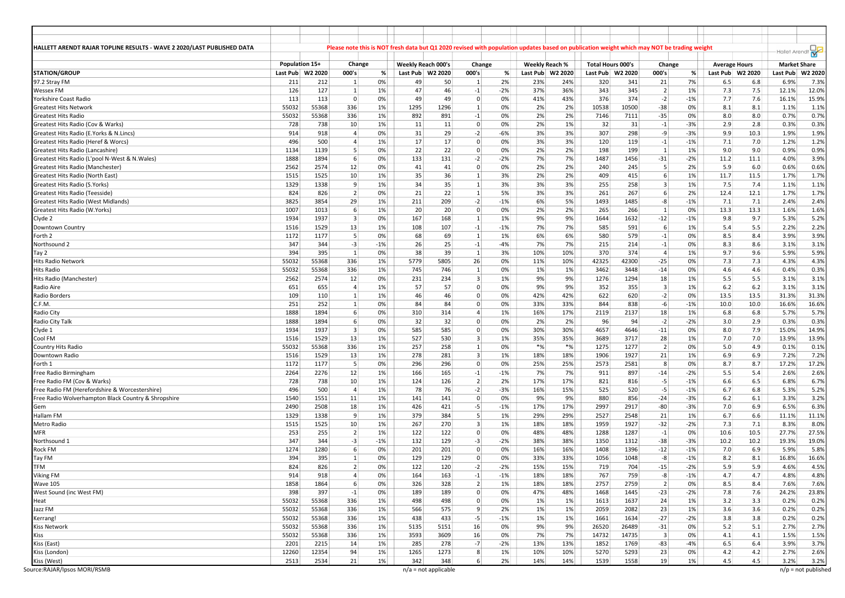| HALLETT ARENDT RAJAR TOPLINE RESULTS - WAVE 2 2020/LAST PUBLISHED DATA |            |                    |                         |       | Please note this is NOT fresh data but Q1 2020 revised with population updates based on publication weight which may NOT be trading weight |                        |                     |       |                |         |                          |         |                         |       |                      |      |                     |                       |
|------------------------------------------------------------------------|------------|--------------------|-------------------------|-------|--------------------------------------------------------------------------------------------------------------------------------------------|------------------------|---------------------|-------|----------------|---------|--------------------------|---------|-------------------------|-------|----------------------|------|---------------------|-----------------------|
|                                                                        |            |                    |                         |       |                                                                                                                                            |                        |                     |       |                |         |                          |         |                         |       |                      |      | Hallet Arendt       |                       |
|                                                                        |            | Population 15+     | Change                  |       | <b>Weekly Reach 000's</b>                                                                                                                  |                        | Change              |       | Weekly Reach % |         | <b>Total Hours 000's</b> |         | Change                  |       | <b>Average Hours</b> |      | <b>Market Share</b> |                       |
| <b>STATION/GROUP</b>                                                   |            | Last Pub   W2 2020 | 000's                   | %     |                                                                                                                                            | Last Pub W2 2020       | 000's               | %     | Last Pub       | W2 2020 | Last Pub                 | W2 2020 | 000's                   | %     | Last Pub W2 2020     |      | Last Pub            | W2 2020               |
| 97.2 Stray FM                                                          | 211        | 212                | 1                       | 0%    | 49                                                                                                                                         | 50                     | 1                   | 2%    | 23%            | 24%     | 320                      | 341     | 21                      | 7%    | 6.5                  | 6.8  | 6.9%                | 7.3%                  |
| <b>Wessex FM</b>                                                       | 126        | 127                | $\mathbf{1}$            | 1%    | 47                                                                                                                                         | 46                     | $-1$                | $-2%$ | 37%            | 36%     | 343                      | 345     | $\vert$ 2               | 1%    | 7.3                  | 7.5  | 12.1%               | 12.0%                 |
| Yorkshire Coast Radio                                                  | 113        | 113                | $\mathbf 0$             | 0%    | 49                                                                                                                                         | 49                     | $\Omega$            | 0%    | 41%            | 43%     | 376                      | 374     | $-2$                    | $-1%$ | 7.7                  | 7.6  | 16.1%               | 15.9%                 |
| <b>Greatest Hits Network</b>                                           | 55032      | 55368              | 336                     | 1%    | 1295                                                                                                                                       | 1296                   | $1\vert$            | 0%    | 2%             | 2%      | 10538                    | 10500   | $-38$                   | 0%    | 8.1                  | 8.1  | 1.1%                | 1.1%                  |
| Greatest Hits Radio                                                    | 55032      | 55368              | 336                     | 1%    | 892                                                                                                                                        | 891                    | $-1$                | 0%    | 2%             | 2%      | 7146                     | 7111    | $-35$                   | 0%    | 8.0                  | 8.0  | 0.7%                | 0.7%                  |
| Greatest Hits Radio (Cov & Warks)                                      | 728        | 738                | 10                      | 1%    | 11                                                                                                                                         | 11                     | $\mathbf{0}$        | 0%    | 2%             | 1%      | 32                       | 31      | $^{\mbox{-}1}$          | $-3%$ | 2.9                  | 2.8  | 0.3%                | 0.3%                  |
| Greatest Hits Radio (E.Yorks & N.Lincs)                                | 914        | 918                | $\overline{4}$          | 0%    | 31                                                                                                                                         | 29                     | $-2$                | -6%   | 3%             | 3%      | 307                      | 298     | -9                      | $-3%$ | 9.9                  | 10.3 | 1.9%                | 1.9%                  |
| Greatest Hits Radio (Heref & Worcs)                                    | 496        | 500                | $\overline{4}$          | 1%    | 17                                                                                                                                         | 17                     | 0                   | 0%    | 3%             | 3%      | 120                      | 119     | $-1$                    | $-1%$ | 7.1                  | 7.0  | 1.2%                | 1.2%                  |
| Greatest Hits Radio (Lancashire)                                       | 1134       | 1139               | 5                       | 0%    | 22                                                                                                                                         | 22                     | $\Omega$            | 0%    | 2%             | 2%      | 198                      | 199     | 1                       | 1%    | 9.0                  | 9.0  | 0.9%                | 0.9%                  |
| Greatest Hits Radio (L'pool N-West & N.Wales)                          | 1888       | 1894               | 6                       | 0%    | 133                                                                                                                                        | 131                    | $-2$                | $-2%$ | 7%             | 7%      | 1487                     | 1456    | $-31$                   | $-2%$ | 11.2                 | 11.1 | 4.0%                | 3.9%                  |
| Greatest Hits Radio (Manchester)                                       | 2562       | 2574               | 12                      | 0%    | 41                                                                                                                                         | 41                     | $\mathbf{0}$        | 0%    | 2%             | 2%      | 240                      | 245     | 5                       | 2%    | 5.9                  | 6.0  | 0.6%                | 0.6%                  |
| Greatest Hits Radio (North East)                                       | 1515       | 1525               | 10                      | 1%    | 35                                                                                                                                         | 36                     | $1\vert$            | 3%    | 2%             | 2%      | 409                      | 415     | 6                       | 1%    | 11.7                 | 11.5 | 1.7%                | 1.7%                  |
| Greatest Hits Radio (S.Yorks)                                          | 1329       | 1338               | 9                       | 1%    | 34                                                                                                                                         | 35                     | 1                   | 3%    | 3%             | 3%      | 255                      | 258     | $\overline{3}$          | 1%    | 7.5                  | 7.4  | 1.1%                | 1.1%                  |
| Greatest Hits Radio (Teesside)                                         | 824        | 826                | $\overline{2}$          | 0%    | 21                                                                                                                                         | 22                     | $1\vert$            | 5%    | 3%             | 3%      | 261                      | 267     | 6                       | 2%    | 12.4                 | 12.1 | 1.7%                | 1.7%                  |
| Greatest Hits Radio (West Midlands)                                    | 3825       | 3854               | 29                      | 1%    | 211                                                                                                                                        | 209                    | $-2$                | $-1%$ | 6%             | 5%      | 1493                     | 1485    | -8                      | $-1%$ | 7.1                  | 7.1  | 2.4%                | 2.4%                  |
| Greatest Hits Radio (W.Yorks)                                          | 1007       | 1013               | 6                       | 1%    | 20                                                                                                                                         | 20 <sup>2</sup>        | $\overline{0}$      | 0%    | 2%             | 2%      | 265                      | 266     | 1                       | 0%    | 13.3                 | 13.3 | 1.6%                | 1.6%                  |
| Clyde 2                                                                | 1934       | 1937               | $\overline{\mathbf{3}}$ | 0%    | 167                                                                                                                                        | 168                    | $1\vert$            | 1%    | 9%             | 9%      | 1644                     | 1632    | $-12$                   | $-1%$ | 9.8                  | 9.7  | 5.3%                | 5.2%                  |
| Downtown Country                                                       | 1516       | 1529               | 13                      | 1%    | 108                                                                                                                                        | 107                    | $-1$                | $-1%$ | 7%             | 7%      | 585                      | 591     | -6                      | 1%    | 5.4                  | 5.5  | 2.2%                | 2.2%                  |
| Forth 2                                                                | 1172       | 1177               | 5                       | 0%    | 68                                                                                                                                         | 69                     | $\mathbf{1}$        | 1%    | 6%             | 6%      | 580                      | 579     | $-1$                    | 0%    | 8.5                  | 8.4  | 3.9%                | 3.9%                  |
| Northsound 2                                                           | 347        | 344                | $-3$                    | $-1%$ | 26                                                                                                                                         | 25                     | $-1$                | $-4%$ | 7%             | 7%      | 215                      | 214     | $^{\rm -1}$             | 0%    | 8.3                  | 8.6  | 3.1%                | 3.1%                  |
| Tay 2                                                                  | 394        | 395                | 1                       | 0%    | 38                                                                                                                                         | 39                     | 1                   | 3%    | 10%            | 10%     | 370                      | 374     | $\overline{4}$          | 1%    | 9.7                  | 9.6  | 5.9%                | 5.9%                  |
| Hits Radio Network                                                     | 55032      | 55368              | 336                     | 1%    | 5779                                                                                                                                       | 5805                   | 26                  | 0%    | 11%            | 10%     | 42325                    | 42300   | $-25$                   | 0%    | 7.3                  | 7.3  | 4.3%                | 4.3%                  |
| Hits Radio                                                             | 55032      | 55368              | 336                     | 1%    | 745                                                                                                                                        | 746                    | $\mathbf{1}$        | 0%    | 1%             | 1%      | 3462                     | 3448    | $-14$                   | 0%    | 4.6                  | 4.6  | 0.4%                | 0.3%                  |
| Hits Radio (Manchester)                                                | 2562       | 2574               | 12                      | 0%    | 231                                                                                                                                        | 234                    | 3 <sup>1</sup>      | 1%    | 9%             | 9%      | 1276                     | 1294    | 18                      | 1%    | 5.5                  | 5.5  | 3.1%                | 3.1%                  |
| Radio Aire                                                             |            | 655                | $\overline{4}$          | 1%    | 57                                                                                                                                         | 57                     | $\mathbf{0}$        | 0%    | 9%             | 9%      | 352                      | 355     | $\overline{\mathbf{3}}$ | 1%    | $6.2$                | 6.2  |                     | 3.1%                  |
| Radio Borders                                                          | 651<br>109 | 110                | $\mathbf{1}$            | 1%    | 46                                                                                                                                         | 46                     | $\mathbf{0}$        | 0%    | 42%            | 42%     | 622                      | 620     | $-2$                    | 0%    | 13.5                 | 13.5 | 3.1%<br>31.3%       | 31.3%                 |
|                                                                        | 251        | 252                | $\mathbf{1}$            | 0%    |                                                                                                                                            | 84                     | 0                   |       | 33%            | 33%     | 844                      |         |                         |       | 10.0                 | 10.0 |                     |                       |
| C.F.M.                                                                 |            |                    |                         |       | 84                                                                                                                                         |                        |                     | 0%    |                |         |                          | 838     | $-6$                    | $-1%$ |                      |      | 16.6%               | 16.6%                 |
| Radio City                                                             | 1888       | 1894               | 6                       | 0%    | 310                                                                                                                                        | 314                    | 4<br>$\overline{0}$ | 1%    | 16%            | 17%     | 2119                     | 2137    | 18                      | 1%    | 6.8                  | 6.8  | 5.7%                | 5.7%                  |
| Radio City Talk                                                        | 1888       | 1894               | 6                       | 0%    | 32                                                                                                                                         | 32                     |                     | 0%    | 2%             | 2%      | 96                       | 94      | $-2$                    | $-2%$ | 3.0                  | 2.9  | 0.3%                | 0.3%                  |
| Clyde 1                                                                | 1934       | 1937               | $\overline{\mathbf{3}}$ | 0%    | 585                                                                                                                                        | 585                    | $\mathbf{0}$        | 0%    | 30%            | 30%     | 4657                     | 4646    | $-11$                   | 0%    | 8.0                  | 7.9  | 15.0%               | 14.9%                 |
| Cool FM                                                                | 1516       | 1529               | 13                      | 1%    | 527                                                                                                                                        | 530                    | 3 <sup>1</sup>      | 1%    | 35%            | 35%     | 3689                     | 3717    | 28                      | 1%    | 7.0                  | 7.0  | 13.9%               | 13.9%                 |
| Country Hits Radio                                                     | 55032      | 55368              | 336                     | 1%    | 257                                                                                                                                        | 258                    | $1\vert$            | 0%    | $*$ %          | $*$ %   | 1275                     | 1277    | $\overline{2}$          | 0%    | 5.0                  | 4.9  | 0.1%                | 0.1%                  |
| Downtown Radio                                                         | 1516       | 1529               | 13                      | 1%    | 278                                                                                                                                        | 281                    | 3                   | 1%    | 18%            | 18%     | 1906                     | 1927    | 21                      | 1%    | 6.9                  | 6.9  | 7.2%                | 7.2%                  |
| Forth 1                                                                | 1172       | 1177               | 5                       | 0%    | 296                                                                                                                                        | 296                    | $\overline{0}$      | 0%    | 25%            | 25%     | 2573                     | 2581    | 8                       | 0%    | 8.7                  | 8.7  | 17.2%               | 17.2%                 |
| Free Radio Birmingham                                                  | 2264       | 2276               | 12                      | 1%    | 166                                                                                                                                        | 165                    | $-1$                | $-1%$ | 7%             | 7%      | 911                      | 897     | $-14$                   | $-2%$ | 5.5                  | 5.4  | 2.6%                | 2.6%                  |
| Free Radio FM (Cov & Warks)                                            | 728        | 738                | 10                      | 1%    | 124                                                                                                                                        | 126                    | 2                   | 2%    | 17%            | 17%     | 821                      | 816     | $-5$                    | $-1%$ | 6.6                  | 6.5  | 6.8%                | 6.7%                  |
| Free Radio FM (Herefordshire & Worcestershire)                         | 496        | 500                | $\overline{4}$          | 1%    | 78                                                                                                                                         | 76                     | $-2$                | -3%   | 16%            | 15%     | 525                      | 520     | $-5$                    | $-1%$ | 6.7                  | 6.8  | 5.3%                | 5.2%                  |
| Free Radio Wolverhampton Black Country & Shropshire                    | 1540       | 1551               | 11                      | 1%    | 141                                                                                                                                        | 141                    | $\overline{0}$      | 0%    | 9%             | 9%      | 880                      | 856     | $-24$                   | $-3%$ | $6.2$                | 6.1  | 3.3%                | 3.2%                  |
| Gem                                                                    | 2490       | 2508               | 18                      | 1%    | 426                                                                                                                                        | 421                    | $-5$                | $-1%$ | 17%            | 17%     | 2997                     | 2917    | $-80$                   | $-3%$ | 7.0                  | 6.9  | 6.5%                | 6.3%                  |
| Hallam FM                                                              | 1329       | 1338               | 9                       | $1\%$ | 379                                                                                                                                        | 384                    | 5 <sup>1</sup>      | 1%    | 29%            | 29%     | 2527                     | 2548    | 21                      | 1%    | 6.7                  | 6.6  | 11.1%               | 11.1%                 |
| <b>Metro Radio</b>                                                     | 1515       | 1525               | 10                      | 1%    | 267                                                                                                                                        | 270                    | 3 <sup>1</sup>      | 1%    | 18%            | 18%     | 1959                     | 1927    | $-32$                   | $-2%$ | 7.3                  | 7.1  | 8.3%                | 8.0%                  |
| <b>MFR</b>                                                             | 253        | 255                | $\overline{2}$          | 1%    | 122                                                                                                                                        | 122                    | $\overline{0}$      | 0%    | 48%            | 48%     | 1288                     | 1287    | $^{\rm -1}$             | 0%    | 10.6                 | 10.5 | 27.7%               | 27.5%                 |
| Northsound 1                                                           | 347        | 344                | $-3$                    | $-1%$ | 132                                                                                                                                        | 129                    | $-3$                | $-2%$ | 38%            | 38%     | 1350                     | 1312    | $-38$                   | $-3%$ | 10.2                 | 10.2 | 19.3%               | 19.0%                 |
| Rock FM                                                                | 1274       | 1280               | 6                       | 0%    | 201                                                                                                                                        | 201                    | $\overline{0}$      | 0%    | 16%            | 16%     | 1408                     | 1396    | $-12$                   | $-1%$ | 7.0                  | 6.9  | 5.9%                | 5.8%                  |
| Tay FM                                                                 | 394        | 395                | 1                       | 0%    | 129                                                                                                                                        | 129                    | $\mathbf{0}$        | 0%    | 33%            | 33%     | 1056                     | 1048    | -8                      | $-1%$ | 8.2                  | 8.1  | 16.8%               | 16.6%                 |
| <b>TFM</b>                                                             | 824        | 826                | $\overline{2}$          | 0%    | 122                                                                                                                                        | 120                    | $-2$                | $-2%$ | 15%            | 15%     | 719                      | 704     | $-15$                   | $-2%$ | 5.9                  | 5.9  | 4.6%                | 4.5%                  |
| <b>Viking FM</b>                                                       | 914        | 918                | $\overline{\mathbf{A}}$ | 0%    | 164                                                                                                                                        | 163                    | $-1$                | $-1%$ | 18%            | 18%     | 767                      | 759     | -8                      | $-1%$ | 4.7                  | 4.7  | 4.8%                | 4.8%                  |
| <b>Wave 105</b>                                                        | 1858       | 1864               | 6                       | 0%    | 326                                                                                                                                        | 328                    | 2                   | 1%    | 18%            | 18%     | 2757                     | 2759    | $\overline{2}$          | 0%    | 8.5                  | 8.4  | 7.6%                | 7.6%                  |
| West Sound (inc West FM)                                               | 398        | 397                | $-1$                    | 0%    | 189                                                                                                                                        | 189                    | $\overline{0}$      | 0%    | 47%            | 48%     | 1468                     | 1445    | $-23$                   | $-2%$ | 7.8                  | 7.6  | 24.2%               | 23.8%                 |
| Heat                                                                   | 55032      | 55368              | 336                     | 1%    | 498                                                                                                                                        | 498                    | $\overline{0}$      | 0%    | 1%             | 1%      | 1613                     | 1637    | 24                      | $1\%$ | 3.2                  | 3.3  | 0.2%                | 0.2%                  |
| Jazz FM                                                                | 55032      | 55368              | 336                     | 1%    | 566                                                                                                                                        | 575                    | 9 <sup>°</sup>      | 2%    | 1%             | 1%      | 2059                     | 2082    | 23                      | 1%    | 3.6                  | 3.6  | 0.2%                | 0.2%                  |
| Kerrang!                                                               | 55032      | 55368              | 336                     | 1%    | 438                                                                                                                                        | 433                    | $-5$                | $-1%$ | 1%             | 1%      | 1661                     | 1634    | $-27$                   | $-2%$ | 3.8                  | 3.8  | 0.2%                | 0.2%                  |
| Kiss Network                                                           | 55032      | 55368              | 336                     | 1%    | 5135                                                                                                                                       | 5151                   | 16                  | 0%    | 9%             | 9%      | 26520                    | 26489   | $-31$                   | 0%    | 5.2                  | 5.1  | 2.7%                | 2.7%                  |
| <b>Kiss</b>                                                            | 55032      | 55368              | 336                     | 1%    | 3593                                                                                                                                       | 3609                   | 16                  | $0\%$ | 7%             | 7%      | 14732                    | 14735   | $\vert$ 3               | 0%    | 4.1                  | 4.1  | 1.5%                | 1.5%                  |
| Kiss (East)                                                            | 2201       | 2215               | 14                      | 1%    | 285                                                                                                                                        | 278                    | $-7$                | $-2%$ | 13%            | 13%     | 1852                     | 1769    | $-83$                   | -4%   | 6.5                  | 6.4  | 3.9%                | 3.7%                  |
| Kiss (London)                                                          | 12260      | 12354              | 94                      | 1%    | 1265                                                                                                                                       | 1273                   | 8 <sup>1</sup>      | 1%    | 10%            | 10%     | 5270                     | 5293    | 23                      | 0%    | 4.2                  | 4.2  | 2.7%                | 2.6%                  |
|                                                                        | 2513       | 2534               |                         | 1%    | 342                                                                                                                                        | 348                    | $6 \mid$            | 2%    | 14%            | 14%     | 1539                     | 1558    | 19                      | 1%    | 4.5                  | 4.5  | 3.2%                | 3.2%                  |
| Kiss (West)<br>Source: RAJAR/Ipsos MORI/RSMB                           |            |                    | 21                      |       |                                                                                                                                            | $n/a$ = not applicable |                     |       |                |         |                          |         |                         |       |                      |      |                     | $n/p$ = not published |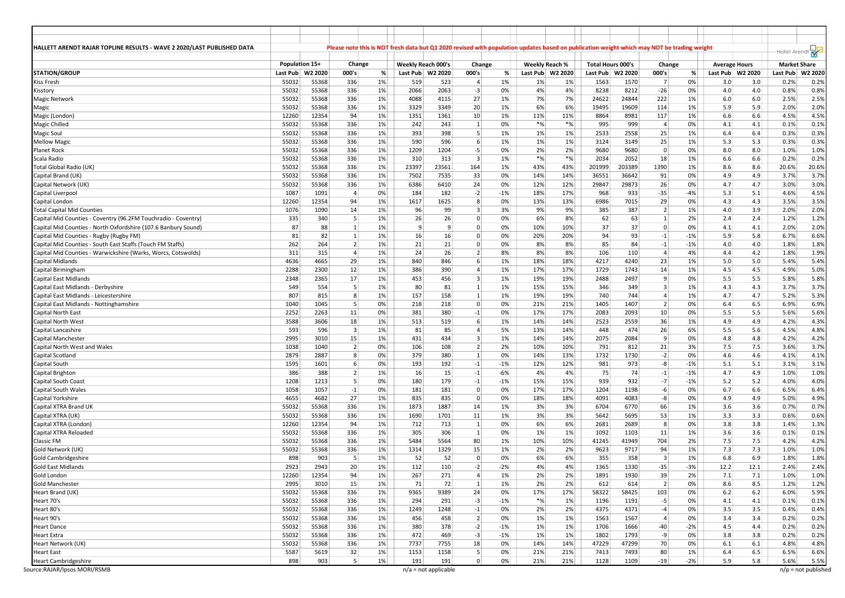| HALLETT ARENDT RAJAR TOPLINE RESULTS - WAVE 2 2020/LAST PUBLISHED DATA |                |                    |                         |          |                    |                               |                        |             | Please note this is NOT fresh data but Q1 2020 revised with population updates based on publication weight which may NOT be trading weight |                  |                          |               |                         |          |                      |            |                     |                               |
|------------------------------------------------------------------------|----------------|--------------------|-------------------------|----------|--------------------|-------------------------------|------------------------|-------------|--------------------------------------------------------------------------------------------------------------------------------------------|------------------|--------------------------|---------------|-------------------------|----------|----------------------|------------|---------------------|-------------------------------|
|                                                                        |                |                    |                         |          |                    |                               |                        |             |                                                                                                                                            |                  |                          |               |                         |          |                      |            | Hallet Arendt       |                               |
|                                                                        | Population 15+ |                    | Change                  |          | Weekly Reach 000's |                               | Change                 |             |                                                                                                                                            | Weekly Reach %   | <b>Total Hours 000's</b> |               | Change                  |          | <b>Average Hours</b> |            | <b>Market Share</b> |                               |
| <b>STATION/GROUP</b>                                                   |                | Last Pub   W2 2020 | 000's                   | %        |                    | Last Pub W2 2020              | 000's                  | %           |                                                                                                                                            | Last Pub W2 2020 | Last Pub                 | W2 2020       | 000's                   | %        | Last Pub   W2 2020   |            | Last Pub            | W2 2020                       |
| <b>Kiss Fresh</b>                                                      | 55032<br>55032 | 55368<br>55368     | 336<br>336              | 1%<br>1% | 519<br>2066        | 523<br>2063                   | $\overline{4}$<br>$-3$ | 1%<br>0%    | 1%<br>4%                                                                                                                                   | 1%<br>4%         | 1563<br>8238             | 1570<br>8212  | 7<br>$-26$              | 0%<br>0% | 3.0<br>4.0           | 3.0<br>4.0 | 0.2%                | 0.2%<br>0.8%                  |
| Kisstory<br><b>Magic Network</b>                                       | 55032          | 55368              | 336                     | 1%       | 4088               | 4115                          | 27                     | 1%          | 7%                                                                                                                                         | 7%               | 24622                    | 24844         | 222                     | 1%       | 6.0                  | 6.0        | 0.8%<br>2.5%        | 2.5%                          |
| Magic                                                                  | 55032          | 55368              | 336                     | 1%       | 3329               | 3349                          | 20                     | 1%          | 6%                                                                                                                                         | 6%               | 19495                    | 19609         | 114                     | 1%       | 5.9                  | 5.9        | 2.0%                | 2.0%                          |
| Magic (London)                                                         | 12260          | 12354              | 94                      | 1%       | 1351               | 1361                          | 10                     | 1%          | 11%                                                                                                                                        | 11%              | 8864                     | 8981          | 117                     | 1%       | 6.6                  | 6.6        | 4.5%                | 4.5%                          |
| Magic Chilled                                                          | 55032          | 55368              | 336                     | 1%       | 242                | 243                           | $\mathbf{1}$           | 0%          | $*$ %                                                                                                                                      | $*$ %            | 995                      | 999           | $\overline{4}$          | 0%       | 4.1                  | 4.1        | 0.1%                | 0.1%                          |
| Magic Soul                                                             | 55032          | 55368              | 336                     | 1%       | 393                | 398                           | 5                      | 1%          | 1%                                                                                                                                         | 1%               | 2533                     | 2558          | 25                      | 1%       | 6.4                  | 6.4        | 0.3%                | 0.3%                          |
| <b>Mellow Magio</b>                                                    | 55032          | 55368              | 336                     | 1%       | 590                | 596                           | 6 <sup>1</sup>         | 1%          | 1%                                                                                                                                         | 1%               | 3124                     | 3149          | 25                      | 1%       | 5.3                  | 5.3        | 0.3%                | 0.3%                          |
| Planet Rock                                                            | 55032          | 55368              | 336                     | 1%       | 1209               | 1204                          | $-5$                   | 0%          | 2%                                                                                                                                         | 2%               | 9680                     | 9680          | $\overline{0}$          | 0%       | 8.0                  | 8.0        | 1.0%                | 1.0%                          |
| Scala Radio                                                            | 55032          | 55368              | 336                     | 1%       | 310                | 313                           | 3                      | 1%          | $*$ %                                                                                                                                      | $*%$             | 2034                     | 2052          | 18                      | 1%       | 6.6                  | 6.6        | 0.2%                | 0.2%                          |
| Total Global Radio (UK)                                                | 55032          | 55368              | 336                     | 1%       | 23397              | 23561                         | 164                    | 1%          | 43%                                                                                                                                        | 43%              | 201999                   | 203389        | 1390                    | 1%       | 8.6                  | 8.6        | 20.6%               | 20.6%                         |
| Capital Brand (UK)                                                     | 55032          | 55368              | 336                     | 1%       | 7502               | 7535                          | 33                     | 0%          | 14%                                                                                                                                        | 14%              | 36551                    | 36642         | 91                      | 0%       | 4.9                  | 4.9        | 3.7%                | 3.7%                          |
| Capital Network (UK)                                                   | 55032          | 55368              | 336                     | 1%       | 6386               | 6410                          | 24                     | 0%          | 12%                                                                                                                                        | 12%              | 29847                    | 29873         | 26                      | 0%       | 4.7                  | 4.7        | 3.0%                | 3.0%                          |
| Capital Liverpool                                                      | 1087           | 1091               | 4                       | 0%       | 184                | 182                           | $-2$                   | $-1%$       | 18%                                                                                                                                        | 17%              | 968                      | 933           | $-35$                   | $-4%$    | 5.3                  | 5.1        | 4.6%                | 4.5%                          |
| Capital London                                                         | 12260          | 12354              | 94                      | 1%       | 1617               | 1625                          | 8                      | 0%          | 13%                                                                                                                                        | 13%              | 6986                     | 7015          | 29                      | 0%       | 4.3                  | 4.3        | 3.5%                | 3.5%                          |
| <b>Total Capital Mid Counties</b>                                      | 1076           | 1090               | 14                      | 1%       | 96                 | 99                            | 3 <sup>1</sup>         | 3%          | 9%                                                                                                                                         | 9%               | 385                      | 387           | $\overline{2}$          | 1%       | 4.0                  | 3.9        | 2.0%                | 2.0%                          |
| Capital Mid Counties - Coventry (96.2FM Touchradio - Coventry)         | 335            | 340                | 5                       | 1%       | 26                 | 26                            | $\overline{0}$         | 0%          | 6%                                                                                                                                         | 8%               | 62                       | 63            | 1                       | 2%       | 2.4                  | 2.4        | 1.2%                | 1.2%                          |
| Capital Mid Counties - North Oxfordshire (107.6 Banbury Sound)         | 87             | 88                 | $\mathbf{1}$            | 1%       | 9                  | 9                             | $\overline{0}$         | 0%          | 10%                                                                                                                                        | 10%              | 37                       | 37            | $\overline{0}$          | 0%       | 4.1                  | 4.1        | 2.0%                | 2.0%                          |
| Capital Mid Counties - Rugby (Rugby FM)                                | 81             | 82                 | $\mathbf{1}$            | 1%       | 16                 | 16                            | $\overline{0}$         | 0%          | 20%                                                                                                                                        | 20%              | 94                       | 93            | $^{\rm -1}$             | $-1%$    | 5.9                  | 5.8        | 6.7%                | 6.6%                          |
| Capital Mid Counties - South East Staffs (Touch FM Staffs)             | 262            | 264                | $\overline{2}$          | 1%       | 21                 | 21                            | 0                      | 0%          | 8%                                                                                                                                         | 8%               | 85                       | 84            | $-1$                    | $-1%$    | 4.0                  | 4.0        | 1.8%                | 1.8%                          |
| Capital Mid Counties - Warwickshire (Warks, Worcs, Cotswolds)          | 311            | 315                | $\overline{4}$          | 1%       | 24                 | 26                            | $\overline{2}$         | 8%          | 8%                                                                                                                                         | 8%               | 106                      | 110           | $\overline{4}$          | 4%       | 4.4                  | 4.2        | 1.8%                | 1.9%                          |
| Capital Midlands                                                       | 4636           | 4665               | 29                      | 1%       | 840                | 846                           | 6 <sup>1</sup>         | 1%          | 18%                                                                                                                                        | 18%              | 4217                     | 4240          | 23                      | 1%       | 5.0                  | 5.0        | 5.4%                | 5.4%                          |
| Capital Birmingham                                                     | 2288           | 2300               | 12                      | 1%       | 386                | 390                           | $\overline{4}$         | 1%          | 17%                                                                                                                                        | 17%              | 1729                     | 1743          | 14                      | 1%       | 4.5                  | 4.5        | 4.9%                | 5.0%                          |
| <b>Capital East Midlands</b>                                           | 2348           | 2365               | 17                      | 1%       | 453                | 456                           | 3 <sup>1</sup>         | 1%          | 19%                                                                                                                                        | 19%              | 2488                     | 2497          | 9                       | 0%       | 5.5                  | 5.5        | 5.8%                | 5.8%                          |
| Capital East Midlands - Derbyshire                                     | 549            | 554                | 5                       | 1%       | 80                 | 81                            | $1\vert$               | 1%          | 15%                                                                                                                                        | 15%              | 346                      | 349           | $\overline{3}$          | 1%       | 4.3                  | 4.3        | 3.7%                | 3.7%                          |
| Capital East Midlands - Leicestershire                                 | 807            | 815                | 8                       | 1%       | 157                | 158                           | 1                      | 1%          | 19%                                                                                                                                        | 19%              | 740                      | 744           | $\overline{4}$          | 1%       | 4.7                  | 4.7        | 5.2%                | 5.3%                          |
| Capital East Midlands - Nottinghamshire                                | 1040           | 1045               | 5                       | 0%       | 218                | 218                           | $\mathbf 0$            | 0%          | 21%                                                                                                                                        | 21%              | 1405                     | 1407          | $\overline{2}$          | 0%       | 6.4                  | 6.5        | 6.9%                | 6.9%                          |
| <b>Capital North East</b>                                              | 2252           | 2263               | 11                      | 0%       | 381                | 380                           | $-1$                   | 0%          | 17%                                                                                                                                        | 17%              | 2083                     | 2093          | 10                      | 0%       | 5.5                  | 5.5        | 5.6%                | 5.6%                          |
| Capital North West                                                     | 3588           | 3606               | 18                      | 1%       | 513                | 519                           | 6                      | 1%          | 14%                                                                                                                                        | 14%              | 2523                     | 2559          | 36                      | 1%       | 4.9                  | 4.9        | 4.2%                | 4.3%                          |
| Capital Lancashire                                                     | 593            | 596                | $\overline{\mathbf{3}}$ | 1%       | 81                 | 85                            | 4                      | 5%          | 13%                                                                                                                                        | 14%              | 448                      | 474           | 26                      | 6%       | 5.5                  | 5.6        | 4.5%                | 4.8%                          |
| Capital Manchester                                                     | 2995           | 3010               | 15                      | 1%       | 431                | 434                           | 3 <sup>1</sup>         | 1%          | 14%                                                                                                                                        | 14%              | 2075                     | 2084          | 9                       | 0%       | 4.8                  | 4.8        | 4.2%                | 4.2%                          |
| Capital North West and Wales                                           | 1038           | 1040               | $\overline{2}$          | 0%       | 106                | 108                           | 2                      | 2%          | 10%                                                                                                                                        | 10%              | 791                      | 812           | 21                      | 3%       | 7.5                  | 7.5        | 3.6%                | 3.7%                          |
| Capital Scotland                                                       | 2879           | 2887               | 8                       | 0%       | 379                | 380                           | 1                      | 0%          | 14%                                                                                                                                        | 13%              | 1732                     | 1730          | $-2$                    | 0%       | 4.6                  | 4.6        | 4.1%                | 4.1%                          |
| Capital South                                                          | 1595           | 1601               | 6                       | 0%       | 193                | 192                           | $-1$                   | $-1%$       | 12%                                                                                                                                        | 12%              | 981                      | 973           | -8                      | $-1%$    | 5.1                  | 5.1        | 3.1%                | 3.1%                          |
| Capital Brighton                                                       | 386            | 388                | $\overline{2}$          | 1%       | 16                 | 15                            | $-1$                   | -6%         | 4%                                                                                                                                         | 4%               | 75                       | 74            | $^{\rm -1}$             | $-1%$    | 4.7                  | 4.9        | 1.0%                | 1.0%                          |
| <b>Capital South Coast</b>                                             | 1208           | 1213               | 5                       | 0%       | 180                | 179                           | $-1$                   | $-1%$       | 15%                                                                                                                                        | 15%              | 939                      | 932           | $-7$                    | $-1%$    | 5.2                  | 5.2        | 4.0%                | 4.0%                          |
| Capital South Wales                                                    | 1058           | 1057               | $-1$                    | 0%       | 181                | 181                           | $\mathbf{0}$           | 0%          | 17%                                                                                                                                        | 17%              | 1204                     | 1198          | -6                      | 0%       | 6.7                  | 6.6        | 6.5%                | 6.4%                          |
| Capital Yorkshire                                                      | 4655           | 4682               | 27                      | 1%       | 835                | 835                           | 0                      | 0%          | 18%                                                                                                                                        | 18%              | 4091                     | 4083          | -8                      | 0%       | 4.9                  | 4.9        | 5.0%                | 4.9%                          |
| Capital XTRA Brand UK                                                  | 55032          | 55368              | 336                     | 1%       | 1873               | 1887                          | 14                     | 1%          | 3%                                                                                                                                         | 3%               | 6704                     | 6770          | 66                      | 1%       | 3.6                  | 3.6        | 0.7%                | 0.7%                          |
| Capital XTRA (UK)                                                      | 55032          | 55368              | 336                     | 1%       | 1690               | 1701                          | 11                     | 1%          | 3%                                                                                                                                         | 3%               | 5642                     | 5695          | 53                      | 1%       | 3.3                  | 3.3        | 0.6%                | 0.6%                          |
| Capital XTRA (London)                                                  | 12260          | 12354              | 94                      | 1%       | 712                | 713                           | 1                      | 0%          | 6%                                                                                                                                         | 6%               | 2681                     | 2689          | 8                       | 0%       | 3.8                  | 3.8        | 1.4%                | 1.3%                          |
| Capital XTRA Reloaded                                                  | 55032          | 55368              | 336                     | 1%       | 305                | 306                           | $1\vert$               | 0%          | 1%                                                                                                                                         | 1%               | 1092                     | 1103          | 11                      | 1%       | 3.6                  | 3.6        | 0.1%                | 0.1%                          |
| <b>Classic FM</b>                                                      | 55032          | 55368              | 336                     | 1%       | 5484               | 5564                          | 80                     | 1%          | 10%                                                                                                                                        | 10%              | 41245                    | 41949         | 704                     | 2%       | 7.5                  | 7.5        | 4.2%                | 4.2%                          |
| Gold Network (UK)                                                      | 55032          | 55368              | 336                     | 1%       | 1314               | 1329                          | 15                     | 1%          | 2%                                                                                                                                         | 2%               | 9623                     | 9717          | 94                      | 1%       | 7.3                  | 7.3        | 1.0%                | 1.0%                          |
| <b>Gold Cambridgeshire</b>                                             | 898            | 903                | 5                       | 1%       | 52                 | 52                            | $\Omega$               | 0%          | 6%                                                                                                                                         | 6%               | 355                      | 358           | $\overline{\mathbf{3}}$ | 1%       | 6.8                  | 6.9        | 1.8%                | 1.8%                          |
| <b>Gold East Midlands</b>                                              | 2923           | 2943               | 20                      | 1%       | 112                | 110                           | $-2$                   | $-2%$       | 4%                                                                                                                                         | 4%               | 1365                     | 1330          | $-35$                   | $-3%$    | 12.2                 | 12.1       | 2.4%                | 2.4%                          |
| Gold London                                                            | 12260          | 12354              | 94                      | 1%       | 267                | 271                           | 4                      | 1%          | 2%                                                                                                                                         | 2%               | 1891                     | 1930          | 39                      | 2%       | 7.1                  | 7.1        | 1.0%                | 1.0%                          |
| <b>Gold Manchester</b>                                                 | 2995           | 3010               | 15                      | 1%       | 71                 | 72                            | 1                      | 1%          | 2%                                                                                                                                         | 2%               | 612                      | 614           | $\vert$ 2               | 0%       | 8.6                  | 8.5        | 1.2%                | 1.2%                          |
| Heart Brand (UK)                                                       | 55032          | 55368              | 336                     | 1%       | 9365               | 9389                          | 24                     | 0%          | 17%                                                                                                                                        | 17%              | 58322                    | 58425         | 103                     | 0%       | $6.2$                | 6.2        | 6.0%                | 5.9%                          |
| Heart 70's                                                             | 55032          | 55368              | 336                     | 1%       | 294                | 291                           | $-3$                   | $-1%$       | $*%$                                                                                                                                       | 1%               | 1196                     | 1191          | -5                      | 0%       | 4.1                  | 4.1        | 0.1%                | 0.1%                          |
| Heart 80's                                                             | 55032          | 55368              | 336                     | 1%       | 1249               | 1248                          | $-1$                   | 0%          | 2%                                                                                                                                         | 2%               | 4375                     | 4371          | $-4$<br>$\overline{4}$  | 0%       | 3.5                  | 3.5        | 0.4%                | 0.4%                          |
| Heart 90's                                                             | 55032          | 55368              | 336                     | 1%       | 456                | 458                           | 2                      | 0%          | 1%                                                                                                                                         | 1%               | 1563                     | 1567          |                         | 0%       | 3.4                  | 3.4        | 0.2%                | 0.2%                          |
| <b>Heart Dance</b>                                                     | 55032          | 55368              | 336                     | 1%       | 380                | 378                           | $-2$                   | $-1%$       | 1%                                                                                                                                         | 1%               | 1706                     | 1666          | $-40$                   | $-2%$    | 4.5                  | 4.4        | 0.2%                | 0.2%                          |
| Heart Extra                                                            | 55032          | 55368<br>55368     | 336<br>336              | 1%<br>1% | 472                | 469                           | $-3$<br>18             | $-1%$<br>0% | 1%<br>14%                                                                                                                                  | 1%<br>14%        | 1802<br>47229            | 1793<br>47299 | -9<br>70                | 0%       | 3.8<br>6.1           | 3.8<br>6.1 | 0.2%                | 0.2%<br>4.8%                  |
| Heart Network (UK)<br><b>Heart East</b>                                | 55032<br>5587  |                    | 32                      |          | 7737               | 7755                          | 5 <sup>1</sup>         |             |                                                                                                                                            | 21%              | 7413                     |               | 80                      | 0%<br>1% | 6.4                  | 6.5        | 4.8%                |                               |
|                                                                        | 898            | 5619<br>903        | 5 <sub>5</sub>          | 1%<br>1% | 1153<br>191        | 1158                          | $\overline{0}$         | 0%          | 21%<br>21%                                                                                                                                 | 21%              | 1128                     | 7493<br>1109  | $-19$                   | $-2%$    | 5.9                  | 5.8        | 6.5%                | 6.6%                          |
| <b>Heart Cambridgeshire</b><br>Source:RAJAR/Ipsos MORI/RSMB            |                |                    |                         |          |                    | 191<br>$n/a = not applicable$ |                        | 0%          |                                                                                                                                            |                  |                          |               |                         |          |                      |            | 5.6%                | 5.5%<br>$n/p = not published$ |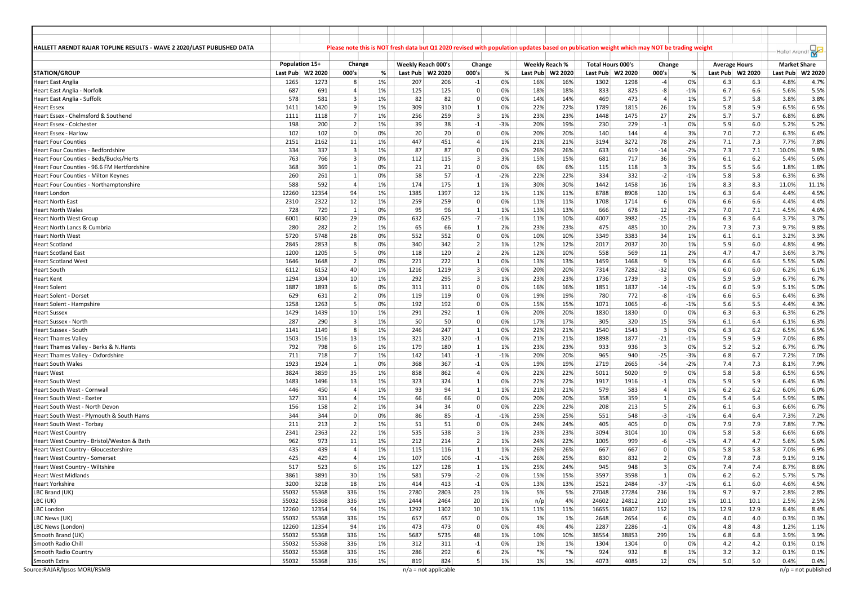| HALLETT ARENDT RAJAR TOPLINE RESULTS - WAVE 2 2020/LAST PUBLISHED DATA<br>Please note this is NOT fresh data but Q1 2020 revised with population updates based on publication weight which may NOT be trading weight<br>- Hallet Arendt<br>Population 15+<br>Change<br>Weekly Reach 000's<br>Weekly Reach %<br><b>Market Share</b><br>Change<br>Total Hours 000's<br>Change<br><b>Average Hours</b><br><b>STATION/GROUP</b><br>000's<br>000's<br>Last Pub   W2 2020<br>000's<br>%<br>Last Pub  W2 2020<br>%<br>Last Pub   W2 2020<br>Last Pub W2 2020<br>%<br>Last Pub W2 2020<br>Last Pub<br>1%<br>0%<br>Heart East Anglia<br>1265<br>1273<br>8<br>207<br>206<br>$-1$<br>0%<br>16%<br>16%<br>1302<br>1298<br>$-4$<br>6.3<br>6.3<br>4.8%<br>687<br>691<br>$\overline{4}$<br>1%<br>125<br>125<br>18%<br>18%<br>833<br>825<br>$-8$<br>$-1%$<br>6.7<br>6.6<br>5.6%<br>$\overline{0}$<br>0%<br>Heart East Anglia - Norfolk<br>578<br>581<br>$\overline{3}$<br>1%<br>82<br>82<br>14%<br>14%<br>469<br>473<br>1%<br>5.7<br>5.8<br>3.8%<br>Heart East Anglia - Suffolk<br>0<br>0%<br>$\overline{4}$<br>1%<br>Heart Essex<br>1411<br>1420<br>9<br>309<br>310<br>0%<br>22%<br>22%<br>1789<br>1815<br>26<br>1%<br>5.8<br>5.9<br>6.5%<br>$1\vert$<br>7<br>1%<br>256<br>3 <sup>1</sup><br>27<br>2%<br>5.7<br>6.8%<br>Heart Essex - Chelmsford & Southend<br>1111<br>1118<br>259<br>1%<br>23%<br>23%<br>1448<br>1475<br>5.7<br>198<br>200<br>$\overline{2}$<br>1%<br>39<br>38<br>$-3%$<br>20%<br>19%<br>229<br>0%<br>6.0<br>Heart Essex - Colchester<br>$-1$<br>230<br>$-1$<br>5.9<br>5.2%<br>0%<br>102<br>102<br>$\overline{0}$<br>20<br>20 <sup>1</sup><br>20%<br>3%<br>7.0<br>7.2<br>6.3%<br>Heart Essex - Harlow<br>$\overline{0}$<br>0%<br>20%<br>140<br>144<br>$\overline{4}$<br>7.3<br>2151<br>2162<br>11<br>1%<br>447<br>451<br>21%<br>3194<br>3272<br>78<br>2%<br>7.1<br>7.7%<br>$\overline{4}$<br>1%<br>21%<br>Heart Four Counties<br>334<br>337<br>3<br>1%<br>87<br>87<br>26%<br>26%<br>633<br>7.3<br>10.0%<br>Heart Four Counties - Bedfordshire<br>$\overline{0}$<br>0%<br>619<br>$-14$<br>$-2%$<br>7.1<br>763<br>$\overline{3}$<br>0%<br>3<br>3%<br>681<br>36<br>5.4%<br>Heart Four Counties - Beds/Bucks/Herts<br>766<br>112<br>115<br>15%<br>15%<br>717<br>5%<br>6.1<br>$6.2$<br>368<br>0%<br>21<br>$\overline{0}$<br>6%<br>6%<br>3<br>5.5<br>5.6<br>1.8%<br>Heart Four Counties - 96.6 FM Hertfordshire<br>369<br>1<br>21<br>0%<br>115<br>118<br>3%<br>260<br>$\vert$ 1<br>0%<br>58<br>57<br>$-2%$<br>22%<br>22%<br>334<br>332<br>$-2$<br>$-1%$<br>5.8<br>5.8<br>6.3%<br>261<br>$-1$<br>Heart Four Counties - Milton Keynes<br>588<br>592<br>$\overline{4}$<br>1%<br>174<br>175<br>30%<br>1442<br>1458<br>8.3<br>$1\vert$<br>1%<br>30%<br>16<br>1%<br>8.3<br>11.0%<br>Heart Four Counties - Northamptonshire<br>1%<br>12354<br>94<br>1385<br>1397<br>12<br>11%<br>120<br>1%<br>6.3<br>4.4%<br>Heart London<br>12260<br>1%<br>11%<br>8788<br>8908<br>6.4<br>2310<br>2322<br>12<br>1%<br>259<br>259<br>$\overline{0}$<br>11%<br>1708<br>0%<br>6.6<br>6.6<br>4.4%<br>Heart North East<br>0%<br>11%<br>1714<br>6<br>0%<br>4.5%<br>Heart North Wales<br>728<br>729<br>$\vert$ 1<br>95<br>96<br>1%<br>13%<br>13%<br>666<br>678<br>12<br>7.0<br>7.1<br>1<br>2%<br>29<br>0%<br>$-7$<br>$-25$<br>6.4<br>6001<br>6030<br>632<br>625<br>$-1%$<br>11%<br>10%<br>4007<br>3982<br>$-1%$<br>6.3<br>3.7%<br>Heart North West Group<br>282<br>$\overline{2}$<br>1%<br>65<br>2%<br>23%<br>475<br>7.3<br>7.3<br>9.7%<br>280<br>66<br>$1\vert$<br>23%<br>485<br>10 <sup>1</sup><br>2%<br>Heart North Lancs & Cumbria<br>5720<br>28<br>552<br>34<br>Heart North West<br>5748<br>0%<br>552<br>$\mathbf{0}$<br>0%<br>10%<br>10%<br>3349<br>3383<br>1%<br>6.1<br>6.1<br>3.2%<br>8<br>2845<br>2853<br>0%<br>340<br>2 <sup>1</sup><br>1%<br>12%<br>20<br>1%<br>5.9<br>6.0<br>4.8%<br>Heart Scotland<br>342<br>12%<br>2017<br>2037<br>2 <sup>1</sup><br>1200<br>1205<br>5<br>0%<br>2%<br>12%<br>558<br>11<br>4.7<br>3.6%<br>118<br>120<br>10%<br>569<br>2%<br>4.7<br>Heart Scotland East<br>1646<br>1648<br>$\overline{2}$<br>0%<br>221<br>222<br>0%<br>13%<br>13%<br>1459<br>1468<br>-9<br>1%<br>6.6<br>6.6<br>5.5%<br>Heart Scotland West<br>$1\vert$<br>40<br>1%<br>3 <sup>1</sup><br>Heart South<br>6112<br>6152<br>1216<br>1219<br>0%<br>20%<br>20%<br>7314<br>7282<br>$-32$<br>0%<br>6.0<br>6.0<br>6.2%<br>1294<br>10 <sup>1</sup><br>1%<br>3 <sup>1</sup><br>$\overline{3}$<br>1304<br>292<br>295<br>1%<br>23%<br>23%<br>1736<br>1739<br>0%<br>5.9<br>5.9<br>6.7%<br>Heart Kent<br>1887<br>1893<br>6<br>0%<br>$\overline{0}$<br>16%<br>16%<br>1851<br>1837<br>311<br>311<br>0%<br>$-14$<br>$-1%$<br>6.0<br>5.9<br>5.1%<br>Heart Solent<br>629<br>$\overline{2}$<br>0%<br>772<br>$-8$<br>$-1%$<br>631<br>119<br>119<br>$\overline{0}$<br>0%<br>19%<br>19%<br>780<br>6.6<br>6.5<br>6.4%<br>Heart Solent - Dorset<br>5<br>1258<br>1263<br>0%<br>192<br>192<br>15%<br>15%<br>1071<br>1065<br>$-6$<br>$-1%$<br>5.6<br>5.5<br>4.4%<br>$\mathbf{0}$<br>0%<br>Heart Solent - Hampshire<br>1429<br>1439<br>10 <sup>1</sup><br>1%<br>291<br>292<br>20%<br>20%<br>1830<br>1830<br>6.3<br>6.3%<br>Heart Sussex<br>0%<br>$\Omega$<br>0%<br>6.3<br>$1\vert$<br>287<br>Heart Sussex - North<br>290<br>$\overline{\mathbf{3}}$<br>1%<br>50<br>50<br>0<br>0%<br>17%<br>17%<br>305<br>320<br>5%<br>6.1<br>6.4<br>6.1%<br>15<br>8 <sup>°</sup><br>1%<br>247<br>22%<br>21%<br>1540<br>$\overline{3}$<br>6.3<br>6.5%<br>1141<br>1149<br>246<br>$\mathbf{1}$<br>0%<br>1543<br>0%<br>6.2<br>Heart Sussex - South<br>1503<br>13<br>1%<br>321<br>320<br>21%<br>1898<br>1877<br>$-21$<br>5.9<br>5.9<br>7.0%<br>1516<br>$-1$<br>0%<br>21%<br>$-1%$<br>Heart Thames Valley<br>792<br>6<br>1%<br>179<br>23%<br>23%<br>933<br>0%<br>5.2<br>6.7%<br>Heart Thames Valley - Berks & N.Hants<br>798<br>180<br>$1\vert$<br>1%<br>936<br>$\vert$ 3<br>5.2<br>7<br>1%<br>142<br>$-1$<br>20%<br>965<br>$-25$<br>6.8<br>6.7<br>711<br>718<br>141<br>$-1%$<br>20%<br>940<br>$-3%$<br>7.2%<br>Heart Thames Valley - Oxfordshire<br>1923<br>1924<br>$\vert$ 1<br>0%<br>368<br>367<br>19%<br>19%<br>2719<br>2665<br>$-54$<br>$-2%$<br>7.4<br>7.3<br>8.1%<br>Heart South Wales<br>$-1$<br>0%<br>3824<br>35<br>5.8<br>6.5%<br>Heart West<br>3859<br>1%<br>858<br>862<br>$\overline{4}$<br>0%<br>22%<br>22%<br>5011<br>5020<br>9<br>0%<br>5.8<br>13<br>1%<br>Heart South West<br>1483<br>1496<br>323<br>324<br>$\mathbf{1}$<br>0%<br>22%<br>22%<br>1917<br>1916<br>0%<br>5.9<br>5.9<br>6.4%<br>$-1$<br>$\overline{4}$<br>1%<br>93<br>21%<br>21%<br>579<br>583<br>1%<br>6.2<br>6.0%<br>446<br>450<br>94<br>$1\vert$<br>1%<br>$\overline{4}$<br>$6.2$<br>Heart South West - Cornwall<br>327<br>$\overline{4}$<br>1%<br>66<br>66<br>20%<br>358<br>359<br>5.4<br>5.9%<br>Heart South West - Exeter<br>331<br>$\mathbf{0}$<br>0%<br>20%<br>1<br>0%<br>5.4<br>$\overline{2}$<br>1%<br>34<br>34<br>22%<br>213<br>6.1<br>6.3<br>Heart South West - North Devon<br>156<br>158<br>$\mathbf{0}$<br>0%<br>22%<br>208<br>-5<br>2%<br>6.6%<br>344<br>344<br>$\mathbf 0$<br>0%<br>86<br>85<br>25%<br>25%<br>551<br>548<br>$-3$<br>6.4<br>6.4<br>7.3%<br>$-1$<br>$-1%$<br>$-1%$<br>Heart South West - Plymouth & South Hams<br>405<br>7.8%<br><b>Heart South West - Torbay</b><br>211<br>213<br>$\overline{2}$<br>1%<br>51<br>51<br>0<br>0%<br>24%<br>24%<br>405<br>0<br>0%<br>7.9<br>7.9<br>2341<br>22<br>1%<br>535<br>2363<br>538<br>3<br>1%<br>23%<br>23%<br>3094<br>3104<br>10 <sup>1</sup><br>0%<br>5.8<br>5.8<br>6.6%<br><b>Heart West Country</b><br>962<br>11<br>1%<br>2<br>973<br>212<br>214<br>1%<br>24%<br>22%<br>1005<br>999<br>$-6$<br>$-1%$<br>4.7<br>4.7<br>5.6%<br>Heart West Country - Bristol/Weston & Bath<br>435<br>439<br>$\overline{4}$<br>1%<br>115<br>116<br>$1\vert$<br>1%<br>26%<br>26%<br>667<br>667<br>$\Omega$<br>0%<br>5.8<br>5.8<br>7.0%<br>Heart West Country - Gloucestershire<br>425<br>1%<br>107<br>106<br>832<br>7.8<br>429<br>$\overline{4}$<br>$-1$<br>$-1%$<br>26%<br>25%<br>830<br>$\overline{2}$<br>0%<br>7.8<br>9.1%<br>Heart West Country - Somerset<br>517<br>523<br>6<br>1%<br>127<br>128<br>1<br>945<br>948<br>3<br>7.4<br>7.4<br>8.7%<br>Heart West Country - Wiltshire<br>1%<br>25%<br>24%<br>0%<br><b>Heart West Midlands</b><br>3861<br>3891<br>1%<br>581<br>579<br>$-2$<br>15%<br>3597<br>3598<br>5.7%<br>30 <sup>2</sup><br>0%<br>15%<br>0%<br>$6.2$<br>6.2<br>Heart Yorkshire<br>3200<br>3218<br>18<br>1%<br>414<br>413<br>0%<br>13%<br>13%<br>2521<br>2484<br>$-37$<br>$-1%$<br>$6.1$<br>6.0<br>4.6%<br>$-1$<br>1%<br>LBC Brand (UK)<br>55032<br>55368<br>336<br>1%<br>2780<br>2803<br>23<br>5%<br>5%<br>27048<br>27284<br>236<br>9.7<br>9.7<br>2.8%<br>1%<br>20<br>1%<br>2.5%<br>LBC (UK)<br>55032<br>55368<br>336<br>1%<br>2444<br>2464<br>1%<br>4%<br>24602<br>24812<br>210<br>10.1<br>10.1<br>n/p<br>LBC London<br>12260<br>12354<br>94<br>1%<br>1292<br>1302<br>10<br>1%<br>11%<br>11%<br>16655<br>16807<br>152<br>1%<br>12.9<br>12.9<br>8.4%<br>LBC News (UK)<br>55032<br>55368<br>336<br>1%<br>657<br>657<br>1%<br>1%<br>2648<br>2654<br>6<br>0%<br>4.0<br>4.0<br>0.3%<br>0<br>0%<br>12260<br>LBC News (London)<br>12354<br>94<br>1%<br>473<br>473<br>$\mathbf{0}$<br>0%<br>4%<br>4%<br>2287<br>2286<br>$-1$<br>0%<br>4.8<br>4.8<br>1.2%<br>55032<br>55368<br>38554<br>299<br>3.9%<br>Smooth Brand (UK)<br>336<br>1%<br>5687<br>5735<br>48<br>1%<br>10%<br>10%<br>38853<br>1%<br>6.8<br>6.8<br>Smooth Radio Chill<br>55032<br>55368<br>1%<br>$-1$<br>1%<br>1304<br>0%<br>4.2<br>0.1%<br>336<br>312<br>311<br>0%<br>1%<br>1304<br>$\overline{0}$<br>4.2<br>$*%$<br>$*$ %<br>Smooth Radio Country<br>55032<br>55368<br>336<br>1%<br>286<br>292<br>6<br>2%<br>924<br>932<br>8<br>1%<br>3.2<br>3.2<br>0.1%<br>55032<br>55368<br>336<br>1%<br>819<br>824<br>5 <sup>1</sup><br>4073<br>4085<br>12<br>5.0<br>0.4%<br>Smooth Extra<br>1%<br>1%<br>1%<br>0%<br>5.0 |  |  |  |  |  |  |  |  |  |         |
|------------------------------------------------------------------------------------------------------------------------------------------------------------------------------------------------------------------------------------------------------------------------------------------------------------------------------------------------------------------------------------------------------------------------------------------------------------------------------------------------------------------------------------------------------------------------------------------------------------------------------------------------------------------------------------------------------------------------------------------------------------------------------------------------------------------------------------------------------------------------------------------------------------------------------------------------------------------------------------------------------------------------------------------------------------------------------------------------------------------------------------------------------------------------------------------------------------------------------------------------------------------------------------------------------------------------------------------------------------------------------------------------------------------------------------------------------------------------------------------------------------------------------------------------------------------------------------------------------------------------------------------------------------------------------------------------------------------------------------------------------------------------------------------------------------------------------------------------------------------------------------------------------------------------------------------------------------------------------------------------------------------------------------------------------------------------------------------------------------------------------------------------------------------------------------------------------------------------------------------------------------------------------------------------------------------------------------------------------------------------------------------------------------------------------------------------------------------------------------------------------------------------------------------------------------------------------------------------------------------------------------------------------------------------------------------------------------------------------------------------------------------------------------------------------------------------------------------------------------------------------------------------------------------------------------------------------------------------------------------------------------------------------------------------------------------------------------------------------------------------------------------------------------------------------------------------------------------------------------------------------------------------------------------------------------------------------------------------------------------------------------------------------------------------------------------------------------------------------------------------------------------------------------------------------------------------------------------------------------------------------------------------------------------------------------------------------------------------------------------------------------------------------------------------------------------------------------------------------------------------------------------------------------------------------------------------------------------------------------------------------------------------------------------------------------------------------------------------------------------------------------------------------------------------------------------------------------------------------------------------------------------------------------------------------------------------------------------------------------------------------------------------------------------------------------------------------------------------------------------------------------------------------------------------------------------------------------------------------------------------------------------------------------------------------------------------------------------------------------------------------------------------------------------------------------------------------------------------------------------------------------------------------------------------------------------------------------------------------------------------------------------------------------------------------------------------------------------------------------------------------------------------------------------------------------------------------------------------------------------------------------------------------------------------------------------------------------------------------------------------------------------------------------------------------------------------------------------------------------------------------------------------------------------------------------------------------------------------------------------------------------------------------------------------------------------------------------------------------------------------------------------------------------------------------------------------------------------------------------------------------------------------------------------------------------------------------------------------------------------------------------------------------------------------------------------------------------------------------------------------------------------------------------------------------------------------------------------------------------------------------------------------------------------------------------------------------------------------------------------------------------------------------------------------------------------------------------------------------------------------------------------------------------------------------------------------------------------------------------------------------------------------------------------------------------------------------------------------------------------------------------------------------------------------------------------------------------------------------------------------------------------------------------------------------------------------------------------------------------------------------------------------------------------------------------------------------------------------------------------------------------------------------------------------------------------------------------------------------------------------------------------------------------------------------------------------------------------------------------------------------------------------------------------------------------------------------------------------------------------------------------------------------------------------------------------------------------------------------------------------------------------------------------------------------------------------------------------------------------------------------------------------------------------------------------------------------------------------------------------------------------------------------------------------------------------------------------------------------------------------------------------------------------------------------------------------------------------------------------------------------------------------------------------------------------------------------------------------------------------------------------------------------------------------------------------------------------------------------------------------------------------------------------------------------------------------------------------------------------------------------------------------------------------------------------------------------------------------------------------------------------------------------------------------------------------------------------------------------------------------------------------------------------------------------------------------------------------------------------------------------------------------------------------------------------------------------------------------------------------------------------------------------------------------------------------------------------------------------------------------------------------------------------------------------------------------------------------------------------------------------------------------------------------------------------------------------------------------------------------------------------------------------------------------------------------------------------------------------------------------------------------------------------------------------------------------------------------------------------------------------------------------------------------------------------------------------------------------------------------------------------------------------------------------------------------------------------------------------------------------------------------------------------------------------------------|--|--|--|--|--|--|--|--|--|---------|
|                                                                                                                                                                                                                                                                                                                                                                                                                                                                                                                                                                                                                                                                                                                                                                                                                                                                                                                                                                                                                                                                                                                                                                                                                                                                                                                                                                                                                                                                                                                                                                                                                                                                                                                                                                                                                                                                                                                                                                                                                                                                                                                                                                                                                                                                                                                                                                                                                                                                                                                                                                                                                                                                                                                                                                                                                                                                                                                                                                                                                                                                                                                                                                                                                                                                                                                                                                                                                                                                                                                                                                                                                                                                                                                                                                                                                                                                                                                                                                                                                                                                                                                                                                                                                                                                                                                                                                                                                                                                                                                                                                                                                                                                                                                                                                                                                                                                                                                                                                                                                                                                                                                                                                                                                                                                                                                                                                                                                                                                                                                                                                                                                                                                                                                                                                                                                                                                                                                                                                                                                                                                                                                                                                                                                                                                                                                                                                                                                                                                                                                                                                                                                                                                                                                                                                                                                                                                                                                                                                                                                                                                                                                                                                                                                                                                                                                                                                                                                                                                                                                                                                                                                                                                                                                                                                                                                                                                                                                                                                                                                                                                                                                                                                                                                                                                                                                                                                                                                                                                                                                                                                                                                                                                                                                                                                                                                                                                                                                                                                                                                                                                                                                                                                                                                                                                                                                                                                                                                                                                                                                                                                                                                                                                                                                                                                                                                                                                                                                                          |  |  |  |  |  |  |  |  |  |         |
|                                                                                                                                                                                                                                                                                                                                                                                                                                                                                                                                                                                                                                                                                                                                                                                                                                                                                                                                                                                                                                                                                                                                                                                                                                                                                                                                                                                                                                                                                                                                                                                                                                                                                                                                                                                                                                                                                                                                                                                                                                                                                                                                                                                                                                                                                                                                                                                                                                                                                                                                                                                                                                                                                                                                                                                                                                                                                                                                                                                                                                                                                                                                                                                                                                                                                                                                                                                                                                                                                                                                                                                                                                                                                                                                                                                                                                                                                                                                                                                                                                                                                                                                                                                                                                                                                                                                                                                                                                                                                                                                                                                                                                                                                                                                                                                                                                                                                                                                                                                                                                                                                                                                                                                                                                                                                                                                                                                                                                                                                                                                                                                                                                                                                                                                                                                                                                                                                                                                                                                                                                                                                                                                                                                                                                                                                                                                                                                                                                                                                                                                                                                                                                                                                                                                                                                                                                                                                                                                                                                                                                                                                                                                                                                                                                                                                                                                                                                                                                                                                                                                                                                                                                                                                                                                                                                                                                                                                                                                                                                                                                                                                                                                                                                                                                                                                                                                                                                                                                                                                                                                                                                                                                                                                                                                                                                                                                                                                                                                                                                                                                                                                                                                                                                                                                                                                                                                                                                                                                                                                                                                                                                                                                                                                                                                                                                                                                                                                                                                          |  |  |  |  |  |  |  |  |  |         |
|                                                                                                                                                                                                                                                                                                                                                                                                                                                                                                                                                                                                                                                                                                                                                                                                                                                                                                                                                                                                                                                                                                                                                                                                                                                                                                                                                                                                                                                                                                                                                                                                                                                                                                                                                                                                                                                                                                                                                                                                                                                                                                                                                                                                                                                                                                                                                                                                                                                                                                                                                                                                                                                                                                                                                                                                                                                                                                                                                                                                                                                                                                                                                                                                                                                                                                                                                                                                                                                                                                                                                                                                                                                                                                                                                                                                                                                                                                                                                                                                                                                                                                                                                                                                                                                                                                                                                                                                                                                                                                                                                                                                                                                                                                                                                                                                                                                                                                                                                                                                                                                                                                                                                                                                                                                                                                                                                                                                                                                                                                                                                                                                                                                                                                                                                                                                                                                                                                                                                                                                                                                                                                                                                                                                                                                                                                                                                                                                                                                                                                                                                                                                                                                                                                                                                                                                                                                                                                                                                                                                                                                                                                                                                                                                                                                                                                                                                                                                                                                                                                                                                                                                                                                                                                                                                                                                                                                                                                                                                                                                                                                                                                                                                                                                                                                                                                                                                                                                                                                                                                                                                                                                                                                                                                                                                                                                                                                                                                                                                                                                                                                                                                                                                                                                                                                                                                                                                                                                                                                                                                                                                                                                                                                                                                                                                                                                                                                                                                                                          |  |  |  |  |  |  |  |  |  |         |
|                                                                                                                                                                                                                                                                                                                                                                                                                                                                                                                                                                                                                                                                                                                                                                                                                                                                                                                                                                                                                                                                                                                                                                                                                                                                                                                                                                                                                                                                                                                                                                                                                                                                                                                                                                                                                                                                                                                                                                                                                                                                                                                                                                                                                                                                                                                                                                                                                                                                                                                                                                                                                                                                                                                                                                                                                                                                                                                                                                                                                                                                                                                                                                                                                                                                                                                                                                                                                                                                                                                                                                                                                                                                                                                                                                                                                                                                                                                                                                                                                                                                                                                                                                                                                                                                                                                                                                                                                                                                                                                                                                                                                                                                                                                                                                                                                                                                                                                                                                                                                                                                                                                                                                                                                                                                                                                                                                                                                                                                                                                                                                                                                                                                                                                                                                                                                                                                                                                                                                                                                                                                                                                                                                                                                                                                                                                                                                                                                                                                                                                                                                                                                                                                                                                                                                                                                                                                                                                                                                                                                                                                                                                                                                                                                                                                                                                                                                                                                                                                                                                                                                                                                                                                                                                                                                                                                                                                                                                                                                                                                                                                                                                                                                                                                                                                                                                                                                                                                                                                                                                                                                                                                                                                                                                                                                                                                                                                                                                                                                                                                                                                                                                                                                                                                                                                                                                                                                                                                                                                                                                                                                                                                                                                                                                                                                                                                                                                                                                                          |  |  |  |  |  |  |  |  |  | W2 2020 |
|                                                                                                                                                                                                                                                                                                                                                                                                                                                                                                                                                                                                                                                                                                                                                                                                                                                                                                                                                                                                                                                                                                                                                                                                                                                                                                                                                                                                                                                                                                                                                                                                                                                                                                                                                                                                                                                                                                                                                                                                                                                                                                                                                                                                                                                                                                                                                                                                                                                                                                                                                                                                                                                                                                                                                                                                                                                                                                                                                                                                                                                                                                                                                                                                                                                                                                                                                                                                                                                                                                                                                                                                                                                                                                                                                                                                                                                                                                                                                                                                                                                                                                                                                                                                                                                                                                                                                                                                                                                                                                                                                                                                                                                                                                                                                                                                                                                                                                                                                                                                                                                                                                                                                                                                                                                                                                                                                                                                                                                                                                                                                                                                                                                                                                                                                                                                                                                                                                                                                                                                                                                                                                                                                                                                                                                                                                                                                                                                                                                                                                                                                                                                                                                                                                                                                                                                                                                                                                                                                                                                                                                                                                                                                                                                                                                                                                                                                                                                                                                                                                                                                                                                                                                                                                                                                                                                                                                                                                                                                                                                                                                                                                                                                                                                                                                                                                                                                                                                                                                                                                                                                                                                                                                                                                                                                                                                                                                                                                                                                                                                                                                                                                                                                                                                                                                                                                                                                                                                                                                                                                                                                                                                                                                                                                                                                                                                                                                                                                                                          |  |  |  |  |  |  |  |  |  | 4.7%    |
|                                                                                                                                                                                                                                                                                                                                                                                                                                                                                                                                                                                                                                                                                                                                                                                                                                                                                                                                                                                                                                                                                                                                                                                                                                                                                                                                                                                                                                                                                                                                                                                                                                                                                                                                                                                                                                                                                                                                                                                                                                                                                                                                                                                                                                                                                                                                                                                                                                                                                                                                                                                                                                                                                                                                                                                                                                                                                                                                                                                                                                                                                                                                                                                                                                                                                                                                                                                                                                                                                                                                                                                                                                                                                                                                                                                                                                                                                                                                                                                                                                                                                                                                                                                                                                                                                                                                                                                                                                                                                                                                                                                                                                                                                                                                                                                                                                                                                                                                                                                                                                                                                                                                                                                                                                                                                                                                                                                                                                                                                                                                                                                                                                                                                                                                                                                                                                                                                                                                                                                                                                                                                                                                                                                                                                                                                                                                                                                                                                                                                                                                                                                                                                                                                                                                                                                                                                                                                                                                                                                                                                                                                                                                                                                                                                                                                                                                                                                                                                                                                                                                                                                                                                                                                                                                                                                                                                                                                                                                                                                                                                                                                                                                                                                                                                                                                                                                                                                                                                                                                                                                                                                                                                                                                                                                                                                                                                                                                                                                                                                                                                                                                                                                                                                                                                                                                                                                                                                                                                                                                                                                                                                                                                                                                                                                                                                                                                                                                                                                          |  |  |  |  |  |  |  |  |  | 5.5%    |
|                                                                                                                                                                                                                                                                                                                                                                                                                                                                                                                                                                                                                                                                                                                                                                                                                                                                                                                                                                                                                                                                                                                                                                                                                                                                                                                                                                                                                                                                                                                                                                                                                                                                                                                                                                                                                                                                                                                                                                                                                                                                                                                                                                                                                                                                                                                                                                                                                                                                                                                                                                                                                                                                                                                                                                                                                                                                                                                                                                                                                                                                                                                                                                                                                                                                                                                                                                                                                                                                                                                                                                                                                                                                                                                                                                                                                                                                                                                                                                                                                                                                                                                                                                                                                                                                                                                                                                                                                                                                                                                                                                                                                                                                                                                                                                                                                                                                                                                                                                                                                                                                                                                                                                                                                                                                                                                                                                                                                                                                                                                                                                                                                                                                                                                                                                                                                                                                                                                                                                                                                                                                                                                                                                                                                                                                                                                                                                                                                                                                                                                                                                                                                                                                                                                                                                                                                                                                                                                                                                                                                                                                                                                                                                                                                                                                                                                                                                                                                                                                                                                                                                                                                                                                                                                                                                                                                                                                                                                                                                                                                                                                                                                                                                                                                                                                                                                                                                                                                                                                                                                                                                                                                                                                                                                                                                                                                                                                                                                                                                                                                                                                                                                                                                                                                                                                                                                                                                                                                                                                                                                                                                                                                                                                                                                                                                                                                                                                                                                                          |  |  |  |  |  |  |  |  |  | 3.8%    |
|                                                                                                                                                                                                                                                                                                                                                                                                                                                                                                                                                                                                                                                                                                                                                                                                                                                                                                                                                                                                                                                                                                                                                                                                                                                                                                                                                                                                                                                                                                                                                                                                                                                                                                                                                                                                                                                                                                                                                                                                                                                                                                                                                                                                                                                                                                                                                                                                                                                                                                                                                                                                                                                                                                                                                                                                                                                                                                                                                                                                                                                                                                                                                                                                                                                                                                                                                                                                                                                                                                                                                                                                                                                                                                                                                                                                                                                                                                                                                                                                                                                                                                                                                                                                                                                                                                                                                                                                                                                                                                                                                                                                                                                                                                                                                                                                                                                                                                                                                                                                                                                                                                                                                                                                                                                                                                                                                                                                                                                                                                                                                                                                                                                                                                                                                                                                                                                                                                                                                                                                                                                                                                                                                                                                                                                                                                                                                                                                                                                                                                                                                                                                                                                                                                                                                                                                                                                                                                                                                                                                                                                                                                                                                                                                                                                                                                                                                                                                                                                                                                                                                                                                                                                                                                                                                                                                                                                                                                                                                                                                                                                                                                                                                                                                                                                                                                                                                                                                                                                                                                                                                                                                                                                                                                                                                                                                                                                                                                                                                                                                                                                                                                                                                                                                                                                                                                                                                                                                                                                                                                                                                                                                                                                                                                                                                                                                                                                                                                                                          |  |  |  |  |  |  |  |  |  | 6.5%    |
|                                                                                                                                                                                                                                                                                                                                                                                                                                                                                                                                                                                                                                                                                                                                                                                                                                                                                                                                                                                                                                                                                                                                                                                                                                                                                                                                                                                                                                                                                                                                                                                                                                                                                                                                                                                                                                                                                                                                                                                                                                                                                                                                                                                                                                                                                                                                                                                                                                                                                                                                                                                                                                                                                                                                                                                                                                                                                                                                                                                                                                                                                                                                                                                                                                                                                                                                                                                                                                                                                                                                                                                                                                                                                                                                                                                                                                                                                                                                                                                                                                                                                                                                                                                                                                                                                                                                                                                                                                                                                                                                                                                                                                                                                                                                                                                                                                                                                                                                                                                                                                                                                                                                                                                                                                                                                                                                                                                                                                                                                                                                                                                                                                                                                                                                                                                                                                                                                                                                                                                                                                                                                                                                                                                                                                                                                                                                                                                                                                                                                                                                                                                                                                                                                                                                                                                                                                                                                                                                                                                                                                                                                                                                                                                                                                                                                                                                                                                                                                                                                                                                                                                                                                                                                                                                                                                                                                                                                                                                                                                                                                                                                                                                                                                                                                                                                                                                                                                                                                                                                                                                                                                                                                                                                                                                                                                                                                                                                                                                                                                                                                                                                                                                                                                                                                                                                                                                                                                                                                                                                                                                                                                                                                                                                                                                                                                                                                                                                                                                          |  |  |  |  |  |  |  |  |  | 6.8%    |
|                                                                                                                                                                                                                                                                                                                                                                                                                                                                                                                                                                                                                                                                                                                                                                                                                                                                                                                                                                                                                                                                                                                                                                                                                                                                                                                                                                                                                                                                                                                                                                                                                                                                                                                                                                                                                                                                                                                                                                                                                                                                                                                                                                                                                                                                                                                                                                                                                                                                                                                                                                                                                                                                                                                                                                                                                                                                                                                                                                                                                                                                                                                                                                                                                                                                                                                                                                                                                                                                                                                                                                                                                                                                                                                                                                                                                                                                                                                                                                                                                                                                                                                                                                                                                                                                                                                                                                                                                                                                                                                                                                                                                                                                                                                                                                                                                                                                                                                                                                                                                                                                                                                                                                                                                                                                                                                                                                                                                                                                                                                                                                                                                                                                                                                                                                                                                                                                                                                                                                                                                                                                                                                                                                                                                                                                                                                                                                                                                                                                                                                                                                                                                                                                                                                                                                                                                                                                                                                                                                                                                                                                                                                                                                                                                                                                                                                                                                                                                                                                                                                                                                                                                                                                                                                                                                                                                                                                                                                                                                                                                                                                                                                                                                                                                                                                                                                                                                                                                                                                                                                                                                                                                                                                                                                                                                                                                                                                                                                                                                                                                                                                                                                                                                                                                                                                                                                                                                                                                                                                                                                                                                                                                                                                                                                                                                                                                                                                                                                                          |  |  |  |  |  |  |  |  |  | 5.2%    |
|                                                                                                                                                                                                                                                                                                                                                                                                                                                                                                                                                                                                                                                                                                                                                                                                                                                                                                                                                                                                                                                                                                                                                                                                                                                                                                                                                                                                                                                                                                                                                                                                                                                                                                                                                                                                                                                                                                                                                                                                                                                                                                                                                                                                                                                                                                                                                                                                                                                                                                                                                                                                                                                                                                                                                                                                                                                                                                                                                                                                                                                                                                                                                                                                                                                                                                                                                                                                                                                                                                                                                                                                                                                                                                                                                                                                                                                                                                                                                                                                                                                                                                                                                                                                                                                                                                                                                                                                                                                                                                                                                                                                                                                                                                                                                                                                                                                                                                                                                                                                                                                                                                                                                                                                                                                                                                                                                                                                                                                                                                                                                                                                                                                                                                                                                                                                                                                                                                                                                                                                                                                                                                                                                                                                                                                                                                                                                                                                                                                                                                                                                                                                                                                                                                                                                                                                                                                                                                                                                                                                                                                                                                                                                                                                                                                                                                                                                                                                                                                                                                                                                                                                                                                                                                                                                                                                                                                                                                                                                                                                                                                                                                                                                                                                                                                                                                                                                                                                                                                                                                                                                                                                                                                                                                                                                                                                                                                                                                                                                                                                                                                                                                                                                                                                                                                                                                                                                                                                                                                                                                                                                                                                                                                                                                                                                                                                                                                                                                                                          |  |  |  |  |  |  |  |  |  | 6.4%    |
|                                                                                                                                                                                                                                                                                                                                                                                                                                                                                                                                                                                                                                                                                                                                                                                                                                                                                                                                                                                                                                                                                                                                                                                                                                                                                                                                                                                                                                                                                                                                                                                                                                                                                                                                                                                                                                                                                                                                                                                                                                                                                                                                                                                                                                                                                                                                                                                                                                                                                                                                                                                                                                                                                                                                                                                                                                                                                                                                                                                                                                                                                                                                                                                                                                                                                                                                                                                                                                                                                                                                                                                                                                                                                                                                                                                                                                                                                                                                                                                                                                                                                                                                                                                                                                                                                                                                                                                                                                                                                                                                                                                                                                                                                                                                                                                                                                                                                                                                                                                                                                                                                                                                                                                                                                                                                                                                                                                                                                                                                                                                                                                                                                                                                                                                                                                                                                                                                                                                                                                                                                                                                                                                                                                                                                                                                                                                                                                                                                                                                                                                                                                                                                                                                                                                                                                                                                                                                                                                                                                                                                                                                                                                                                                                                                                                                                                                                                                                                                                                                                                                                                                                                                                                                                                                                                                                                                                                                                                                                                                                                                                                                                                                                                                                                                                                                                                                                                                                                                                                                                                                                                                                                                                                                                                                                                                                                                                                                                                                                                                                                                                                                                                                                                                                                                                                                                                                                                                                                                                                                                                                                                                                                                                                                                                                                                                                                                                                                                                                          |  |  |  |  |  |  |  |  |  | 7.8%    |
|                                                                                                                                                                                                                                                                                                                                                                                                                                                                                                                                                                                                                                                                                                                                                                                                                                                                                                                                                                                                                                                                                                                                                                                                                                                                                                                                                                                                                                                                                                                                                                                                                                                                                                                                                                                                                                                                                                                                                                                                                                                                                                                                                                                                                                                                                                                                                                                                                                                                                                                                                                                                                                                                                                                                                                                                                                                                                                                                                                                                                                                                                                                                                                                                                                                                                                                                                                                                                                                                                                                                                                                                                                                                                                                                                                                                                                                                                                                                                                                                                                                                                                                                                                                                                                                                                                                                                                                                                                                                                                                                                                                                                                                                                                                                                                                                                                                                                                                                                                                                                                                                                                                                                                                                                                                                                                                                                                                                                                                                                                                                                                                                                                                                                                                                                                                                                                                                                                                                                                                                                                                                                                                                                                                                                                                                                                                                                                                                                                                                                                                                                                                                                                                                                                                                                                                                                                                                                                                                                                                                                                                                                                                                                                                                                                                                                                                                                                                                                                                                                                                                                                                                                                                                                                                                                                                                                                                                                                                                                                                                                                                                                                                                                                                                                                                                                                                                                                                                                                                                                                                                                                                                                                                                                                                                                                                                                                                                                                                                                                                                                                                                                                                                                                                                                                                                                                                                                                                                                                                                                                                                                                                                                                                                                                                                                                                                                                                                                                                                          |  |  |  |  |  |  |  |  |  | 9.8%    |
|                                                                                                                                                                                                                                                                                                                                                                                                                                                                                                                                                                                                                                                                                                                                                                                                                                                                                                                                                                                                                                                                                                                                                                                                                                                                                                                                                                                                                                                                                                                                                                                                                                                                                                                                                                                                                                                                                                                                                                                                                                                                                                                                                                                                                                                                                                                                                                                                                                                                                                                                                                                                                                                                                                                                                                                                                                                                                                                                                                                                                                                                                                                                                                                                                                                                                                                                                                                                                                                                                                                                                                                                                                                                                                                                                                                                                                                                                                                                                                                                                                                                                                                                                                                                                                                                                                                                                                                                                                                                                                                                                                                                                                                                                                                                                                                                                                                                                                                                                                                                                                                                                                                                                                                                                                                                                                                                                                                                                                                                                                                                                                                                                                                                                                                                                                                                                                                                                                                                                                                                                                                                                                                                                                                                                                                                                                                                                                                                                                                                                                                                                                                                                                                                                                                                                                                                                                                                                                                                                                                                                                                                                                                                                                                                                                                                                                                                                                                                                                                                                                                                                                                                                                                                                                                                                                                                                                                                                                                                                                                                                                                                                                                                                                                                                                                                                                                                                                                                                                                                                                                                                                                                                                                                                                                                                                                                                                                                                                                                                                                                                                                                                                                                                                                                                                                                                                                                                                                                                                                                                                                                                                                                                                                                                                                                                                                                                                                                                                                                          |  |  |  |  |  |  |  |  |  | 5.6%    |
|                                                                                                                                                                                                                                                                                                                                                                                                                                                                                                                                                                                                                                                                                                                                                                                                                                                                                                                                                                                                                                                                                                                                                                                                                                                                                                                                                                                                                                                                                                                                                                                                                                                                                                                                                                                                                                                                                                                                                                                                                                                                                                                                                                                                                                                                                                                                                                                                                                                                                                                                                                                                                                                                                                                                                                                                                                                                                                                                                                                                                                                                                                                                                                                                                                                                                                                                                                                                                                                                                                                                                                                                                                                                                                                                                                                                                                                                                                                                                                                                                                                                                                                                                                                                                                                                                                                                                                                                                                                                                                                                                                                                                                                                                                                                                                                                                                                                                                                                                                                                                                                                                                                                                                                                                                                                                                                                                                                                                                                                                                                                                                                                                                                                                                                                                                                                                                                                                                                                                                                                                                                                                                                                                                                                                                                                                                                                                                                                                                                                                                                                                                                                                                                                                                                                                                                                                                                                                                                                                                                                                                                                                                                                                                                                                                                                                                                                                                                                                                                                                                                                                                                                                                                                                                                                                                                                                                                                                                                                                                                                                                                                                                                                                                                                                                                                                                                                                                                                                                                                                                                                                                                                                                                                                                                                                                                                                                                                                                                                                                                                                                                                                                                                                                                                                                                                                                                                                                                                                                                                                                                                                                                                                                                                                                                                                                                                                                                                                                                                          |  |  |  |  |  |  |  |  |  | 1.8%    |
|                                                                                                                                                                                                                                                                                                                                                                                                                                                                                                                                                                                                                                                                                                                                                                                                                                                                                                                                                                                                                                                                                                                                                                                                                                                                                                                                                                                                                                                                                                                                                                                                                                                                                                                                                                                                                                                                                                                                                                                                                                                                                                                                                                                                                                                                                                                                                                                                                                                                                                                                                                                                                                                                                                                                                                                                                                                                                                                                                                                                                                                                                                                                                                                                                                                                                                                                                                                                                                                                                                                                                                                                                                                                                                                                                                                                                                                                                                                                                                                                                                                                                                                                                                                                                                                                                                                                                                                                                                                                                                                                                                                                                                                                                                                                                                                                                                                                                                                                                                                                                                                                                                                                                                                                                                                                                                                                                                                                                                                                                                                                                                                                                                                                                                                                                                                                                                                                                                                                                                                                                                                                                                                                                                                                                                                                                                                                                                                                                                                                                                                                                                                                                                                                                                                                                                                                                                                                                                                                                                                                                                                                                                                                                                                                                                                                                                                                                                                                                                                                                                                                                                                                                                                                                                                                                                                                                                                                                                                                                                                                                                                                                                                                                                                                                                                                                                                                                                                                                                                                                                                                                                                                                                                                                                                                                                                                                                                                                                                                                                                                                                                                                                                                                                                                                                                                                                                                                                                                                                                                                                                                                                                                                                                                                                                                                                                                                                                                                                                                          |  |  |  |  |  |  |  |  |  | 6.3%    |
|                                                                                                                                                                                                                                                                                                                                                                                                                                                                                                                                                                                                                                                                                                                                                                                                                                                                                                                                                                                                                                                                                                                                                                                                                                                                                                                                                                                                                                                                                                                                                                                                                                                                                                                                                                                                                                                                                                                                                                                                                                                                                                                                                                                                                                                                                                                                                                                                                                                                                                                                                                                                                                                                                                                                                                                                                                                                                                                                                                                                                                                                                                                                                                                                                                                                                                                                                                                                                                                                                                                                                                                                                                                                                                                                                                                                                                                                                                                                                                                                                                                                                                                                                                                                                                                                                                                                                                                                                                                                                                                                                                                                                                                                                                                                                                                                                                                                                                                                                                                                                                                                                                                                                                                                                                                                                                                                                                                                                                                                                                                                                                                                                                                                                                                                                                                                                                                                                                                                                                                                                                                                                                                                                                                                                                                                                                                                                                                                                                                                                                                                                                                                                                                                                                                                                                                                                                                                                                                                                                                                                                                                                                                                                                                                                                                                                                                                                                                                                                                                                                                                                                                                                                                                                                                                                                                                                                                                                                                                                                                                                                                                                                                                                                                                                                                                                                                                                                                                                                                                                                                                                                                                                                                                                                                                                                                                                                                                                                                                                                                                                                                                                                                                                                                                                                                                                                                                                                                                                                                                                                                                                                                                                                                                                                                                                                                                                                                                                                                                          |  |  |  |  |  |  |  |  |  | 11.1%   |
|                                                                                                                                                                                                                                                                                                                                                                                                                                                                                                                                                                                                                                                                                                                                                                                                                                                                                                                                                                                                                                                                                                                                                                                                                                                                                                                                                                                                                                                                                                                                                                                                                                                                                                                                                                                                                                                                                                                                                                                                                                                                                                                                                                                                                                                                                                                                                                                                                                                                                                                                                                                                                                                                                                                                                                                                                                                                                                                                                                                                                                                                                                                                                                                                                                                                                                                                                                                                                                                                                                                                                                                                                                                                                                                                                                                                                                                                                                                                                                                                                                                                                                                                                                                                                                                                                                                                                                                                                                                                                                                                                                                                                                                                                                                                                                                                                                                                                                                                                                                                                                                                                                                                                                                                                                                                                                                                                                                                                                                                                                                                                                                                                                                                                                                                                                                                                                                                                                                                                                                                                                                                                                                                                                                                                                                                                                                                                                                                                                                                                                                                                                                                                                                                                                                                                                                                                                                                                                                                                                                                                                                                                                                                                                                                                                                                                                                                                                                                                                                                                                                                                                                                                                                                                                                                                                                                                                                                                                                                                                                                                                                                                                                                                                                                                                                                                                                                                                                                                                                                                                                                                                                                                                                                                                                                                                                                                                                                                                                                                                                                                                                                                                                                                                                                                                                                                                                                                                                                                                                                                                                                                                                                                                                                                                                                                                                                                                                                                                                                          |  |  |  |  |  |  |  |  |  | 4.5%    |
|                                                                                                                                                                                                                                                                                                                                                                                                                                                                                                                                                                                                                                                                                                                                                                                                                                                                                                                                                                                                                                                                                                                                                                                                                                                                                                                                                                                                                                                                                                                                                                                                                                                                                                                                                                                                                                                                                                                                                                                                                                                                                                                                                                                                                                                                                                                                                                                                                                                                                                                                                                                                                                                                                                                                                                                                                                                                                                                                                                                                                                                                                                                                                                                                                                                                                                                                                                                                                                                                                                                                                                                                                                                                                                                                                                                                                                                                                                                                                                                                                                                                                                                                                                                                                                                                                                                                                                                                                                                                                                                                                                                                                                                                                                                                                                                                                                                                                                                                                                                                                                                                                                                                                                                                                                                                                                                                                                                                                                                                                                                                                                                                                                                                                                                                                                                                                                                                                                                                                                                                                                                                                                                                                                                                                                                                                                                                                                                                                                                                                                                                                                                                                                                                                                                                                                                                                                                                                                                                                                                                                                                                                                                                                                                                                                                                                                                                                                                                                                                                                                                                                                                                                                                                                                                                                                                                                                                                                                                                                                                                                                                                                                                                                                                                                                                                                                                                                                                                                                                                                                                                                                                                                                                                                                                                                                                                                                                                                                                                                                                                                                                                                                                                                                                                                                                                                                                                                                                                                                                                                                                                                                                                                                                                                                                                                                                                                                                                                                                                          |  |  |  |  |  |  |  |  |  | 4.4%    |
|                                                                                                                                                                                                                                                                                                                                                                                                                                                                                                                                                                                                                                                                                                                                                                                                                                                                                                                                                                                                                                                                                                                                                                                                                                                                                                                                                                                                                                                                                                                                                                                                                                                                                                                                                                                                                                                                                                                                                                                                                                                                                                                                                                                                                                                                                                                                                                                                                                                                                                                                                                                                                                                                                                                                                                                                                                                                                                                                                                                                                                                                                                                                                                                                                                                                                                                                                                                                                                                                                                                                                                                                                                                                                                                                                                                                                                                                                                                                                                                                                                                                                                                                                                                                                                                                                                                                                                                                                                                                                                                                                                                                                                                                                                                                                                                                                                                                                                                                                                                                                                                                                                                                                                                                                                                                                                                                                                                                                                                                                                                                                                                                                                                                                                                                                                                                                                                                                                                                                                                                                                                                                                                                                                                                                                                                                                                                                                                                                                                                                                                                                                                                                                                                                                                                                                                                                                                                                                                                                                                                                                                                                                                                                                                                                                                                                                                                                                                                                                                                                                                                                                                                                                                                                                                                                                                                                                                                                                                                                                                                                                                                                                                                                                                                                                                                                                                                                                                                                                                                                                                                                                                                                                                                                                                                                                                                                                                                                                                                                                                                                                                                                                                                                                                                                                                                                                                                                                                                                                                                                                                                                                                                                                                                                                                                                                                                                                                                                                                                          |  |  |  |  |  |  |  |  |  | 4.6%    |
|                                                                                                                                                                                                                                                                                                                                                                                                                                                                                                                                                                                                                                                                                                                                                                                                                                                                                                                                                                                                                                                                                                                                                                                                                                                                                                                                                                                                                                                                                                                                                                                                                                                                                                                                                                                                                                                                                                                                                                                                                                                                                                                                                                                                                                                                                                                                                                                                                                                                                                                                                                                                                                                                                                                                                                                                                                                                                                                                                                                                                                                                                                                                                                                                                                                                                                                                                                                                                                                                                                                                                                                                                                                                                                                                                                                                                                                                                                                                                                                                                                                                                                                                                                                                                                                                                                                                                                                                                                                                                                                                                                                                                                                                                                                                                                                                                                                                                                                                                                                                                                                                                                                                                                                                                                                                                                                                                                                                                                                                                                                                                                                                                                                                                                                                                                                                                                                                                                                                                                                                                                                                                                                                                                                                                                                                                                                                                                                                                                                                                                                                                                                                                                                                                                                                                                                                                                                                                                                                                                                                                                                                                                                                                                                                                                                                                                                                                                                                                                                                                                                                                                                                                                                                                                                                                                                                                                                                                                                                                                                                                                                                                                                                                                                                                                                                                                                                                                                                                                                                                                                                                                                                                                                                                                                                                                                                                                                                                                                                                                                                                                                                                                                                                                                                                                                                                                                                                                                                                                                                                                                                                                                                                                                                                                                                                                                                                                                                                                                                          |  |  |  |  |  |  |  |  |  | 3.7%    |
|                                                                                                                                                                                                                                                                                                                                                                                                                                                                                                                                                                                                                                                                                                                                                                                                                                                                                                                                                                                                                                                                                                                                                                                                                                                                                                                                                                                                                                                                                                                                                                                                                                                                                                                                                                                                                                                                                                                                                                                                                                                                                                                                                                                                                                                                                                                                                                                                                                                                                                                                                                                                                                                                                                                                                                                                                                                                                                                                                                                                                                                                                                                                                                                                                                                                                                                                                                                                                                                                                                                                                                                                                                                                                                                                                                                                                                                                                                                                                                                                                                                                                                                                                                                                                                                                                                                                                                                                                                                                                                                                                                                                                                                                                                                                                                                                                                                                                                                                                                                                                                                                                                                                                                                                                                                                                                                                                                                                                                                                                                                                                                                                                                                                                                                                                                                                                                                                                                                                                                                                                                                                                                                                                                                                                                                                                                                                                                                                                                                                                                                                                                                                                                                                                                                                                                                                                                                                                                                                                                                                                                                                                                                                                                                                                                                                                                                                                                                                                                                                                                                                                                                                                                                                                                                                                                                                                                                                                                                                                                                                                                                                                                                                                                                                                                                                                                                                                                                                                                                                                                                                                                                                                                                                                                                                                                                                                                                                                                                                                                                                                                                                                                                                                                                                                                                                                                                                                                                                                                                                                                                                                                                                                                                                                                                                                                                                                                                                                                                                          |  |  |  |  |  |  |  |  |  | 9.8%    |
|                                                                                                                                                                                                                                                                                                                                                                                                                                                                                                                                                                                                                                                                                                                                                                                                                                                                                                                                                                                                                                                                                                                                                                                                                                                                                                                                                                                                                                                                                                                                                                                                                                                                                                                                                                                                                                                                                                                                                                                                                                                                                                                                                                                                                                                                                                                                                                                                                                                                                                                                                                                                                                                                                                                                                                                                                                                                                                                                                                                                                                                                                                                                                                                                                                                                                                                                                                                                                                                                                                                                                                                                                                                                                                                                                                                                                                                                                                                                                                                                                                                                                                                                                                                                                                                                                                                                                                                                                                                                                                                                                                                                                                                                                                                                                                                                                                                                                                                                                                                                                                                                                                                                                                                                                                                                                                                                                                                                                                                                                                                                                                                                                                                                                                                                                                                                                                                                                                                                                                                                                                                                                                                                                                                                                                                                                                                                                                                                                                                                                                                                                                                                                                                                                                                                                                                                                                                                                                                                                                                                                                                                                                                                                                                                                                                                                                                                                                                                                                                                                                                                                                                                                                                                                                                                                                                                                                                                                                                                                                                                                                                                                                                                                                                                                                                                                                                                                                                                                                                                                                                                                                                                                                                                                                                                                                                                                                                                                                                                                                                                                                                                                                                                                                                                                                                                                                                                                                                                                                                                                                                                                                                                                                                                                                                                                                                                                                                                                                                                          |  |  |  |  |  |  |  |  |  | 3.3%    |
|                                                                                                                                                                                                                                                                                                                                                                                                                                                                                                                                                                                                                                                                                                                                                                                                                                                                                                                                                                                                                                                                                                                                                                                                                                                                                                                                                                                                                                                                                                                                                                                                                                                                                                                                                                                                                                                                                                                                                                                                                                                                                                                                                                                                                                                                                                                                                                                                                                                                                                                                                                                                                                                                                                                                                                                                                                                                                                                                                                                                                                                                                                                                                                                                                                                                                                                                                                                                                                                                                                                                                                                                                                                                                                                                                                                                                                                                                                                                                                                                                                                                                                                                                                                                                                                                                                                                                                                                                                                                                                                                                                                                                                                                                                                                                                                                                                                                                                                                                                                                                                                                                                                                                                                                                                                                                                                                                                                                                                                                                                                                                                                                                                                                                                                                                                                                                                                                                                                                                                                                                                                                                                                                                                                                                                                                                                                                                                                                                                                                                                                                                                                                                                                                                                                                                                                                                                                                                                                                                                                                                                                                                                                                                                                                                                                                                                                                                                                                                                                                                                                                                                                                                                                                                                                                                                                                                                                                                                                                                                                                                                                                                                                                                                                                                                                                                                                                                                                                                                                                                                                                                                                                                                                                                                                                                                                                                                                                                                                                                                                                                                                                                                                                                                                                                                                                                                                                                                                                                                                                                                                                                                                                                                                                                                                                                                                                                                                                                                                                          |  |  |  |  |  |  |  |  |  | 4.9%    |
|                                                                                                                                                                                                                                                                                                                                                                                                                                                                                                                                                                                                                                                                                                                                                                                                                                                                                                                                                                                                                                                                                                                                                                                                                                                                                                                                                                                                                                                                                                                                                                                                                                                                                                                                                                                                                                                                                                                                                                                                                                                                                                                                                                                                                                                                                                                                                                                                                                                                                                                                                                                                                                                                                                                                                                                                                                                                                                                                                                                                                                                                                                                                                                                                                                                                                                                                                                                                                                                                                                                                                                                                                                                                                                                                                                                                                                                                                                                                                                                                                                                                                                                                                                                                                                                                                                                                                                                                                                                                                                                                                                                                                                                                                                                                                                                                                                                                                                                                                                                                                                                                                                                                                                                                                                                                                                                                                                                                                                                                                                                                                                                                                                                                                                                                                                                                                                                                                                                                                                                                                                                                                                                                                                                                                                                                                                                                                                                                                                                                                                                                                                                                                                                                                                                                                                                                                                                                                                                                                                                                                                                                                                                                                                                                                                                                                                                                                                                                                                                                                                                                                                                                                                                                                                                                                                                                                                                                                                                                                                                                                                                                                                                                                                                                                                                                                                                                                                                                                                                                                                                                                                                                                                                                                                                                                                                                                                                                                                                                                                                                                                                                                                                                                                                                                                                                                                                                                                                                                                                                                                                                                                                                                                                                                                                                                                                                                                                                                                                                          |  |  |  |  |  |  |  |  |  | 3.7%    |
|                                                                                                                                                                                                                                                                                                                                                                                                                                                                                                                                                                                                                                                                                                                                                                                                                                                                                                                                                                                                                                                                                                                                                                                                                                                                                                                                                                                                                                                                                                                                                                                                                                                                                                                                                                                                                                                                                                                                                                                                                                                                                                                                                                                                                                                                                                                                                                                                                                                                                                                                                                                                                                                                                                                                                                                                                                                                                                                                                                                                                                                                                                                                                                                                                                                                                                                                                                                                                                                                                                                                                                                                                                                                                                                                                                                                                                                                                                                                                                                                                                                                                                                                                                                                                                                                                                                                                                                                                                                                                                                                                                                                                                                                                                                                                                                                                                                                                                                                                                                                                                                                                                                                                                                                                                                                                                                                                                                                                                                                                                                                                                                                                                                                                                                                                                                                                                                                                                                                                                                                                                                                                                                                                                                                                                                                                                                                                                                                                                                                                                                                                                                                                                                                                                                                                                                                                                                                                                                                                                                                                                                                                                                                                                                                                                                                                                                                                                                                                                                                                                                                                                                                                                                                                                                                                                                                                                                                                                                                                                                                                                                                                                                                                                                                                                                                                                                                                                                                                                                                                                                                                                                                                                                                                                                                                                                                                                                                                                                                                                                                                                                                                                                                                                                                                                                                                                                                                                                                                                                                                                                                                                                                                                                                                                                                                                                                                                                                                                                                          |  |  |  |  |  |  |  |  |  | 5.6%    |
|                                                                                                                                                                                                                                                                                                                                                                                                                                                                                                                                                                                                                                                                                                                                                                                                                                                                                                                                                                                                                                                                                                                                                                                                                                                                                                                                                                                                                                                                                                                                                                                                                                                                                                                                                                                                                                                                                                                                                                                                                                                                                                                                                                                                                                                                                                                                                                                                                                                                                                                                                                                                                                                                                                                                                                                                                                                                                                                                                                                                                                                                                                                                                                                                                                                                                                                                                                                                                                                                                                                                                                                                                                                                                                                                                                                                                                                                                                                                                                                                                                                                                                                                                                                                                                                                                                                                                                                                                                                                                                                                                                                                                                                                                                                                                                                                                                                                                                                                                                                                                                                                                                                                                                                                                                                                                                                                                                                                                                                                                                                                                                                                                                                                                                                                                                                                                                                                                                                                                                                                                                                                                                                                                                                                                                                                                                                                                                                                                                                                                                                                                                                                                                                                                                                                                                                                                                                                                                                                                                                                                                                                                                                                                                                                                                                                                                                                                                                                                                                                                                                                                                                                                                                                                                                                                                                                                                                                                                                                                                                                                                                                                                                                                                                                                                                                                                                                                                                                                                                                                                                                                                                                                                                                                                                                                                                                                                                                                                                                                                                                                                                                                                                                                                                                                                                                                                                                                                                                                                                                                                                                                                                                                                                                                                                                                                                                                                                                                                                                          |  |  |  |  |  |  |  |  |  | 6.1%    |
|                                                                                                                                                                                                                                                                                                                                                                                                                                                                                                                                                                                                                                                                                                                                                                                                                                                                                                                                                                                                                                                                                                                                                                                                                                                                                                                                                                                                                                                                                                                                                                                                                                                                                                                                                                                                                                                                                                                                                                                                                                                                                                                                                                                                                                                                                                                                                                                                                                                                                                                                                                                                                                                                                                                                                                                                                                                                                                                                                                                                                                                                                                                                                                                                                                                                                                                                                                                                                                                                                                                                                                                                                                                                                                                                                                                                                                                                                                                                                                                                                                                                                                                                                                                                                                                                                                                                                                                                                                                                                                                                                                                                                                                                                                                                                                                                                                                                                                                                                                                                                                                                                                                                                                                                                                                                                                                                                                                                                                                                                                                                                                                                                                                                                                                                                                                                                                                                                                                                                                                                                                                                                                                                                                                                                                                                                                                                                                                                                                                                                                                                                                                                                                                                                                                                                                                                                                                                                                                                                                                                                                                                                                                                                                                                                                                                                                                                                                                                                                                                                                                                                                                                                                                                                                                                                                                                                                                                                                                                                                                                                                                                                                                                                                                                                                                                                                                                                                                                                                                                                                                                                                                                                                                                                                                                                                                                                                                                                                                                                                                                                                                                                                                                                                                                                                                                                                                                                                                                                                                                                                                                                                                                                                                                                                                                                                                                                                                                                                                                          |  |  |  |  |  |  |  |  |  | 6.7%    |
|                                                                                                                                                                                                                                                                                                                                                                                                                                                                                                                                                                                                                                                                                                                                                                                                                                                                                                                                                                                                                                                                                                                                                                                                                                                                                                                                                                                                                                                                                                                                                                                                                                                                                                                                                                                                                                                                                                                                                                                                                                                                                                                                                                                                                                                                                                                                                                                                                                                                                                                                                                                                                                                                                                                                                                                                                                                                                                                                                                                                                                                                                                                                                                                                                                                                                                                                                                                                                                                                                                                                                                                                                                                                                                                                                                                                                                                                                                                                                                                                                                                                                                                                                                                                                                                                                                                                                                                                                                                                                                                                                                                                                                                                                                                                                                                                                                                                                                                                                                                                                                                                                                                                                                                                                                                                                                                                                                                                                                                                                                                                                                                                                                                                                                                                                                                                                                                                                                                                                                                                                                                                                                                                                                                                                                                                                                                                                                                                                                                                                                                                                                                                                                                                                                                                                                                                                                                                                                                                                                                                                                                                                                                                                                                                                                                                                                                                                                                                                                                                                                                                                                                                                                                                                                                                                                                                                                                                                                                                                                                                                                                                                                                                                                                                                                                                                                                                                                                                                                                                                                                                                                                                                                                                                                                                                                                                                                                                                                                                                                                                                                                                                                                                                                                                                                                                                                                                                                                                                                                                                                                                                                                                                                                                                                                                                                                                                                                                                                                                          |  |  |  |  |  |  |  |  |  | 5.0%    |
|                                                                                                                                                                                                                                                                                                                                                                                                                                                                                                                                                                                                                                                                                                                                                                                                                                                                                                                                                                                                                                                                                                                                                                                                                                                                                                                                                                                                                                                                                                                                                                                                                                                                                                                                                                                                                                                                                                                                                                                                                                                                                                                                                                                                                                                                                                                                                                                                                                                                                                                                                                                                                                                                                                                                                                                                                                                                                                                                                                                                                                                                                                                                                                                                                                                                                                                                                                                                                                                                                                                                                                                                                                                                                                                                                                                                                                                                                                                                                                                                                                                                                                                                                                                                                                                                                                                                                                                                                                                                                                                                                                                                                                                                                                                                                                                                                                                                                                                                                                                                                                                                                                                                                                                                                                                                                                                                                                                                                                                                                                                                                                                                                                                                                                                                                                                                                                                                                                                                                                                                                                                                                                                                                                                                                                                                                                                                                                                                                                                                                                                                                                                                                                                                                                                                                                                                                                                                                                                                                                                                                                                                                                                                                                                                                                                                                                                                                                                                                                                                                                                                                                                                                                                                                                                                                                                                                                                                                                                                                                                                                                                                                                                                                                                                                                                                                                                                                                                                                                                                                                                                                                                                                                                                                                                                                                                                                                                                                                                                                                                                                                                                                                                                                                                                                                                                                                                                                                                                                                                                                                                                                                                                                                                                                                                                                                                                                                                                                                                                          |  |  |  |  |  |  |  |  |  | 6.3%    |
|                                                                                                                                                                                                                                                                                                                                                                                                                                                                                                                                                                                                                                                                                                                                                                                                                                                                                                                                                                                                                                                                                                                                                                                                                                                                                                                                                                                                                                                                                                                                                                                                                                                                                                                                                                                                                                                                                                                                                                                                                                                                                                                                                                                                                                                                                                                                                                                                                                                                                                                                                                                                                                                                                                                                                                                                                                                                                                                                                                                                                                                                                                                                                                                                                                                                                                                                                                                                                                                                                                                                                                                                                                                                                                                                                                                                                                                                                                                                                                                                                                                                                                                                                                                                                                                                                                                                                                                                                                                                                                                                                                                                                                                                                                                                                                                                                                                                                                                                                                                                                                                                                                                                                                                                                                                                                                                                                                                                                                                                                                                                                                                                                                                                                                                                                                                                                                                                                                                                                                                                                                                                                                                                                                                                                                                                                                                                                                                                                                                                                                                                                                                                                                                                                                                                                                                                                                                                                                                                                                                                                                                                                                                                                                                                                                                                                                                                                                                                                                                                                                                                                                                                                                                                                                                                                                                                                                                                                                                                                                                                                                                                                                                                                                                                                                                                                                                                                                                                                                                                                                                                                                                                                                                                                                                                                                                                                                                                                                                                                                                                                                                                                                                                                                                                                                                                                                                                                                                                                                                                                                                                                                                                                                                                                                                                                                                                                                                                                                                                          |  |  |  |  |  |  |  |  |  | 4.3%    |
|                                                                                                                                                                                                                                                                                                                                                                                                                                                                                                                                                                                                                                                                                                                                                                                                                                                                                                                                                                                                                                                                                                                                                                                                                                                                                                                                                                                                                                                                                                                                                                                                                                                                                                                                                                                                                                                                                                                                                                                                                                                                                                                                                                                                                                                                                                                                                                                                                                                                                                                                                                                                                                                                                                                                                                                                                                                                                                                                                                                                                                                                                                                                                                                                                                                                                                                                                                                                                                                                                                                                                                                                                                                                                                                                                                                                                                                                                                                                                                                                                                                                                                                                                                                                                                                                                                                                                                                                                                                                                                                                                                                                                                                                                                                                                                                                                                                                                                                                                                                                                                                                                                                                                                                                                                                                                                                                                                                                                                                                                                                                                                                                                                                                                                                                                                                                                                                                                                                                                                                                                                                                                                                                                                                                                                                                                                                                                                                                                                                                                                                                                                                                                                                                                                                                                                                                                                                                                                                                                                                                                                                                                                                                                                                                                                                                                                                                                                                                                                                                                                                                                                                                                                                                                                                                                                                                                                                                                                                                                                                                                                                                                                                                                                                                                                                                                                                                                                                                                                                                                                                                                                                                                                                                                                                                                                                                                                                                                                                                                                                                                                                                                                                                                                                                                                                                                                                                                                                                                                                                                                                                                                                                                                                                                                                                                                                                                                                                                                                                          |  |  |  |  |  |  |  |  |  | 6.2%    |
|                                                                                                                                                                                                                                                                                                                                                                                                                                                                                                                                                                                                                                                                                                                                                                                                                                                                                                                                                                                                                                                                                                                                                                                                                                                                                                                                                                                                                                                                                                                                                                                                                                                                                                                                                                                                                                                                                                                                                                                                                                                                                                                                                                                                                                                                                                                                                                                                                                                                                                                                                                                                                                                                                                                                                                                                                                                                                                                                                                                                                                                                                                                                                                                                                                                                                                                                                                                                                                                                                                                                                                                                                                                                                                                                                                                                                                                                                                                                                                                                                                                                                                                                                                                                                                                                                                                                                                                                                                                                                                                                                                                                                                                                                                                                                                                                                                                                                                                                                                                                                                                                                                                                                                                                                                                                                                                                                                                                                                                                                                                                                                                                                                                                                                                                                                                                                                                                                                                                                                                                                                                                                                                                                                                                                                                                                                                                                                                                                                                                                                                                                                                                                                                                                                                                                                                                                                                                                                                                                                                                                                                                                                                                                                                                                                                                                                                                                                                                                                                                                                                                                                                                                                                                                                                                                                                                                                                                                                                                                                                                                                                                                                                                                                                                                                                                                                                                                                                                                                                                                                                                                                                                                                                                                                                                                                                                                                                                                                                                                                                                                                                                                                                                                                                                                                                                                                                                                                                                                                                                                                                                                                                                                                                                                                                                                                                                                                                                                                                                          |  |  |  |  |  |  |  |  |  | 6.3%    |
|                                                                                                                                                                                                                                                                                                                                                                                                                                                                                                                                                                                                                                                                                                                                                                                                                                                                                                                                                                                                                                                                                                                                                                                                                                                                                                                                                                                                                                                                                                                                                                                                                                                                                                                                                                                                                                                                                                                                                                                                                                                                                                                                                                                                                                                                                                                                                                                                                                                                                                                                                                                                                                                                                                                                                                                                                                                                                                                                                                                                                                                                                                                                                                                                                                                                                                                                                                                                                                                                                                                                                                                                                                                                                                                                                                                                                                                                                                                                                                                                                                                                                                                                                                                                                                                                                                                                                                                                                                                                                                                                                                                                                                                                                                                                                                                                                                                                                                                                                                                                                                                                                                                                                                                                                                                                                                                                                                                                                                                                                                                                                                                                                                                                                                                                                                                                                                                                                                                                                                                                                                                                                                                                                                                                                                                                                                                                                                                                                                                                                                                                                                                                                                                                                                                                                                                                                                                                                                                                                                                                                                                                                                                                                                                                                                                                                                                                                                                                                                                                                                                                                                                                                                                                                                                                                                                                                                                                                                                                                                                                                                                                                                                                                                                                                                                                                                                                                                                                                                                                                                                                                                                                                                                                                                                                                                                                                                                                                                                                                                                                                                                                                                                                                                                                                                                                                                                                                                                                                                                                                                                                                                                                                                                                                                                                                                                                                                                                                                                                          |  |  |  |  |  |  |  |  |  | 6.5%    |
|                                                                                                                                                                                                                                                                                                                                                                                                                                                                                                                                                                                                                                                                                                                                                                                                                                                                                                                                                                                                                                                                                                                                                                                                                                                                                                                                                                                                                                                                                                                                                                                                                                                                                                                                                                                                                                                                                                                                                                                                                                                                                                                                                                                                                                                                                                                                                                                                                                                                                                                                                                                                                                                                                                                                                                                                                                                                                                                                                                                                                                                                                                                                                                                                                                                                                                                                                                                                                                                                                                                                                                                                                                                                                                                                                                                                                                                                                                                                                                                                                                                                                                                                                                                                                                                                                                                                                                                                                                                                                                                                                                                                                                                                                                                                                                                                                                                                                                                                                                                                                                                                                                                                                                                                                                                                                                                                                                                                                                                                                                                                                                                                                                                                                                                                                                                                                                                                                                                                                                                                                                                                                                                                                                                                                                                                                                                                                                                                                                                                                                                                                                                                                                                                                                                                                                                                                                                                                                                                                                                                                                                                                                                                                                                                                                                                                                                                                                                                                                                                                                                                                                                                                                                                                                                                                                                                                                                                                                                                                                                                                                                                                                                                                                                                                                                                                                                                                                                                                                                                                                                                                                                                                                                                                                                                                                                                                                                                                                                                                                                                                                                                                                                                                                                                                                                                                                                                                                                                                                                                                                                                                                                                                                                                                                                                                                                                                                                                                                                                          |  |  |  |  |  |  |  |  |  | 6.8%    |
|                                                                                                                                                                                                                                                                                                                                                                                                                                                                                                                                                                                                                                                                                                                                                                                                                                                                                                                                                                                                                                                                                                                                                                                                                                                                                                                                                                                                                                                                                                                                                                                                                                                                                                                                                                                                                                                                                                                                                                                                                                                                                                                                                                                                                                                                                                                                                                                                                                                                                                                                                                                                                                                                                                                                                                                                                                                                                                                                                                                                                                                                                                                                                                                                                                                                                                                                                                                                                                                                                                                                                                                                                                                                                                                                                                                                                                                                                                                                                                                                                                                                                                                                                                                                                                                                                                                                                                                                                                                                                                                                                                                                                                                                                                                                                                                                                                                                                                                                                                                                                                                                                                                                                                                                                                                                                                                                                                                                                                                                                                                                                                                                                                                                                                                                                                                                                                                                                                                                                                                                                                                                                                                                                                                                                                                                                                                                                                                                                                                                                                                                                                                                                                                                                                                                                                                                                                                                                                                                                                                                                                                                                                                                                                                                                                                                                                                                                                                                                                                                                                                                                                                                                                                                                                                                                                                                                                                                                                                                                                                                                                                                                                                                                                                                                                                                                                                                                                                                                                                                                                                                                                                                                                                                                                                                                                                                                                                                                                                                                                                                                                                                                                                                                                                                                                                                                                                                                                                                                                                                                                                                                                                                                                                                                                                                                                                                                                                                                                                                          |  |  |  |  |  |  |  |  |  | 6.7%    |
|                                                                                                                                                                                                                                                                                                                                                                                                                                                                                                                                                                                                                                                                                                                                                                                                                                                                                                                                                                                                                                                                                                                                                                                                                                                                                                                                                                                                                                                                                                                                                                                                                                                                                                                                                                                                                                                                                                                                                                                                                                                                                                                                                                                                                                                                                                                                                                                                                                                                                                                                                                                                                                                                                                                                                                                                                                                                                                                                                                                                                                                                                                                                                                                                                                                                                                                                                                                                                                                                                                                                                                                                                                                                                                                                                                                                                                                                                                                                                                                                                                                                                                                                                                                                                                                                                                                                                                                                                                                                                                                                                                                                                                                                                                                                                                                                                                                                                                                                                                                                                                                                                                                                                                                                                                                                                                                                                                                                                                                                                                                                                                                                                                                                                                                                                                                                                                                                                                                                                                                                                                                                                                                                                                                                                                                                                                                                                                                                                                                                                                                                                                                                                                                                                                                                                                                                                                                                                                                                                                                                                                                                                                                                                                                                                                                                                                                                                                                                                                                                                                                                                                                                                                                                                                                                                                                                                                                                                                                                                                                                                                                                                                                                                                                                                                                                                                                                                                                                                                                                                                                                                                                                                                                                                                                                                                                                                                                                                                                                                                                                                                                                                                                                                                                                                                                                                                                                                                                                                                                                                                                                                                                                                                                                                                                                                                                                                                                                                                                                          |  |  |  |  |  |  |  |  |  | 7.0%    |
|                                                                                                                                                                                                                                                                                                                                                                                                                                                                                                                                                                                                                                                                                                                                                                                                                                                                                                                                                                                                                                                                                                                                                                                                                                                                                                                                                                                                                                                                                                                                                                                                                                                                                                                                                                                                                                                                                                                                                                                                                                                                                                                                                                                                                                                                                                                                                                                                                                                                                                                                                                                                                                                                                                                                                                                                                                                                                                                                                                                                                                                                                                                                                                                                                                                                                                                                                                                                                                                                                                                                                                                                                                                                                                                                                                                                                                                                                                                                                                                                                                                                                                                                                                                                                                                                                                                                                                                                                                                                                                                                                                                                                                                                                                                                                                                                                                                                                                                                                                                                                                                                                                                                                                                                                                                                                                                                                                                                                                                                                                                                                                                                                                                                                                                                                                                                                                                                                                                                                                                                                                                                                                                                                                                                                                                                                                                                                                                                                                                                                                                                                                                                                                                                                                                                                                                                                                                                                                                                                                                                                                                                                                                                                                                                                                                                                                                                                                                                                                                                                                                                                                                                                                                                                                                                                                                                                                                                                                                                                                                                                                                                                                                                                                                                                                                                                                                                                                                                                                                                                                                                                                                                                                                                                                                                                                                                                                                                                                                                                                                                                                                                                                                                                                                                                                                                                                                                                                                                                                                                                                                                                                                                                                                                                                                                                                                                                                                                                                                                          |  |  |  |  |  |  |  |  |  | 7.9%    |
|                                                                                                                                                                                                                                                                                                                                                                                                                                                                                                                                                                                                                                                                                                                                                                                                                                                                                                                                                                                                                                                                                                                                                                                                                                                                                                                                                                                                                                                                                                                                                                                                                                                                                                                                                                                                                                                                                                                                                                                                                                                                                                                                                                                                                                                                                                                                                                                                                                                                                                                                                                                                                                                                                                                                                                                                                                                                                                                                                                                                                                                                                                                                                                                                                                                                                                                                                                                                                                                                                                                                                                                                                                                                                                                                                                                                                                                                                                                                                                                                                                                                                                                                                                                                                                                                                                                                                                                                                                                                                                                                                                                                                                                                                                                                                                                                                                                                                                                                                                                                                                                                                                                                                                                                                                                                                                                                                                                                                                                                                                                                                                                                                                                                                                                                                                                                                                                                                                                                                                                                                                                                                                                                                                                                                                                                                                                                                                                                                                                                                                                                                                                                                                                                                                                                                                                                                                                                                                                                                                                                                                                                                                                                                                                                                                                                                                                                                                                                                                                                                                                                                                                                                                                                                                                                                                                                                                                                                                                                                                                                                                                                                                                                                                                                                                                                                                                                                                                                                                                                                                                                                                                                                                                                                                                                                                                                                                                                                                                                                                                                                                                                                                                                                                                                                                                                                                                                                                                                                                                                                                                                                                                                                                                                                                                                                                                                                                                                                                                                          |  |  |  |  |  |  |  |  |  | 6.5%    |
|                                                                                                                                                                                                                                                                                                                                                                                                                                                                                                                                                                                                                                                                                                                                                                                                                                                                                                                                                                                                                                                                                                                                                                                                                                                                                                                                                                                                                                                                                                                                                                                                                                                                                                                                                                                                                                                                                                                                                                                                                                                                                                                                                                                                                                                                                                                                                                                                                                                                                                                                                                                                                                                                                                                                                                                                                                                                                                                                                                                                                                                                                                                                                                                                                                                                                                                                                                                                                                                                                                                                                                                                                                                                                                                                                                                                                                                                                                                                                                                                                                                                                                                                                                                                                                                                                                                                                                                                                                                                                                                                                                                                                                                                                                                                                                                                                                                                                                                                                                                                                                                                                                                                                                                                                                                                                                                                                                                                                                                                                                                                                                                                                                                                                                                                                                                                                                                                                                                                                                                                                                                                                                                                                                                                                                                                                                                                                                                                                                                                                                                                                                                                                                                                                                                                                                                                                                                                                                                                                                                                                                                                                                                                                                                                                                                                                                                                                                                                                                                                                                                                                                                                                                                                                                                                                                                                                                                                                                                                                                                                                                                                                                                                                                                                                                                                                                                                                                                                                                                                                                                                                                                                                                                                                                                                                                                                                                                                                                                                                                                                                                                                                                                                                                                                                                                                                                                                                                                                                                                                                                                                                                                                                                                                                                                                                                                                                                                                                                                                          |  |  |  |  |  |  |  |  |  | 6.3%    |
|                                                                                                                                                                                                                                                                                                                                                                                                                                                                                                                                                                                                                                                                                                                                                                                                                                                                                                                                                                                                                                                                                                                                                                                                                                                                                                                                                                                                                                                                                                                                                                                                                                                                                                                                                                                                                                                                                                                                                                                                                                                                                                                                                                                                                                                                                                                                                                                                                                                                                                                                                                                                                                                                                                                                                                                                                                                                                                                                                                                                                                                                                                                                                                                                                                                                                                                                                                                                                                                                                                                                                                                                                                                                                                                                                                                                                                                                                                                                                                                                                                                                                                                                                                                                                                                                                                                                                                                                                                                                                                                                                                                                                                                                                                                                                                                                                                                                                                                                                                                                                                                                                                                                                                                                                                                                                                                                                                                                                                                                                                                                                                                                                                                                                                                                                                                                                                                                                                                                                                                                                                                                                                                                                                                                                                                                                                                                                                                                                                                                                                                                                                                                                                                                                                                                                                                                                                                                                                                                                                                                                                                                                                                                                                                                                                                                                                                                                                                                                                                                                                                                                                                                                                                                                                                                                                                                                                                                                                                                                                                                                                                                                                                                                                                                                                                                                                                                                                                                                                                                                                                                                                                                                                                                                                                                                                                                                                                                                                                                                                                                                                                                                                                                                                                                                                                                                                                                                                                                                                                                                                                                                                                                                                                                                                                                                                                                                                                                                                                                          |  |  |  |  |  |  |  |  |  | 6.0%    |
|                                                                                                                                                                                                                                                                                                                                                                                                                                                                                                                                                                                                                                                                                                                                                                                                                                                                                                                                                                                                                                                                                                                                                                                                                                                                                                                                                                                                                                                                                                                                                                                                                                                                                                                                                                                                                                                                                                                                                                                                                                                                                                                                                                                                                                                                                                                                                                                                                                                                                                                                                                                                                                                                                                                                                                                                                                                                                                                                                                                                                                                                                                                                                                                                                                                                                                                                                                                                                                                                                                                                                                                                                                                                                                                                                                                                                                                                                                                                                                                                                                                                                                                                                                                                                                                                                                                                                                                                                                                                                                                                                                                                                                                                                                                                                                                                                                                                                                                                                                                                                                                                                                                                                                                                                                                                                                                                                                                                                                                                                                                                                                                                                                                                                                                                                                                                                                                                                                                                                                                                                                                                                                                                                                                                                                                                                                                                                                                                                                                                                                                                                                                                                                                                                                                                                                                                                                                                                                                                                                                                                                                                                                                                                                                                                                                                                                                                                                                                                                                                                                                                                                                                                                                                                                                                                                                                                                                                                                                                                                                                                                                                                                                                                                                                                                                                                                                                                                                                                                                                                                                                                                                                                                                                                                                                                                                                                                                                                                                                                                                                                                                                                                                                                                                                                                                                                                                                                                                                                                                                                                                                                                                                                                                                                                                                                                                                                                                                                                                                          |  |  |  |  |  |  |  |  |  | 5.8%    |
|                                                                                                                                                                                                                                                                                                                                                                                                                                                                                                                                                                                                                                                                                                                                                                                                                                                                                                                                                                                                                                                                                                                                                                                                                                                                                                                                                                                                                                                                                                                                                                                                                                                                                                                                                                                                                                                                                                                                                                                                                                                                                                                                                                                                                                                                                                                                                                                                                                                                                                                                                                                                                                                                                                                                                                                                                                                                                                                                                                                                                                                                                                                                                                                                                                                                                                                                                                                                                                                                                                                                                                                                                                                                                                                                                                                                                                                                                                                                                                                                                                                                                                                                                                                                                                                                                                                                                                                                                                                                                                                                                                                                                                                                                                                                                                                                                                                                                                                                                                                                                                                                                                                                                                                                                                                                                                                                                                                                                                                                                                                                                                                                                                                                                                                                                                                                                                                                                                                                                                                                                                                                                                                                                                                                                                                                                                                                                                                                                                                                                                                                                                                                                                                                                                                                                                                                                                                                                                                                                                                                                                                                                                                                                                                                                                                                                                                                                                                                                                                                                                                                                                                                                                                                                                                                                                                                                                                                                                                                                                                                                                                                                                                                                                                                                                                                                                                                                                                                                                                                                                                                                                                                                                                                                                                                                                                                                                                                                                                                                                                                                                                                                                                                                                                                                                                                                                                                                                                                                                                                                                                                                                                                                                                                                                                                                                                                                                                                                                                                          |  |  |  |  |  |  |  |  |  | 6.7%    |
|                                                                                                                                                                                                                                                                                                                                                                                                                                                                                                                                                                                                                                                                                                                                                                                                                                                                                                                                                                                                                                                                                                                                                                                                                                                                                                                                                                                                                                                                                                                                                                                                                                                                                                                                                                                                                                                                                                                                                                                                                                                                                                                                                                                                                                                                                                                                                                                                                                                                                                                                                                                                                                                                                                                                                                                                                                                                                                                                                                                                                                                                                                                                                                                                                                                                                                                                                                                                                                                                                                                                                                                                                                                                                                                                                                                                                                                                                                                                                                                                                                                                                                                                                                                                                                                                                                                                                                                                                                                                                                                                                                                                                                                                                                                                                                                                                                                                                                                                                                                                                                                                                                                                                                                                                                                                                                                                                                                                                                                                                                                                                                                                                                                                                                                                                                                                                                                                                                                                                                                                                                                                                                                                                                                                                                                                                                                                                                                                                                                                                                                                                                                                                                                                                                                                                                                                                                                                                                                                                                                                                                                                                                                                                                                                                                                                                                                                                                                                                                                                                                                                                                                                                                                                                                                                                                                                                                                                                                                                                                                                                                                                                                                                                                                                                                                                                                                                                                                                                                                                                                                                                                                                                                                                                                                                                                                                                                                                                                                                                                                                                                                                                                                                                                                                                                                                                                                                                                                                                                                                                                                                                                                                                                                                                                                                                                                                                                                                                                                                          |  |  |  |  |  |  |  |  |  | 7.2%    |
|                                                                                                                                                                                                                                                                                                                                                                                                                                                                                                                                                                                                                                                                                                                                                                                                                                                                                                                                                                                                                                                                                                                                                                                                                                                                                                                                                                                                                                                                                                                                                                                                                                                                                                                                                                                                                                                                                                                                                                                                                                                                                                                                                                                                                                                                                                                                                                                                                                                                                                                                                                                                                                                                                                                                                                                                                                                                                                                                                                                                                                                                                                                                                                                                                                                                                                                                                                                                                                                                                                                                                                                                                                                                                                                                                                                                                                                                                                                                                                                                                                                                                                                                                                                                                                                                                                                                                                                                                                                                                                                                                                                                                                                                                                                                                                                                                                                                                                                                                                                                                                                                                                                                                                                                                                                                                                                                                                                                                                                                                                                                                                                                                                                                                                                                                                                                                                                                                                                                                                                                                                                                                                                                                                                                                                                                                                                                                                                                                                                                                                                                                                                                                                                                                                                                                                                                                                                                                                                                                                                                                                                                                                                                                                                                                                                                                                                                                                                                                                                                                                                                                                                                                                                                                                                                                                                                                                                                                                                                                                                                                                                                                                                                                                                                                                                                                                                                                                                                                                                                                                                                                                                                                                                                                                                                                                                                                                                                                                                                                                                                                                                                                                                                                                                                                                                                                                                                                                                                                                                                                                                                                                                                                                                                                                                                                                                                                                                                                                                                          |  |  |  |  |  |  |  |  |  | 7.7%    |
|                                                                                                                                                                                                                                                                                                                                                                                                                                                                                                                                                                                                                                                                                                                                                                                                                                                                                                                                                                                                                                                                                                                                                                                                                                                                                                                                                                                                                                                                                                                                                                                                                                                                                                                                                                                                                                                                                                                                                                                                                                                                                                                                                                                                                                                                                                                                                                                                                                                                                                                                                                                                                                                                                                                                                                                                                                                                                                                                                                                                                                                                                                                                                                                                                                                                                                                                                                                                                                                                                                                                                                                                                                                                                                                                                                                                                                                                                                                                                                                                                                                                                                                                                                                                                                                                                                                                                                                                                                                                                                                                                                                                                                                                                                                                                                                                                                                                                                                                                                                                                                                                                                                                                                                                                                                                                                                                                                                                                                                                                                                                                                                                                                                                                                                                                                                                                                                                                                                                                                                                                                                                                                                                                                                                                                                                                                                                                                                                                                                                                                                                                                                                                                                                                                                                                                                                                                                                                                                                                                                                                                                                                                                                                                                                                                                                                                                                                                                                                                                                                                                                                                                                                                                                                                                                                                                                                                                                                                                                                                                                                                                                                                                                                                                                                                                                                                                                                                                                                                                                                                                                                                                                                                                                                                                                                                                                                                                                                                                                                                                                                                                                                                                                                                                                                                                                                                                                                                                                                                                                                                                                                                                                                                                                                                                                                                                                                                                                                                                                          |  |  |  |  |  |  |  |  |  | 6.6%    |
|                                                                                                                                                                                                                                                                                                                                                                                                                                                                                                                                                                                                                                                                                                                                                                                                                                                                                                                                                                                                                                                                                                                                                                                                                                                                                                                                                                                                                                                                                                                                                                                                                                                                                                                                                                                                                                                                                                                                                                                                                                                                                                                                                                                                                                                                                                                                                                                                                                                                                                                                                                                                                                                                                                                                                                                                                                                                                                                                                                                                                                                                                                                                                                                                                                                                                                                                                                                                                                                                                                                                                                                                                                                                                                                                                                                                                                                                                                                                                                                                                                                                                                                                                                                                                                                                                                                                                                                                                                                                                                                                                                                                                                                                                                                                                                                                                                                                                                                                                                                                                                                                                                                                                                                                                                                                                                                                                                                                                                                                                                                                                                                                                                                                                                                                                                                                                                                                                                                                                                                                                                                                                                                                                                                                                                                                                                                                                                                                                                                                                                                                                                                                                                                                                                                                                                                                                                                                                                                                                                                                                                                                                                                                                                                                                                                                                                                                                                                                                                                                                                                                                                                                                                                                                                                                                                                                                                                                                                                                                                                                                                                                                                                                                                                                                                                                                                                                                                                                                                                                                                                                                                                                                                                                                                                                                                                                                                                                                                                                                                                                                                                                                                                                                                                                                                                                                                                                                                                                                                                                                                                                                                                                                                                                                                                                                                                                                                                                                                                                          |  |  |  |  |  |  |  |  |  | 5.6%    |
|                                                                                                                                                                                                                                                                                                                                                                                                                                                                                                                                                                                                                                                                                                                                                                                                                                                                                                                                                                                                                                                                                                                                                                                                                                                                                                                                                                                                                                                                                                                                                                                                                                                                                                                                                                                                                                                                                                                                                                                                                                                                                                                                                                                                                                                                                                                                                                                                                                                                                                                                                                                                                                                                                                                                                                                                                                                                                                                                                                                                                                                                                                                                                                                                                                                                                                                                                                                                                                                                                                                                                                                                                                                                                                                                                                                                                                                                                                                                                                                                                                                                                                                                                                                                                                                                                                                                                                                                                                                                                                                                                                                                                                                                                                                                                                                                                                                                                                                                                                                                                                                                                                                                                                                                                                                                                                                                                                                                                                                                                                                                                                                                                                                                                                                                                                                                                                                                                                                                                                                                                                                                                                                                                                                                                                                                                                                                                                                                                                                                                                                                                                                                                                                                                                                                                                                                                                                                                                                                                                                                                                                                                                                                                                                                                                                                                                                                                                                                                                                                                                                                                                                                                                                                                                                                                                                                                                                                                                                                                                                                                                                                                                                                                                                                                                                                                                                                                                                                                                                                                                                                                                                                                                                                                                                                                                                                                                                                                                                                                                                                                                                                                                                                                                                                                                                                                                                                                                                                                                                                                                                                                                                                                                                                                                                                                                                                                                                                                                                                          |  |  |  |  |  |  |  |  |  | 6.9%    |
|                                                                                                                                                                                                                                                                                                                                                                                                                                                                                                                                                                                                                                                                                                                                                                                                                                                                                                                                                                                                                                                                                                                                                                                                                                                                                                                                                                                                                                                                                                                                                                                                                                                                                                                                                                                                                                                                                                                                                                                                                                                                                                                                                                                                                                                                                                                                                                                                                                                                                                                                                                                                                                                                                                                                                                                                                                                                                                                                                                                                                                                                                                                                                                                                                                                                                                                                                                                                                                                                                                                                                                                                                                                                                                                                                                                                                                                                                                                                                                                                                                                                                                                                                                                                                                                                                                                                                                                                                                                                                                                                                                                                                                                                                                                                                                                                                                                                                                                                                                                                                                                                                                                                                                                                                                                                                                                                                                                                                                                                                                                                                                                                                                                                                                                                                                                                                                                                                                                                                                                                                                                                                                                                                                                                                                                                                                                                                                                                                                                                                                                                                                                                                                                                                                                                                                                                                                                                                                                                                                                                                                                                                                                                                                                                                                                                                                                                                                                                                                                                                                                                                                                                                                                                                                                                                                                                                                                                                                                                                                                                                                                                                                                                                                                                                                                                                                                                                                                                                                                                                                                                                                                                                                                                                                                                                                                                                                                                                                                                                                                                                                                                                                                                                                                                                                                                                                                                                                                                                                                                                                                                                                                                                                                                                                                                                                                                                                                                                                                                          |  |  |  |  |  |  |  |  |  | 9.1%    |
|                                                                                                                                                                                                                                                                                                                                                                                                                                                                                                                                                                                                                                                                                                                                                                                                                                                                                                                                                                                                                                                                                                                                                                                                                                                                                                                                                                                                                                                                                                                                                                                                                                                                                                                                                                                                                                                                                                                                                                                                                                                                                                                                                                                                                                                                                                                                                                                                                                                                                                                                                                                                                                                                                                                                                                                                                                                                                                                                                                                                                                                                                                                                                                                                                                                                                                                                                                                                                                                                                                                                                                                                                                                                                                                                                                                                                                                                                                                                                                                                                                                                                                                                                                                                                                                                                                                                                                                                                                                                                                                                                                                                                                                                                                                                                                                                                                                                                                                                                                                                                                                                                                                                                                                                                                                                                                                                                                                                                                                                                                                                                                                                                                                                                                                                                                                                                                                                                                                                                                                                                                                                                                                                                                                                                                                                                                                                                                                                                                                                                                                                                                                                                                                                                                                                                                                                                                                                                                                                                                                                                                                                                                                                                                                                                                                                                                                                                                                                                                                                                                                                                                                                                                                                                                                                                                                                                                                                                                                                                                                                                                                                                                                                                                                                                                                                                                                                                                                                                                                                                                                                                                                                                                                                                                                                                                                                                                                                                                                                                                                                                                                                                                                                                                                                                                                                                                                                                                                                                                                                                                                                                                                                                                                                                                                                                                                                                                                                                                                                          |  |  |  |  |  |  |  |  |  | 8.6%    |
|                                                                                                                                                                                                                                                                                                                                                                                                                                                                                                                                                                                                                                                                                                                                                                                                                                                                                                                                                                                                                                                                                                                                                                                                                                                                                                                                                                                                                                                                                                                                                                                                                                                                                                                                                                                                                                                                                                                                                                                                                                                                                                                                                                                                                                                                                                                                                                                                                                                                                                                                                                                                                                                                                                                                                                                                                                                                                                                                                                                                                                                                                                                                                                                                                                                                                                                                                                                                                                                                                                                                                                                                                                                                                                                                                                                                                                                                                                                                                                                                                                                                                                                                                                                                                                                                                                                                                                                                                                                                                                                                                                                                                                                                                                                                                                                                                                                                                                                                                                                                                                                                                                                                                                                                                                                                                                                                                                                                                                                                                                                                                                                                                                                                                                                                                                                                                                                                                                                                                                                                                                                                                                                                                                                                                                                                                                                                                                                                                                                                                                                                                                                                                                                                                                                                                                                                                                                                                                                                                                                                                                                                                                                                                                                                                                                                                                                                                                                                                                                                                                                                                                                                                                                                                                                                                                                                                                                                                                                                                                                                                                                                                                                                                                                                                                                                                                                                                                                                                                                                                                                                                                                                                                                                                                                                                                                                                                                                                                                                                                                                                                                                                                                                                                                                                                                                                                                                                                                                                                                                                                                                                                                                                                                                                                                                                                                                                                                                                                                                          |  |  |  |  |  |  |  |  |  | 5.7%    |
|                                                                                                                                                                                                                                                                                                                                                                                                                                                                                                                                                                                                                                                                                                                                                                                                                                                                                                                                                                                                                                                                                                                                                                                                                                                                                                                                                                                                                                                                                                                                                                                                                                                                                                                                                                                                                                                                                                                                                                                                                                                                                                                                                                                                                                                                                                                                                                                                                                                                                                                                                                                                                                                                                                                                                                                                                                                                                                                                                                                                                                                                                                                                                                                                                                                                                                                                                                                                                                                                                                                                                                                                                                                                                                                                                                                                                                                                                                                                                                                                                                                                                                                                                                                                                                                                                                                                                                                                                                                                                                                                                                                                                                                                                                                                                                                                                                                                                                                                                                                                                                                                                                                                                                                                                                                                                                                                                                                                                                                                                                                                                                                                                                                                                                                                                                                                                                                                                                                                                                                                                                                                                                                                                                                                                                                                                                                                                                                                                                                                                                                                                                                                                                                                                                                                                                                                                                                                                                                                                                                                                                                                                                                                                                                                                                                                                                                                                                                                                                                                                                                                                                                                                                                                                                                                                                                                                                                                                                                                                                                                                                                                                                                                                                                                                                                                                                                                                                                                                                                                                                                                                                                                                                                                                                                                                                                                                                                                                                                                                                                                                                                                                                                                                                                                                                                                                                                                                                                                                                                                                                                                                                                                                                                                                                                                                                                                                                                                                                                                          |  |  |  |  |  |  |  |  |  | 4.5%    |
|                                                                                                                                                                                                                                                                                                                                                                                                                                                                                                                                                                                                                                                                                                                                                                                                                                                                                                                                                                                                                                                                                                                                                                                                                                                                                                                                                                                                                                                                                                                                                                                                                                                                                                                                                                                                                                                                                                                                                                                                                                                                                                                                                                                                                                                                                                                                                                                                                                                                                                                                                                                                                                                                                                                                                                                                                                                                                                                                                                                                                                                                                                                                                                                                                                                                                                                                                                                                                                                                                                                                                                                                                                                                                                                                                                                                                                                                                                                                                                                                                                                                                                                                                                                                                                                                                                                                                                                                                                                                                                                                                                                                                                                                                                                                                                                                                                                                                                                                                                                                                                                                                                                                                                                                                                                                                                                                                                                                                                                                                                                                                                                                                                                                                                                                                                                                                                                                                                                                                                                                                                                                                                                                                                                                                                                                                                                                                                                                                                                                                                                                                                                                                                                                                                                                                                                                                                                                                                                                                                                                                                                                                                                                                                                                                                                                                                                                                                                                                                                                                                                                                                                                                                                                                                                                                                                                                                                                                                                                                                                                                                                                                                                                                                                                                                                                                                                                                                                                                                                                                                                                                                                                                                                                                                                                                                                                                                                                                                                                                                                                                                                                                                                                                                                                                                                                                                                                                                                                                                                                                                                                                                                                                                                                                                                                                                                                                                                                                                                                          |  |  |  |  |  |  |  |  |  | 2.8%    |
|                                                                                                                                                                                                                                                                                                                                                                                                                                                                                                                                                                                                                                                                                                                                                                                                                                                                                                                                                                                                                                                                                                                                                                                                                                                                                                                                                                                                                                                                                                                                                                                                                                                                                                                                                                                                                                                                                                                                                                                                                                                                                                                                                                                                                                                                                                                                                                                                                                                                                                                                                                                                                                                                                                                                                                                                                                                                                                                                                                                                                                                                                                                                                                                                                                                                                                                                                                                                                                                                                                                                                                                                                                                                                                                                                                                                                                                                                                                                                                                                                                                                                                                                                                                                                                                                                                                                                                                                                                                                                                                                                                                                                                                                                                                                                                                                                                                                                                                                                                                                                                                                                                                                                                                                                                                                                                                                                                                                                                                                                                                                                                                                                                                                                                                                                                                                                                                                                                                                                                                                                                                                                                                                                                                                                                                                                                                                                                                                                                                                                                                                                                                                                                                                                                                                                                                                                                                                                                                                                                                                                                                                                                                                                                                                                                                                                                                                                                                                                                                                                                                                                                                                                                                                                                                                                                                                                                                                                                                                                                                                                                                                                                                                                                                                                                                                                                                                                                                                                                                                                                                                                                                                                                                                                                                                                                                                                                                                                                                                                                                                                                                                                                                                                                                                                                                                                                                                                                                                                                                                                                                                                                                                                                                                                                                                                                                                                                                                                                                                          |  |  |  |  |  |  |  |  |  | 2.5%    |
|                                                                                                                                                                                                                                                                                                                                                                                                                                                                                                                                                                                                                                                                                                                                                                                                                                                                                                                                                                                                                                                                                                                                                                                                                                                                                                                                                                                                                                                                                                                                                                                                                                                                                                                                                                                                                                                                                                                                                                                                                                                                                                                                                                                                                                                                                                                                                                                                                                                                                                                                                                                                                                                                                                                                                                                                                                                                                                                                                                                                                                                                                                                                                                                                                                                                                                                                                                                                                                                                                                                                                                                                                                                                                                                                                                                                                                                                                                                                                                                                                                                                                                                                                                                                                                                                                                                                                                                                                                                                                                                                                                                                                                                                                                                                                                                                                                                                                                                                                                                                                                                                                                                                                                                                                                                                                                                                                                                                                                                                                                                                                                                                                                                                                                                                                                                                                                                                                                                                                                                                                                                                                                                                                                                                                                                                                                                                                                                                                                                                                                                                                                                                                                                                                                                                                                                                                                                                                                                                                                                                                                                                                                                                                                                                                                                                                                                                                                                                                                                                                                                                                                                                                                                                                                                                                                                                                                                                                                                                                                                                                                                                                                                                                                                                                                                                                                                                                                                                                                                                                                                                                                                                                                                                                                                                                                                                                                                                                                                                                                                                                                                                                                                                                                                                                                                                                                                                                                                                                                                                                                                                                                                                                                                                                                                                                                                                                                                                                                                                          |  |  |  |  |  |  |  |  |  | 8.4%    |
|                                                                                                                                                                                                                                                                                                                                                                                                                                                                                                                                                                                                                                                                                                                                                                                                                                                                                                                                                                                                                                                                                                                                                                                                                                                                                                                                                                                                                                                                                                                                                                                                                                                                                                                                                                                                                                                                                                                                                                                                                                                                                                                                                                                                                                                                                                                                                                                                                                                                                                                                                                                                                                                                                                                                                                                                                                                                                                                                                                                                                                                                                                                                                                                                                                                                                                                                                                                                                                                                                                                                                                                                                                                                                                                                                                                                                                                                                                                                                                                                                                                                                                                                                                                                                                                                                                                                                                                                                                                                                                                                                                                                                                                                                                                                                                                                                                                                                                                                                                                                                                                                                                                                                                                                                                                                                                                                                                                                                                                                                                                                                                                                                                                                                                                                                                                                                                                                                                                                                                                                                                                                                                                                                                                                                                                                                                                                                                                                                                                                                                                                                                                                                                                                                                                                                                                                                                                                                                                                                                                                                                                                                                                                                                                                                                                                                                                                                                                                                                                                                                                                                                                                                                                                                                                                                                                                                                                                                                                                                                                                                                                                                                                                                                                                                                                                                                                                                                                                                                                                                                                                                                                                                                                                                                                                                                                                                                                                                                                                                                                                                                                                                                                                                                                                                                                                                                                                                                                                                                                                                                                                                                                                                                                                                                                                                                                                                                                                                                                                          |  |  |  |  |  |  |  |  |  | 0.3%    |
|                                                                                                                                                                                                                                                                                                                                                                                                                                                                                                                                                                                                                                                                                                                                                                                                                                                                                                                                                                                                                                                                                                                                                                                                                                                                                                                                                                                                                                                                                                                                                                                                                                                                                                                                                                                                                                                                                                                                                                                                                                                                                                                                                                                                                                                                                                                                                                                                                                                                                                                                                                                                                                                                                                                                                                                                                                                                                                                                                                                                                                                                                                                                                                                                                                                                                                                                                                                                                                                                                                                                                                                                                                                                                                                                                                                                                                                                                                                                                                                                                                                                                                                                                                                                                                                                                                                                                                                                                                                                                                                                                                                                                                                                                                                                                                                                                                                                                                                                                                                                                                                                                                                                                                                                                                                                                                                                                                                                                                                                                                                                                                                                                                                                                                                                                                                                                                                                                                                                                                                                                                                                                                                                                                                                                                                                                                                                                                                                                                                                                                                                                                                                                                                                                                                                                                                                                                                                                                                                                                                                                                                                                                                                                                                                                                                                                                                                                                                                                                                                                                                                                                                                                                                                                                                                                                                                                                                                                                                                                                                                                                                                                                                                                                                                                                                                                                                                                                                                                                                                                                                                                                                                                                                                                                                                                                                                                                                                                                                                                                                                                                                                                                                                                                                                                                                                                                                                                                                                                                                                                                                                                                                                                                                                                                                                                                                                                                                                                                                                          |  |  |  |  |  |  |  |  |  | 1.1%    |
|                                                                                                                                                                                                                                                                                                                                                                                                                                                                                                                                                                                                                                                                                                                                                                                                                                                                                                                                                                                                                                                                                                                                                                                                                                                                                                                                                                                                                                                                                                                                                                                                                                                                                                                                                                                                                                                                                                                                                                                                                                                                                                                                                                                                                                                                                                                                                                                                                                                                                                                                                                                                                                                                                                                                                                                                                                                                                                                                                                                                                                                                                                                                                                                                                                                                                                                                                                                                                                                                                                                                                                                                                                                                                                                                                                                                                                                                                                                                                                                                                                                                                                                                                                                                                                                                                                                                                                                                                                                                                                                                                                                                                                                                                                                                                                                                                                                                                                                                                                                                                                                                                                                                                                                                                                                                                                                                                                                                                                                                                                                                                                                                                                                                                                                                                                                                                                                                                                                                                                                                                                                                                                                                                                                                                                                                                                                                                                                                                                                                                                                                                                                                                                                                                                                                                                                                                                                                                                                                                                                                                                                                                                                                                                                                                                                                                                                                                                                                                                                                                                                                                                                                                                                                                                                                                                                                                                                                                                                                                                                                                                                                                                                                                                                                                                                                                                                                                                                                                                                                                                                                                                                                                                                                                                                                                                                                                                                                                                                                                                                                                                                                                                                                                                                                                                                                                                                                                                                                                                                                                                                                                                                                                                                                                                                                                                                                                                                                                                                                          |  |  |  |  |  |  |  |  |  | 3.9%    |
|                                                                                                                                                                                                                                                                                                                                                                                                                                                                                                                                                                                                                                                                                                                                                                                                                                                                                                                                                                                                                                                                                                                                                                                                                                                                                                                                                                                                                                                                                                                                                                                                                                                                                                                                                                                                                                                                                                                                                                                                                                                                                                                                                                                                                                                                                                                                                                                                                                                                                                                                                                                                                                                                                                                                                                                                                                                                                                                                                                                                                                                                                                                                                                                                                                                                                                                                                                                                                                                                                                                                                                                                                                                                                                                                                                                                                                                                                                                                                                                                                                                                                                                                                                                                                                                                                                                                                                                                                                                                                                                                                                                                                                                                                                                                                                                                                                                                                                                                                                                                                                                                                                                                                                                                                                                                                                                                                                                                                                                                                                                                                                                                                                                                                                                                                                                                                                                                                                                                                                                                                                                                                                                                                                                                                                                                                                                                                                                                                                                                                                                                                                                                                                                                                                                                                                                                                                                                                                                                                                                                                                                                                                                                                                                                                                                                                                                                                                                                                                                                                                                                                                                                                                                                                                                                                                                                                                                                                                                                                                                                                                                                                                                                                                                                                                                                                                                                                                                                                                                                                                                                                                                                                                                                                                                                                                                                                                                                                                                                                                                                                                                                                                                                                                                                                                                                                                                                                                                                                                                                                                                                                                                                                                                                                                                                                                                                                                                                                                                                          |  |  |  |  |  |  |  |  |  | 0.1%    |
|                                                                                                                                                                                                                                                                                                                                                                                                                                                                                                                                                                                                                                                                                                                                                                                                                                                                                                                                                                                                                                                                                                                                                                                                                                                                                                                                                                                                                                                                                                                                                                                                                                                                                                                                                                                                                                                                                                                                                                                                                                                                                                                                                                                                                                                                                                                                                                                                                                                                                                                                                                                                                                                                                                                                                                                                                                                                                                                                                                                                                                                                                                                                                                                                                                                                                                                                                                                                                                                                                                                                                                                                                                                                                                                                                                                                                                                                                                                                                                                                                                                                                                                                                                                                                                                                                                                                                                                                                                                                                                                                                                                                                                                                                                                                                                                                                                                                                                                                                                                                                                                                                                                                                                                                                                                                                                                                                                                                                                                                                                                                                                                                                                                                                                                                                                                                                                                                                                                                                                                                                                                                                                                                                                                                                                                                                                                                                                                                                                                                                                                                                                                                                                                                                                                                                                                                                                                                                                                                                                                                                                                                                                                                                                                                                                                                                                                                                                                                                                                                                                                                                                                                                                                                                                                                                                                                                                                                                                                                                                                                                                                                                                                                                                                                                                                                                                                                                                                                                                                                                                                                                                                                                                                                                                                                                                                                                                                                                                                                                                                                                                                                                                                                                                                                                                                                                                                                                                                                                                                                                                                                                                                                                                                                                                                                                                                                                                                                                                                                          |  |  |  |  |  |  |  |  |  | 0.1%    |
| $n/p$ = not published<br>Source:RAJAR/Ipsos MORI/RSMB                                                                                                                                                                                                                                                                                                                                                                                                                                                                                                                                                                                                                                                                                                                                                                                                                                                                                                                                                                                                                                                                                                                                                                                                                                                                                                                                                                                                                                                                                                                                                                                                                                                                                                                                                                                                                                                                                                                                                                                                                                                                                                                                                                                                                                                                                                                                                                                                                                                                                                                                                                                                                                                                                                                                                                                                                                                                                                                                                                                                                                                                                                                                                                                                                                                                                                                                                                                                                                                                                                                                                                                                                                                                                                                                                                                                                                                                                                                                                                                                                                                                                                                                                                                                                                                                                                                                                                                                                                                                                                                                                                                                                                                                                                                                                                                                                                                                                                                                                                                                                                                                                                                                                                                                                                                                                                                                                                                                                                                                                                                                                                                                                                                                                                                                                                                                                                                                                                                                                                                                                                                                                                                                                                                                                                                                                                                                                                                                                                                                                                                                                                                                                                                                                                                                                                                                                                                                                                                                                                                                                                                                                                                                                                                                                                                                                                                                                                                                                                                                                                                                                                                                                                                                                                                                                                                                                                                                                                                                                                                                                                                                                                                                                                                                                                                                                                                                                                                                                                                                                                                                                                                                                                                                                                                                                                                                                                                                                                                                                                                                                                                                                                                                                                                                                                                                                                                                                                                                                                                                                                                                                                                                                                                                                                                                                                                                                                                                                    |  |  |  |  |  |  |  |  |  | 0.4%    |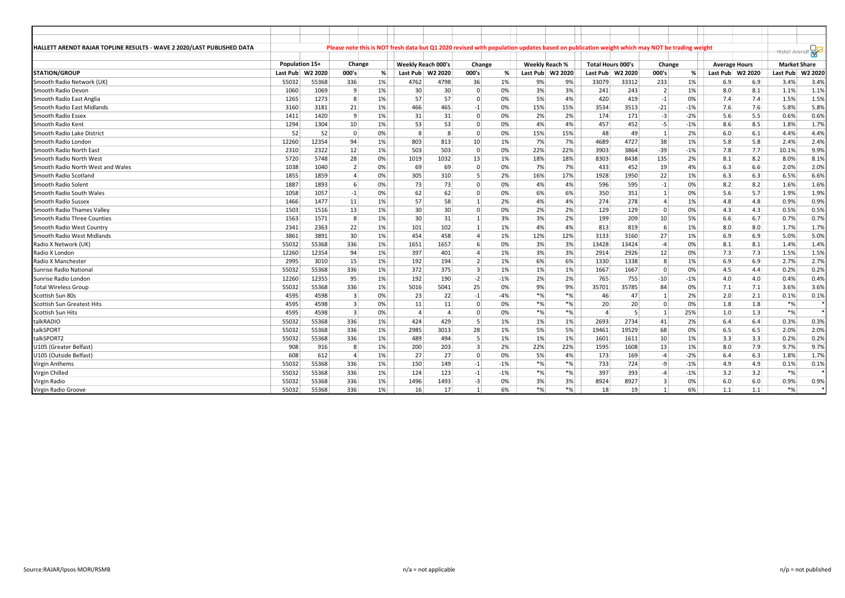| HALLETT ARENDT RAJAR TOPLINE RESULTS - WAVE 2 2020/LAST PUBLISHED DATA |                  |       |                  |       |                           |                |                |       |          |                  | Please note this is NOT fresh data but Q1 2020 revised with population updates based on publication weight which may NOT be trading weight |       |                |       |                      |     | - Hallet Arendt     |         |
|------------------------------------------------------------------------|------------------|-------|------------------|-------|---------------------------|----------------|----------------|-------|----------|------------------|--------------------------------------------------------------------------------------------------------------------------------------------|-------|----------------|-------|----------------------|-----|---------------------|---------|
|                                                                        | Population 15+   |       | Change           |       | <b>Weekly Reach 000's</b> |                | Change         |       |          | Weekly Reach %   | <b>Total Hours 000's</b>                                                                                                                   |       | Change         |       | <b>Average Hours</b> |     | <b>Market Share</b> |         |
| <b>STATION/GROUP</b>                                                   | Last Pub W2 2020 |       | 000's            | %     | Last Pub                  | W2 2020        | 000's          | %     |          | Last Pub W2 2020 | Last Pub W2 2020                                                                                                                           |       | 000's          | %     | Last Pub W2 2020     |     | Last Pub            | W2 2020 |
| Smooth Radio Network (UK)                                              | 55032            | 55368 | 336              | 1%    | 4762                      | 4798           | 36             | 1%    | 9%       | 9%               | 33079                                                                                                                                      | 33312 | 233            | 1%    | 6.9                  | 6.9 | 3.4%                | 3.4%    |
| Smooth Radio Devon                                                     | 1060             | 1069  | 9                | 1%    | 30                        | 30             | $\Omega$       | 0%    | 3%       | 3%               | 241                                                                                                                                        | 243   | $\vert$ 2      | 1%    | 8.0                  | 8.1 | 1.1%                | 1.1%    |
| Smooth Radio East Anglia                                               | 1265             | 1273  | 8                | 1%    | 57                        | 57             | $\Omega$       | 0%    | 5%       | 4%               | 420                                                                                                                                        | 419   | $-1$           | 0%    | 7.4                  | 7.4 | 1.5%                | 1.5%    |
| Smooth Radio East Midlands                                             | 3160             | 3181  | 21               | $1\%$ | 466                       | 465            | $-1$           | 0%    | 15%      | 15%              | 3534                                                                                                                                       | 3513  | $-21$          | $-1%$ | 7.6                  | 7.6 | 5.8%                | 5.8%    |
| <b>Smooth Radio Essex</b>                                              | 1411             | 1420  | 9                | $1\%$ | 31                        | 31             | $\Omega$       | 0%    | 2%       | 2%               | 174                                                                                                                                        | 171   | $-3$           | $-2%$ | 5.6                  | 5.5 | 0.6%                | 0.6%    |
| Smooth Radio Kent                                                      | 1294             | 1304  | 10 <sup>1</sup>  | 1%    | 53                        | 53             | $\Omega$       | 0%    | 4%       | 4%               | 457                                                                                                                                        | 452   | $-5$           | $-1%$ | 8.6                  | 8.5 | 1.8%                | 1.7%    |
| Smooth Radio Lake District                                             | 52               | 52    | $\overline{0}$   | 0%    | 8                         | 8              | $\Omega$       | 0%    | 15%      | 15%              | 48                                                                                                                                         | 49    | $\mathbf{1}$   | 2%    | 6.0                  | 6.1 | 4.4%                | 4.4%    |
| Smooth Radio London                                                    | 12260            | 12354 | 94               | 1%    | 803                       | 813            | 10             | 1%    | 7%       | 7%               | 4689                                                                                                                                       | 4727  | 38             | 1%    | 5.8                  | 5.8 | 2.4%                | 2.4%    |
| Smooth Radio North East                                                | 2310             | 2322  | 12               | 1%    | 503                       | 503            | $\Omega$       | 0%    | 22%      | 22%              | 3903                                                                                                                                       | 3864  | $-39$          | $-1%$ | 7.8                  | 7.7 | 10.1%               | 9.9%    |
| Smooth Radio North West                                                | 5720             | 5748  | 28               | 0%    | 1019                      | 1032           | 13             | 1%    | 18%      | 18%              | 8303                                                                                                                                       | 8438  | 135            | 2%    | 8.1                  | 8.2 | 8.0%                | 8.1%    |
| Smooth Radio North West and Wales                                      | 1038             | 1040  | $\overline{2}$   | 0%    | 69                        | 69             | $\Omega$       | 0%    | 7%       | 7%               | 433                                                                                                                                        | 452   | 19             | 4%    | 6.3                  | 6.6 | 2.0%                | 2.0%    |
| Smooth Radio Scotland                                                  | 1855             | 1859  | $\overline{4}$   | $0\%$ | 305                       | 310            | 5              | 2%    | 16%      | 17%              | 1928                                                                                                                                       | 1950  | 22             | 1%    | 6.3                  | 6.3 | 6.5%                | 6.6%    |
| Smooth Radio Solent                                                    | 1887             | 1893  | $6 \overline{6}$ | 0%    | 73                        | 73             | $\Omega$       | 0%    | 4%       | 4%               | 596                                                                                                                                        | 595   | $-1$           | 0%    | 8.2                  | 8.2 | 1.6%                | 1.6%    |
| Smooth Radio South Wales                                               | 1058             | 1057  | $-1$             | 0%    | 62                        | 62             | $\Omega$       | 0%    | 6%       | 6%               | 350                                                                                                                                        | 351   | 1              | 0%    | 5.6                  | 5.7 | 1.9%                | 1.9%    |
| Smooth Radio Sussex                                                    | 1466             | 1477  | 11               | 1%    | 57                        | 58             | $\mathbf{1}$   | 2%    | 4%       | 4%               | 274                                                                                                                                        | 278   | $\overline{4}$ | 1%    | 4.8                  | 4.8 | 0.9%                | 0.9%    |
| Smooth Radio Thames Valley                                             | 1503             | 1516  | 13               | $1\%$ | 30 <sup>2</sup>           | 30             | $\Omega$       | 0%    | 2%       | 2%               | 129                                                                                                                                        | 129   | $\Omega$       | 0%    | 4.3                  | 4.3 | 0.5%                | 0.5%    |
| Smooth Radio Three Counties                                            | 1563             | 1571  | 8                | $1\%$ | 30                        | 31             | 1              | 3%    | 3%       | 2%               | 199                                                                                                                                        | 209   | 10             | 5%    | 6.6                  | 6.7 | 0.7%                | 0.7%    |
| Smooth Radio West Country                                              | 2341             | 2363  | 22               | 1%    | 101                       | 102            | $\mathbf{1}$   | 1%    | 4%       | 4%               | 813                                                                                                                                        | 819   | 6              | 1%    | 8.0                  | 8.0 | 1.7%                | 1.7%    |
| Smooth Radio West Midlands                                             | 3861             | 3891  | 30               | 1%    | 454                       | 458            | $\Delta$       | 1%    | 12%      | 12%              | 3133                                                                                                                                       | 3160  | 27             | 1%    | 6.9                  | 6.9 | 5.0%                | 5.0%    |
| Radio X Network (UK)                                                   | 55032            | 55368 | 336              | 1%    | 1651                      | 1657           | 6              | 0%    | 3%       | 3%               | 13428                                                                                                                                      | 13424 | $-4$           | 0%    | 8.1                  | 8.1 | 1.4%                | 1.4%    |
| Radio X London                                                         | 12260            | 12354 | 94               | 1%    | 397                       | 401            | 4              | 1%    | 3%       | 3%               | 2914                                                                                                                                       | 2926  | 12             | 0%    | 7.3                  | 7.3 | 1.5%                | 1.5%    |
| Radio X Manchester                                                     | 2995             | 3010  | 15               | 1%    | 192                       | 194            | 2 <sup>1</sup> | 1%    | 6%       | 6%               | 1330                                                                                                                                       | 1338  | 8              | 1%    | 6.9                  | 6.9 | 2.7%                | 2.7%    |
| Sunrise Radio National                                                 | 55032            | 55368 | 336              | $1\%$ | 372                       | 375            | $\overline{3}$ | 1%    | 1%       | 1%               | 1667                                                                                                                                       | 1667  | $\Omega$       | 0%    | 4.5                  | 4.4 | 0.2%                | 0.2%    |
| Sunrise Radio London                                                   | 12260            | 12355 | 95               | 1%    | 192                       | 190            | $-2$           | $-1%$ | 2%       | 2%               | 765                                                                                                                                        | 755   | $-10$          | $-1%$ | 4.0                  | 4.0 | 0.4%                | 0.4%    |
| <b>Total Wireless Group</b>                                            | 55032            | 55368 | 336              | 1%    | 5016                      | 5041           | 25             | 0%    | 9%       | 9%               | 35701                                                                                                                                      | 35785 | 84             | 0%    | 7.1                  | 7.1 | 3.6%                | 3.6%    |
| Scottish Sun 80s                                                       | 4595             | 4598  | $\overline{3}$   | 0%    | 23                        | 22             | $-1$           | $-4%$ | $*$ %    | $*$ %            | 46                                                                                                                                         | 47    | $\mathbf{1}$   | 2%    | 2.0                  | 2.1 | 0.1%                | 0.1%    |
| <b>Scottish Sun Greatest Hits</b>                                      | 4595             | 4598  | $\overline{3}$   | 0%    | 11                        | 11             | $\Omega$       | 0%    | $*_{\%}$ | $*%$             | 20                                                                                                                                         | 20    | $\Omega$       | 0%    | 1.8                  | 1.8 | $*$ %               |         |
| Scottish Sun Hits                                                      | 4595             | 4598  | $\overline{3}$   | 0%    | $\overline{4}$            | $\overline{4}$ | $\Omega$       | 0%    | $*$ %    | $*%$             | $\overline{a}$                                                                                                                             | .5    | 1              | 25%   | 1.0                  | 1.3 | $*$ %               |         |
| talkRADIO                                                              | 55032            | 55368 | 336              | $1\%$ | 424                       | 429            | 5              | 1%    | 1%       | 1%               | 2693                                                                                                                                       | 2734  | 41             | 2%    | 6.4                  | 6.4 | 0.3%                | 0.3%    |
| talkSPORT                                                              | 55032            | 55368 | 336              | $1\%$ | 2985                      | 3013           | 28             | 1%    | 5%       | 5%               | 19461                                                                                                                                      | 19529 | 68             | 0%    | 6.5                  | 6.5 | 2.0%                | 2.0%    |
| talkSPORT2                                                             | 55032            | 55368 | 336              | $1\%$ | 489                       | 494            | 5              | 1%    | 1%       | 1%               | 1601                                                                                                                                       | 1611  | 10             | 1%    | 3.3                  | 3.3 | 0.2%                | 0.2%    |
| U105 (Greater Belfast)                                                 | 908              | 916   | 8                | 1%    | 200                       | 203            | $\overline{3}$ | 2%    | 22%      | 22%              | 1595                                                                                                                                       | 1608  | 13             | 1%    | 8.0                  | 7.9 | 9.7%                | 9.7%    |
| U105 (Outside Belfast)                                                 | 608              | 612   | $\overline{4}$   | 1%    | 27                        | 27             | $\Omega$       | 0%    | 5%       | 4%               | 173                                                                                                                                        | 169   | $-4$           | $-2%$ | 6.4                  | 6.3 | 1.8%                | 1.7%    |
| <b>Virgin Anthems</b>                                                  | 55032            | 55368 | 336              | 1%    | 150                       | 149            | $-1$           | $-1%$ | $*$ %    | $*$ %            | 733                                                                                                                                        | 724   | -9             | $-1%$ | 4.9                  | 4.9 | 0.1%                | 0.1%    |
| Virgin Chilled                                                         | 55032            | 55368 | 336              | 1%    | 124                       | 123            | $-1$           | $-1%$ | $*_{\%}$ | $*%$             | 397                                                                                                                                        | 393   | $-4$           | $-1%$ | 3.2                  | 3.2 | $*$ %               |         |
| Virgin Radio                                                           | 55032            | 55368 | 336              | 1%    | 1496                      | 1493           | $-3$           | 0%    | 3%       | 3%               | 8924                                                                                                                                       | 8927  | $\overline{3}$ | 0%    | 6.0                  | 6.0 | 0.9%                | 0.9%    |
| Virgin Radio Groove                                                    | 55032            | 55368 | 336              | 1%    | 16                        | 17             | $\mathbf{1}$   | 6%    | $*$ %    | $*%$             | 18                                                                                                                                         | 19    |                | 6%    | 1.1                  | 1.1 | $*$ %               |         |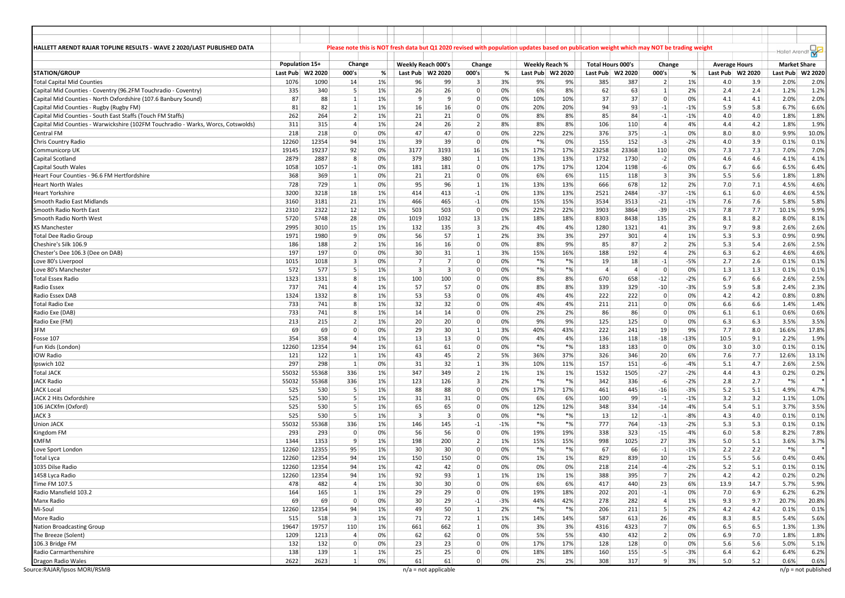| HALLETT ARENDT RAJAR TOPLINE RESULTS - WAVE 2 2020/LAST PUBLISHED DATA           |       |                                    |                 |    |                           |                        |                         |       | Please note this is NOT fresh data but Q1 2020 revised with population updates based on publication weight which may NOT be trading weight |       |                                                |                |                         |        |                                          |      | Hallet Arend <sup>®</sup>       | $\frac{1}{N}$         |
|----------------------------------------------------------------------------------|-------|------------------------------------|-----------------|----|---------------------------|------------------------|-------------------------|-------|--------------------------------------------------------------------------------------------------------------------------------------------|-------|------------------------------------------------|----------------|-------------------------|--------|------------------------------------------|------|---------------------------------|-----------------------|
|                                                                                  |       |                                    |                 |    |                           |                        |                         |       |                                                                                                                                            |       |                                                |                |                         |        |                                          |      |                                 |                       |
| <b>STATION/GROUP</b>                                                             |       | Population 15+<br>Last Pub W2 2020 | Change<br>000's | %  | <b>Weekly Reach 000's</b> | Last Pub W2 2020       | Change<br>000's         | %     | Weekly Reach %<br>W2 2020<br>Last Pub                                                                                                      |       | <b>Total Hours 000's</b><br>Last Pub   W2 2020 |                | Change<br>000's         | %      | <b>Average Hours</b><br>Last Pub W2 2020 |      | <b>Market Share</b><br>Last Pub | W2 2020               |
| <b>Total Capital Mid Counties</b>                                                | 1076  | 1090                               | 14              | 1% | 96                        | 99                     | $\overline{\mathbf{3}}$ | 3%    | 9%                                                                                                                                         | 9%    | 385                                            | 387            | $\overline{2}$          | 1%     | 4.0                                      | 3.9  | 2.0%                            | 2.0%                  |
| Capital Mid Counties - Coventry (96.2FM Touchradio - Coventry)                   | 335   | 340                                | 5               | 1% | 26                        | 26                     | 0                       | 0%    | 6%                                                                                                                                         | 8%    | 62                                             | 63             | $\vert$ 1               | 2%     | 2.4                                      | 2.4  | 1.2%                            | 1.2%                  |
| Capital Mid Counties - North Oxfordshire (107.6 Banbury Sound)                   | 87    | 88                                 | 1               | 1% | 9                         | -9                     | $\mathbf 0$             | 0%    | 10%                                                                                                                                        | 10%   | 37                                             | 37             | $\Omega$                | 0%     | 4.1                                      | 4.1  | 2.0%                            | 2.0%                  |
| Capital Mid Counties - Rugby (Rugby FM)                                          | 81    | 82                                 | 1               | 1% | 16                        | 16                     | $\mathbf 0$             | 0%    | 20%<br>20%                                                                                                                                 |       | 94                                             | 93             | $-1$                    | $-1%$  | 5.9                                      | 5.8  | 6.7%                            | 6.6%                  |
| Capital Mid Counties - South East Staffs (Touch FM Staffs)                       | 262   | 264                                | $\overline{2}$  | 1% | 21                        | 21                     | $\mathbf 0$             | 0%    | 8%                                                                                                                                         | 8%    | 85                                             | 84             | $-1$                    | $-1%$  | 4.0                                      | 4.0  | 1.8%                            | 1.8%                  |
| Capital Mid Counties - Warwickshire (102FM Touchradio - Warks, Worcs, Cotswolds) | 311   | 315                                | $\overline{4}$  | 1% | 24                        | 26                     | 2                       | 8%    | 8%                                                                                                                                         | 8%    | 106                                            | 110            | $\overline{4}$          | 4%     | 4.4                                      | 4.2  | 1.8%                            | 1.9%                  |
| Central FM                                                                       | 218   | 218                                | $\overline{0}$  | 0% | 47                        | 47                     | $\mathbf 0$             | 0%    | 22%<br>22%                                                                                                                                 |       | 376                                            | 375            | $-1$                    | 0%     | 8.0                                      | 8.0  | 9.9%                            | 10.0%                 |
| Chris Country Radio                                                              | 12260 | 12354                              | 94              | 1% | 39                        | 39                     | 0                       | 0%    | $^{\ast}\%$                                                                                                                                | 0%    | 155                                            | 152            | $-3$                    | $-2%$  | 4.0                                      | 3.9  | 0.1%                            | 0.1%                  |
| Communicorp UK                                                                   | 19145 | 19237                              | 92              | 0% | 3177                      | 3193                   | 16                      | 1%    | 17%<br>17%                                                                                                                                 |       | 23258                                          | 23368          | 110                     | 0%     | 7.3                                      | 7.3  | 7.0%                            | 7.0%                  |
| Capital Scotland                                                                 | 2879  | 2887                               | 8               | 0% | 379                       | 380                    | $\mathbf{1}$            | 0%    | 13%<br>13%                                                                                                                                 |       | 1732                                           | 1730           | $-2$                    | 0%     | 4.6                                      | 4.6  | 4.1%                            | 4.1%                  |
| Capital South Wales                                                              | 1058  | 1057                               | $-1$            | 0% | 181                       | 181                    | $\overline{0}$          | 0%    | 17%<br>17%                                                                                                                                 |       | 1204                                           | 1198           | $-6$                    | 0%     | 6.7                                      | 6.6  | 6.5%                            | 6.4%                  |
| Heart Four Counties - 96.6 FM Hertfordshire                                      | 368   | 369                                | $\mathbf{1}$    | 0% | 21                        | 21                     | $\mathbf 0$             | 0%    | 6%                                                                                                                                         | 6%    | 115                                            | 118            | $\overline{\mathbf{3}}$ | 3%     | 5.5                                      | 5.6  | 1.8%                            | 1.8%                  |
| Heart North Wales                                                                | 728   | 729                                | $\mathbf{1}$    | 0% | 95                        | 96                     | $\mathbf{1}$            | 1%    | 13%<br>13%                                                                                                                                 |       | 666                                            | 678            | 12                      | 2%     | 7.0                                      | 7.1  | 4.5%                            | 4.6%                  |
| Heart Yorkshire                                                                  | 3200  | 3218                               | 18              | 1% | 414                       | 413                    | $-1$                    | 0%    | 13%<br>13%                                                                                                                                 |       | 2521                                           | 2484           | $-37$                   | $-1%$  | 6.1                                      | 6.0  | 4.6%                            | 4.5%                  |
| Smooth Radio East Midlands                                                       | 3160  | 3181                               | 21              | 1% | 466                       | 465                    | $-1$                    | 0%    | 15%<br>15%                                                                                                                                 |       | 3534                                           | 3513           | $-21$                   | $-1%$  | 7.6                                      | 7.6  | 5.8%                            | 5.8%                  |
| Smooth Radio North East                                                          | 2310  | 2322                               | 12              | 1% | 503                       | 503                    | $\mathbf 0$             | 0%    | 22%<br>22%                                                                                                                                 |       | 3903                                           | 3864           | $-39$                   | $-1%$  | 7.8                                      | 7.7  | 10.1%                           | 9.9%                  |
| Smooth Radio North West                                                          | 5720  | 5748                               | 28              | 0% | 1019                      | 1032                   | 13                      | 1%    | 18%                                                                                                                                        | 18%   | 8303                                           | 8438           | 135                     | 2%     | 8.1                                      | 8.2  | 8.0%                            | 8.1%                  |
| <b>XS Manchester</b>                                                             | 2995  | 3010                               | 15              | 1% | 132                       | 135                    | $\overline{3}$          | 2%    | 4%                                                                                                                                         | 4%    | 1280                                           | 1321           | 41                      | 3%     | 9.7                                      | 9.8  | 2.6%                            | 2.6%                  |
| Total Dee Radio Group                                                            | 1971  | 1980                               | 9               | 0% | 56                        | 57                     | $\mathbf{1}$            | 2%    | 3%                                                                                                                                         | 3%    | 297                                            | 301            | $\overline{4}$          | 1%     | 5.3                                      | 5.3  | 0.9%                            | 0.9%                  |
| Cheshire's Silk 106.9                                                            | 186   | 188                                | $\vert$ 2       | 1% | 16                        | 16                     | $\overline{0}$          | 0%    | 8%                                                                                                                                         | 9%    | 85                                             | 87             | $\overline{2}$          | 2%     | 5.3                                      | 5.4  | 2.6%                            | 2.5%                  |
| Chester's Dee 106.3 (Dee on DAB)                                                 | 197   | 197                                | $\overline{0}$  | 0% | 30                        | 31                     | 1                       | 3%    | 15%                                                                                                                                        | 16%   | 188                                            | 192            | 4                       | 2%     | 6.3                                      | 6.2  | 4.6%                            | 4.6%                  |
| Love 80's Liverpool                                                              | 1015  | 1018                               | 3               | 0% | $\overline{7}$            | $\overline{7}$         | $\mathbf 0$             | 0%    | $*%$                                                                                                                                       | $*%$  | 19                                             | 18             | $-1$                    | -5%    | 2.7                                      | 2.6  | 0.1%                            | 0.1%                  |
| Love 80's Manchester                                                             | 572   | 577                                | 5               | 1% | $\overline{\mathbf{3}}$   | $\vert$ 3              | $\mathbf 0$             | 0%    | $*%$                                                                                                                                       | $*%$  | $\overline{4}$                                 | $\overline{4}$ | $\mathbf 0$             | 0%     | 1.3                                      | 1.3  | 0.1%                            | 0.1%                  |
| <b>Total Essex Radio</b>                                                         | 1323  | 1331                               | 8               | 1% | 100                       | 100                    | $\mathbf 0$             | 0%    | 8%                                                                                                                                         | 8%    | 670                                            | 658            | $-12$                   | $-2%$  | 6.7                                      | 6.6  | 2.6%                            | 2.5%                  |
| Radio Essex                                                                      | 737   | 741                                | $\overline{4}$  | 1% | 57                        | 57                     | $\mathbf 0$             | 0%    | 8%                                                                                                                                         | 8%    | 339                                            | 329            | $-10$                   | $-3%$  | 5.9                                      | 5.8  | 2.4%                            | 2.3%                  |
| Radio Essex DAB                                                                  | 1324  | 1332                               | 8               | 1% | 53                        | 53                     | $\overline{0}$          | 0%    | 4%                                                                                                                                         | 4%    | 222                                            | 222            | 0                       | 0%     | 4.2                                      | 4.2  | 0.8%                            | 0.8%                  |
| <b>Total Radio Exe</b>                                                           | 733   | 741                                | 8               | 1% | 32                        | 32                     | 0                       | 0%    | 4%                                                                                                                                         | 4%    | 211                                            | 211            | 0                       | 0%     | 6.6                                      | 6.6  | 1.4%                            | 1.4%                  |
| Radio Exe (DAB)                                                                  | 733   | 741                                | 8               | 1% | 14                        | 14                     | 0                       | 0%    | 2%                                                                                                                                         | 2%    | 86                                             | 86             | $\Omega$                | 0%     | 6.1                                      | 6.1  | 0.6%                            | 0.6%                  |
| Radio Exe (FM)                                                                   | 213   | 215                                | $\overline{2}$  | 1% | 20                        | 20                     | $\mathbf 0$             | 0%    | 9%                                                                                                                                         | 9%    | 125                                            | 125            | $\mathbf 0$             | 0%     | 6.3                                      | 6.3  | 3.5%                            | 3.5%                  |
| 3FM                                                                              | 69    | 69                                 | $\vert$ 0       | 0% | 29                        | 30                     | 1                       | 3%    | 40%                                                                                                                                        | 43%   | 222                                            | 241            | 19                      | 9%     | 7.7                                      | 8.0  | 16.6%                           | 17.8%                 |
| Fosse 107                                                                        | 354   | 358                                | $\overline{4}$  | 1% | 13                        | 13                     | $\mathbf 0$             | 0%    | 4%                                                                                                                                         | 4%    | 136                                            | 118            | $-18$                   | $-13%$ | 10.5                                     | 9.1  | 2.2%                            | 1.9%                  |
| Fun Kids (London)                                                                | 12260 | 12354                              | 94              | 1% | 61                        | 61                     | $\mathbf 0$             | 0%    | $*_{\%}$                                                                                                                                   | $*$ % | 183                                            | 183            | $\mathbf 0$             | 0%     | 3.0                                      | 3.0  | 0.1%                            | 0.1%                  |
| <b>IOW Radio</b>                                                                 | 121   | 122                                | $\mathbf{1}$    | 1% | 43                        | 45                     | $\overline{2}$          | 5%    | 36%<br>37%                                                                                                                                 |       | 326                                            | 346            | 20 <sup>1</sup>         | 6%     | 7.6                                      | 7.7  | 12.6%                           | 13.1%                 |
| Ipswich 102                                                                      | 297   | 298                                | 1               | 0% | 31                        | 32                     | 1                       | 3%    | 10%                                                                                                                                        | 11%   | 157                                            | 151            | $-6$                    | $-4%$  | 5.1                                      | 4.7  | 2.6%                            | 2.5%                  |
| <b>Total JACK</b>                                                                | 55032 | 55368                              | 336             | 1% | 347                       | 349                    | 2                       | 1%    | 1%                                                                                                                                         | 1%    | 1532                                           | 1505           | $-27$                   | $-2%$  | 4.4                                      | 4.3  | 0.2%                            | 0.2%                  |
| JACK Radio                                                                       | 55032 | 55368                              | 336             | 1% | 123                       | 126                    | $\overline{3}$          | 2%    | $*%$                                                                                                                                       | $*%$  | 342                                            | 336            | $-6$                    | $-2%$  | 2.8                                      | 2.7  | $*%$                            |                       |
| <b>JACK Local</b>                                                                | 525   | 530                                | - 5             | 1% | 88                        | 88                     | $\mathbf 0$             | 0%    | 17%                                                                                                                                        | 17%   | 461                                            | 445            | $-16$                   | $-3%$  | 5.2                                      | 5.1  | 4.9%                            | 4.7%                  |
| JACK 2 Hits Oxfordshire                                                          | 525   | 530                                | 5               | 1% | 31                        | 31                     | $\mathbf 0$             | 0%    | 6%                                                                                                                                         | 6%    | 100                                            | 99             | $-1$                    | $-1%$  | 3.2                                      | 3.2  | 1.1%                            | 1.0%                  |
| 106 JACKfm (Oxford)                                                              | 525   | 530                                | 5               | 1% | 65                        | 65                     | $\mathbf 0$             | 0%    | 12%                                                                                                                                        | 12%   | 348                                            | 334            | $-14$                   | $-4%$  | 5.4                                      | 5.1  | 3.7%                            | 3.5%                  |
| JACK <sub>3</sub>                                                                | 525   | 530                                | 5               | 1% | 3                         | -3                     | 0                       | 0%    | $*%$                                                                                                                                       | $*%$  | 13                                             | 12             | $-1$                    | $-8%$  | 4.3                                      | 4.0  | 0.1%                            | 0.1%                  |
| <b>Union JACK</b>                                                                | 55032 | 55368                              | 336             | 1% | 146                       | 145                    | $-1$                    | $-1%$ | $*$ %                                                                                                                                      | $*%$  | 777                                            | 764            | $-13$                   | $-2%$  | 5.3                                      | 5.3  | 0.1%                            | 0.1%                  |
| Kingdom FM                                                                       | 293   | 293                                | $\overline{0}$  | 0% | 56                        | 56                     | $\mathbf 0$             | 0%    | 19%<br>19%                                                                                                                                 |       | 338                                            | 323            | $-15$                   | $-4%$  | 6.0                                      | 5.8  | 8.2%                            | 7.8%                  |
| <b>KMFM</b>                                                                      | 1344  | 1353                               | 9               | 1% | 198                       | 200                    | 2                       | 1%    | 15%                                                                                                                                        | 15%   | 998                                            | 1025           | 27                      | 3%     | 5.0                                      | 5.1  | 3.6%                            | 3.7%                  |
| Love Sport London                                                                | 12260 | 12355                              | 95              | 1% | 30                        | 30                     | $\mathbf 0$             | 0%    | $^{\ast}\%$                                                                                                                                | $*%$  | 67                                             | 66             | $-1$                    | $-1%$  | 2.2                                      | 2.2  | $*%$                            |                       |
| <b>Total Lyca</b>                                                                | 12260 | 12354                              | 94              | 1% | 150                       | 150                    | $\Omega$                | 0%    | 1%                                                                                                                                         | 1%    | 829                                            | 839            | 10                      | 1%     | 5.5                                      | 5.6  | 0.4%                            | 0.4%                  |
| 1035 Dilse Radio                                                                 | 12260 | 12354                              | 94              | 1% | 42                        | 42                     | 0                       | 0%    | 0%                                                                                                                                         | 0%    | 218                                            | 214            | $-4$                    | $-2%$  | 5.2                                      | 5.1  | 0.1%                            | 0.1%                  |
| 1458 Lyca Radic                                                                  | 12260 | 12354                              | 94              | 1% | 92                        | 93                     | $\mathbf{1}$            | 1%    | 1%                                                                                                                                         | 1%    | 388                                            | 395            | $\overline{7}$          | 2%     | 4.2                                      | 4.2  | 0.2%                            | 0.2%                  |
| Time FM 107.5                                                                    | 478   | 482                                | $\vert$ 4       | 1% | 30                        | 30                     | $\overline{0}$          | 0%    | 6%                                                                                                                                         | 6%    | 417                                            | 440            | 23                      | 6%     | 13.9                                     | 14.7 | 5.7%                            | 5.9%                  |
| Radio Mansfield 103.2                                                            | 164   | 165                                | $\vert$ 1       | 1% | 29                        | 29                     | $\overline{0}$          | 0%    | 19%<br>18%                                                                                                                                 |       | 202                                            | 201            | $-1$                    | 0%     | 7.0                                      | 6.9  | 6.2%                            | 6.2%                  |
| Manx Radio                                                                       | 69    | 69                                 | $\overline{0}$  | 0% | 30                        | 29                     | $-1$                    | $-3%$ | 44%<br>42%                                                                                                                                 |       | 278                                            | 282            | $\overline{4}$          | 1%     | 9.3                                      | 9.7  | 20.7%                           | 20.8%                 |
| Mi-Soul                                                                          | 12260 | 12354                              | 94              | 1% | 49                        | 50                     | $1\vert$                | 2%    | $*%$                                                                                                                                       | $*%$  | 206                                            | 211            | 5                       | 2%     | 4.2                                      | 4.2  | 0.1%                            | 0.1%                  |
| More Radio                                                                       | 515   | 518                                | $\vert$ 3       | 1% | 71                        | 72                     | $\mathbf{1}$            | 1%    | 14%                                                                                                                                        | 14%   | 587                                            | 613            | 26                      | 4%     | 8.3                                      | 8.5  | 5.4%                            | 5.6%                  |
| Nation Broadcasting Group                                                        | 19647 | 19757                              | 110             | 1% | 661                       | 662                    | $1\vert$                | 0%    | 3%                                                                                                                                         | 3%    | 4316                                           | 4323           | 7                       | 0%     | 6.5                                      | 6.5  | 1.3%                            | 1.3%                  |
| The Breeze (Solent)                                                              | 1209  | 1213                               | $\overline{4}$  | 0% | 62                        | 62                     | $\overline{0}$          | 0%    | 5%                                                                                                                                         | 5%    | 430                                            | 432            | 2                       | 0%     | 6.9                                      | 7.0  | 1.8%                            | 1.8%                  |
| 106.3 Bridge FM                                                                  | 132   | 132                                | $\overline{0}$  | 0% | 23                        | 23                     | $\overline{0}$          | 0%    | 17%<br>17%                                                                                                                                 |       | 128                                            | 128            | $\mathbf{0}$            | 0%     | 5.6                                      | 5.6  | 5.0%                            | 5.1%                  |
| Radio Carmarthenshire                                                            | 138   | 139                                | $\vert$ 1       | 1% | 25                        | 25                     | $\overline{0}$          | 0%    | 18%<br>18%                                                                                                                                 |       | 160                                            | 155            | $-5$                    | $-3%$  | 6.4                                      | 6.2  | 6.4%                            | 6.2%                  |
| Dragon Radio Wales                                                               | 2622  | 2623                               | $\mathbf{1}$    | 0% | 61                        | 61                     | $\mathbf{0}$            | 0%    | 2%                                                                                                                                         | 2%    | 308                                            | 317            | $\overline{9}$          | 3%     | 5.0                                      | 5.2  | 0.6%                            | 0.6%                  |
| Source:RAJAR/Ipsos MORI/RSMB                                                     |       |                                    |                 |    |                           | $n/a$ = not applicable |                         |       |                                                                                                                                            |       |                                                |                |                         |        |                                          |      |                                 | $n/p$ = not published |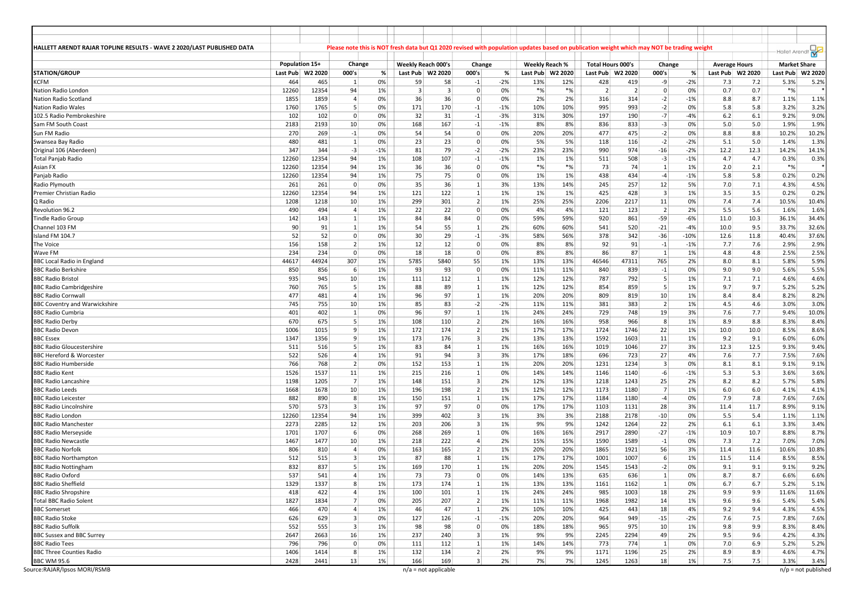| HALLETT ARENDT RAJAR TOPLINE RESULTS - WAVE 2 2020/LAST PUBLISHED DATA |                |              |                         |       | Please note this is NOT fresh data but Q1 2020 revised with population updates based on publication weight which may NOT be trading weight |                |                |       |          |                |                          |                |                         |        |                      |      |                                      |         |
|------------------------------------------------------------------------|----------------|--------------|-------------------------|-------|--------------------------------------------------------------------------------------------------------------------------------------------|----------------|----------------|-------|----------|----------------|--------------------------|----------------|-------------------------|--------|----------------------|------|--------------------------------------|---------|
|                                                                        | Population 15+ |              | Change                  |       | Weekly Reach 000's                                                                                                                         |                | Change         |       |          | Weekly Reach % | <b>Total Hours 000's</b> |                | Change                  |        | <b>Average Hours</b> |      | Hallet Arendt<br><b>Market Share</b> |         |
| <b>STATION/GROUP</b>                                                   | Last Pub       | W2 2020      | 000's                   | %     | Last Pub W2 2020                                                                                                                           |                | 000's          | %     | Last Pub | W2 2020        | Last Pub                 | W2 2020        | 000's                   | %      | Last Pub   W2 2020   |      | Last Pub                             | W2 2020 |
| <b>KCFM</b>                                                            | 464            | 465          | -1                      | 0%    | 59                                                                                                                                         | 58             | $-1$           | $-2%$ | 13%      | 12%            | 428                      | 419            | -9                      | $-2%$  | 7.3                  | 7.2  | 5.3%                                 | 5.2%    |
| Nation Radio London                                                    | 12260          | 12354        | 94                      | 1%    | $\overline{3}$                                                                                                                             | $\overline{3}$ | 0              | 0%    | $*_{\%}$ | $*%$           | $\overline{2}$           | $\overline{2}$ | $\overline{0}$          | 0%     | 0.7                  | 0.7  | $*$ %                                |         |
|                                                                        | 1855           | 1859         | $\overline{4}$          | 0%    | 36                                                                                                                                         | 36             | 0              |       | 2%       |                | 316                      | 314            |                         | $-1%$  | 8.8                  | 8.7  |                                      |         |
| Nation Radio Scotland                                                  |                |              |                         |       |                                                                                                                                            |                |                | 0%    |          | 2%             |                          |                | $-2$                    |        |                      |      | 1.1%                                 | 1.1%    |
| <b>Nation Radio Wales</b>                                              | 1760           | 1765         | 5                       | 0%    | 171                                                                                                                                        | 170            | $-1$           | $-1%$ | 10%      | 10%            | 995                      | 993            | $-2$                    | 0%     | 5.8                  | 5.8  | 3.2%                                 | 3.2%    |
| 102.5 Radio Pembrokeshire                                              | 102            | 102          | $\mathbf 0$             | 0%    | 32                                                                                                                                         | 31             | $-1$           | $-3%$ | 31%      | 30%            | 197                      | 190            | $-7$                    | $-4%$  | 6.2                  | 6.1  | 9.2%                                 | 9.0%    |
| Sam FM South Coast                                                     | 2183           | 2193         | 10                      | 0%    | 168                                                                                                                                        | 167            | $-1$           | $-1%$ | 8%       | 8%             | 836                      | 833            | $-3$                    | 0%     | 5.0                  | 5.0  | 1.9%                                 | 1.9%    |
| Sun FM Radio                                                           | 270            | 269          | $-1$                    | 0%    | 54                                                                                                                                         | 54             | $\Omega$       | 0%    | 20%      | 20%            | 477                      | 475            | $-2$                    | 0%     | 8.8                  | 8.8  | 10.2%                                | 10.2%   |
| Swansea Bay Radio                                                      | 480            | 481          | $\vert$ 1               | 0%    | 23                                                                                                                                         | 23             | $\overline{0}$ | 0%    | 5%       | 5%             | 118                      | 116            | $-2$                    | $-2%$  | 5.1                  | 5.0  | 1.4%                                 | 1.3%    |
| Original 106 (Aberdeen)                                                | 347            | 344          | $-3$                    | $-1%$ | 81                                                                                                                                         | 79             | $-2$           | $-2%$ | 23%      | 23%            | 990                      | 974            | $-16$                   | $-2%$  | 12.2                 | 12.3 | 14.2%                                | 14.1%   |
| <b>Total Panjab Radio</b>                                              | 12260          | 12354        | 94                      | 1%    | 108                                                                                                                                        | 107            | $-1$           | $-1%$ | 1%       | 1%             | 511                      | 508            | $-3$                    | $-1%$  | 4.7                  | 4.7  | 0.3%                                 | 0.3%    |
| Asian FX                                                               | 12260          | 12354        | 94                      | 1%    | 36                                                                                                                                         | 36             | $\mathbf 0$    | 0%    | $*$ %    | $*%$           | 73                       | 74             | $\mathbf{1}$            | 1%     | 2.0                  | 2.1  | $*%$                                 |         |
| Panjab Radio                                                           | 12260          | 12354        | 94                      | 1%    | 75                                                                                                                                         | 75             | $\overline{0}$ | 0%    | 1%       | 1%             | 438                      | 434            | $-4$                    | $-1%$  | 5.8                  | 5.8  | 0.2%                                 | 0.2%    |
| Radio Plymouth                                                         | 261            | 261          | $\mathbf 0$             | 0%    | 35                                                                                                                                         | 36             | 1              | 3%    | 13%      | 14%            | 245                      | 257            | 12                      | 5%     | 7.0                  | 7.1  | 4.3%                                 | 4.5%    |
| Premier Christian Radio                                                | 12260          | 12354        | 94                      | 1%    | 121                                                                                                                                        | 122            | $\mathbf{1}$   | 1%    | 1%       | 1%             | 425                      | 428            | $\overline{\mathbf{3}}$ | 1%     | 3.5                  | 3.5  | 0.2%                                 | 0.2%    |
| Q Radio                                                                | 1208           | 1218         | 10                      | 1%    | 299                                                                                                                                        | 301            | 2              | 1%    | 25%      | 25%            | 2206                     | 2217           | 11                      | 0%     | 7.4                  | 7.4  | 10.5%                                | 10.4%   |
| Revolution 96.2                                                        | 490            | 494          | $\overline{4}$          | 1%    | 22                                                                                                                                         | 22             | $\overline{0}$ | 0%    | 4%       | 4%             | 121                      | 123            | $\overline{2}$          | 2%     | 5.5                  | 5.6  | 1.6%                                 | 1.6%    |
| <b>Tindle Radio Group</b>                                              | 142            | 143          | $\mathbf{1}$            | 1%    | 84                                                                                                                                         | 84             | $\mathbf 0$    | 0%    | 59%      | 59%            | 920                      | 861            | $-59$                   | $-6%$  | 11.0                 | 10.3 | 36.1%                                | 34.4%   |
| Channel 103 FM                                                         | 90             | 91           | 1                       | 1%    | 54                                                                                                                                         | 55             | 1              | 2%    | 60%      | 60%            | 541                      | 520            | $-21$                   | $-4%$  | 10.0                 | 9.5  | 33.7%                                | 32.6%   |
| Island FM 104.7                                                        | 52             | 52           | $\mathbf 0$             | 0%    | 30 <sup>°</sup>                                                                                                                            | 29             |                | $-3%$ | 58%      | 56%            | 378                      | 342            | $-36$                   | $-10%$ |                      |      |                                      |         |
|                                                                        |                |              | $\overline{2}$          |       |                                                                                                                                            |                | $-1$           |       |          |                |                          |                |                         |        | 12.6                 | 11.8 | 40.4%                                | 37.6%   |
| The Voice                                                              | 156            | 158          |                         | 1%    | 12                                                                                                                                         | 12             | $\Omega$       | 0%    | 8%       | 8%             | 92                       | 91             | $\mathbf{-1}$           | $-1%$  | 7.7                  | 7.6  | 2.9%                                 | 2.9%    |
| Wave FM                                                                | 234            | 234          | $\Omega$                | 0%    | 18                                                                                                                                         | 18             | $\overline{0}$ | 0%    | 8%       | 8%             | 86                       | 87             | $\overline{1}$          | 1%     | 4.8                  | 4.8  | 2.5%                                 | 2.5%    |
| <b>BBC Local Radio in England</b>                                      | 44617          | 44924        | 307                     | 1%    | 5785                                                                                                                                       | 5840           | 55             | 1%    | 13%      | 13%            | 46546                    | 47311          | 765                     | 2%     | 8.0                  | 8.1  | 5.8%                                 | 5.9%    |
| <b>BBC Radio Berkshire</b>                                             | 850            | 856          | 6                       | 1%    | 93                                                                                                                                         | 93             | $\Omega$       | 0%    | 11%      | 11%            | 840                      | 839            | $-1$                    | 0%     | 9.0                  | 9.0  | 5.6%                                 | 5.5%    |
| <b>BBC Radio Bristol</b>                                               | 935            | 945          | 10                      | 1%    | 111                                                                                                                                        | 112            | $\mathbf{1}$   | 1%    | 12%      | 12%            | 787                      | 792            | 5                       | 1%     | 7.1                  | 7.1  | 4.6%                                 | 4.6%    |
| <b>BBC Radio Cambridgeshire</b>                                        | 760            | 765          | 5                       | 1%    | 88                                                                                                                                         | 89             | 1              | 1%    | 12%      | 12%            | 854                      | 859            | 5                       | 1%     | 9.7                  | 9.7  | 5.2%                                 | 5.2%    |
| <b>BBC Radio Cornwall</b>                                              | 477            | 481          | $\overline{4}$          | 1%    | 96                                                                                                                                         | 97             | 1              | 1%    | 20%      | 20%            | 809                      | 819            | 10                      | 1%     | 8.4                  | 8.4  | 8.2%                                 | 8.2%    |
| <b>BBC Coventry and Warwickshire</b>                                   | 745            | 755          | 10                      | 1%    | 85                                                                                                                                         | 83             | $-2$           | $-2%$ | 11%      | 11%            | 381                      | 383            | $\overline{2}$          | 1%     | 4.5                  | 4.6  | 3.0%                                 | 3.0%    |
| <b>BBC Radio Cumbria</b>                                               | 401            | 402          | $\vert$ 1               | 0%    | 96                                                                                                                                         | 97             | 1              | 1%    | 24%      | 24%            | 729                      | 748            | 19                      | 3%     | 7.6                  | 7.7  | 9.4%                                 | 10.0%   |
| <b>BBC Radio Derby</b>                                                 | 670            | 675          | 5                       | 1%    | 108                                                                                                                                        | 110            | $\overline{2}$ | 2%    | 16%      | 16%            | 958                      | 966            | 8                       | 1%     | 8.9                  | 8.8  | 8.3%                                 | 8.4%    |
| <b>BBC Radio Devon</b>                                                 | 1006           | 1015         | 9                       | 1%    | 172                                                                                                                                        | 174            | 2 <sup>1</sup> | 1%    | 17%      | 17%            | 1724                     | 1746           | 22                      | 1%     | 10.0                 | 10.0 | 8.5%                                 | 8.6%    |
| <b>BBC</b> Essex                                                       | 1347           | 1356         | 9                       | 1%    | 173                                                                                                                                        | 176            | $\overline{3}$ | 2%    | 13%      | 13%            | 1592                     | 1603           | 11                      | 1%     | 9.2                  | 9.1  | 6.0%                                 | 6.0%    |
| <b>BBC Radio Gloucestershire</b>                                       | 511            | 516          | 5                       | 1%    | 83                                                                                                                                         | 84             | 1              | 1%    | 16%      | 16%            | 1019                     | 1046           | 27                      | 3%     | 12.3                 | 12.5 | 9.3%                                 | 9.4%    |
| <b>BBC Hereford &amp; Worcester</b>                                    | 522            | 526          | $\overline{4}$          | 1%    | 91                                                                                                                                         | 94             | $\overline{3}$ | 3%    | 17%      | 18%            | 696                      | 723            | 27                      | 4%     | 7.6                  | 7.7  | 7.5%                                 | 7.6%    |
| <b>BBC Radio Humberside</b>                                            | 766            | 768          | $\overline{2}$          | 0%    | 152                                                                                                                                        | 153            | 1              | 1%    | 20%      | 20%            | 1231                     | 1234           | $\overline{\mathbf{3}}$ | 0%     | 8.1                  | 8.1  | 9.1%                                 | 9.1%    |
| <b>BBC Radio Kent</b>                                                  | 1526           | 1537         | 11                      | 1%    | 215                                                                                                                                        | 216            | 1              | 0%    | 14%      | 14%            | 1146                     | 1140           | $-6$                    | $-1%$  | 5.3                  | 5.3  | 3.6%                                 | 3.6%    |
| <b>BBC Radio Lancashire</b>                                            |                |              | $\overline{7}$          | 1%    | 148                                                                                                                                        | 151            | $\overline{3}$ | 2%    | 12%      |                |                          | 1243           | 25                      | 2%     | 8.2                  |      |                                      | 5.8%    |
|                                                                        | 1198<br>1668   | 1205<br>1678 | 10                      | 1%    | 196                                                                                                                                        | 198            | 2              | 1%    | 12%      | 13%<br>12%     | 1218<br>1173             |                | $\overline{7}$          | 1%     | 6.0                  | 8.2  | 5.7%                                 | 4.1%    |
| <b>BBC Radio Leeds</b>                                                 |                |              |                         |       |                                                                                                                                            |                |                |       |          |                |                          | 1180           |                         |        |                      | 6.0  | 4.1%                                 |         |
| <b>BBC Radio Leicester</b>                                             | 882            | 890          | 8                       | 1%    | 150                                                                                                                                        | 151            | $\mathbf{1}$   | 1%    | 17%      | 17%            | 1184                     | 1180           | $-4$                    | 0%     | 7.9                  | 7.8  | 7.6%                                 | 7.6%    |
| <b>BBC Radio Lincolnshire</b>                                          | 570            | 573          | $\overline{\mathbf{3}}$ | 1%    | 97                                                                                                                                         | 97             | $\overline{0}$ | 0%    | 17%      | 17%            | 1103                     | 1131           | 28                      | 3%     | 11.4                 | 11.7 | 8.9%                                 | 9.1%    |
| <b>BBC Radio London</b>                                                | 12260          | 12354        | 94                      | 1%    | 399                                                                                                                                        | 402            | 3              | 1%    | 3%       | 3%             | 2188                     | 2178           | $-10$                   | 0%     | 5.5                  | 5.4  | 1.1%                                 | 1.1%    |
| <b>BBC Radio Manchester</b>                                            | 2273           | 2285         | 12                      | 1%    | 203                                                                                                                                        | 206            | 3              | 1%    | 9%       | 9%             | 1242                     | 1264           | 22                      | 2%     | 6.1                  | 6.1  | 3.3%                                 | 3.4%    |
| <b>BBC Radio Merseyside</b>                                            | 1701           | 1707         | 6                       | 0%    | 268                                                                                                                                        | 269            | 1              | 0%    | 16%      | 16%            | 2917                     | 2890           | $-27$                   | $-1%$  | 10.9                 | 10.7 | 8.8%                                 | 8.7%    |
| <b>BBC Radio Newcastle</b>                                             | 1467           | 1477         | 10                      | 1%    | 218                                                                                                                                        | 222            | $\overline{4}$ | 2%    | 15%      | 15%            | 1590                     | 1589           | $\mathbf{-1}$           | 0%     | 7.3                  | 7.2  | 7.0%                                 | 7.0%    |
| <b>BBC Radio Norfolk</b>                                               | 806            | 810          | $\overline{4}$          | 0%    | 163                                                                                                                                        | 165            | $\overline{2}$ | 1%    | 20%      | 20%            | 1865                     | 1921           | 56                      | 3%     | 11.4                 | 11.6 | 10.6%                                | 10.8%   |
| <b>BBC Radio Northampton</b>                                           | 512            | 515          | $\overline{3}$          | 1%    | 87                                                                                                                                         | 88             | $\mathbf{1}$   | 1%    | 17%      | 17%            | 1001                     | 1007           | 6                       | 1%     | 11.5                 | 11.4 | 8.5%                                 | 8.5%    |
| <b>BBC Radio Nottingham</b>                                            | 832            | 837          | 5                       | 1%    | 169                                                                                                                                        | 170            | 1              | 1%    | 20%      | 20%            | 1545                     | 1543           | $-2$                    | 0%     | 9.1                  | 9.1  | 9.1%                                 | 9.2%    |
| <b>BBC Radio Oxford</b>                                                | 537            | 541          | $\overline{4}$          | 1%    | 73                                                                                                                                         | 73             | $\overline{0}$ | 0%    | 14%      | 13%            | 635                      | 636            | $\mathbf{1}$            | 0%     | 8.7                  | 8.7  | 6.6%                                 | 6.6%    |
| <b>BBC Radio Sheffield</b>                                             | 1329           | 1337         | 8                       | 1%    | 173                                                                                                                                        | 174            | $\vert$ 1      | 1%    | 13%      | 13%            | 1161                     | 1162           | 1                       | 0%     | 6.7                  | 6.7  | 5.2%                                 | 5.1%    |
| <b>BBC Radio Shropshire</b>                                            | 418            | 422          | $\overline{4}$          | 1%    | 100                                                                                                                                        | 101            | $1\vert$       | 1%    | 24%      | 24%            | 985                      | 1003           | 18                      | 2%     | 9.9                  | 9.9  | 11.6%                                | 11.6%   |
| <b>Total BBC Radio Solent</b>                                          | 1827           | 1834         | 7                       | 0%    | 205                                                                                                                                        | 207            | 2              | 1%    | 11%      | 11%            | 1968                     | 1982           | 14                      | 1%     | 9.6                  | 9.6  | 5.4%                                 | 5.4%    |
| <b>BBC Somerset</b>                                                    | 466            | 470          | $\overline{4}$          | 1%    | 46                                                                                                                                         | 47             | $\mathbf{1}$   | 2%    | 10%      | 10%            | 425                      | 443            | 18                      | 4%     | 9.2                  | 9.4  | 4.3%                                 | 4.5%    |
| <b>BBC Radio Stoke</b>                                                 | 626            | 629          | $\overline{\mathbf{3}}$ | 0%    | 127                                                                                                                                        | 126            | $-1$           | $-1%$ | 20%      | 20%            | 964                      | 949            | $-15$                   | $-2%$  | 7.6                  | 7.5  | 7.8%                                 | 7.6%    |
| <b>BBC Radio Suffolk</b>                                               |                |              | $\overline{\mathbf{3}}$ |       |                                                                                                                                            |                | $\overline{0}$ |       | 18%      |                |                          | 975            | 10                      | 1%     |                      |      |                                      |         |
|                                                                        | 552            | 555          |                         | 1%    | 98                                                                                                                                         | 98             |                | $0\%$ |          | 18%            | 965                      |                |                         |        | 9.8                  | 9.9  | 8.3%                                 | 8.4%    |
| <b>BBC Sussex and BBC Surrey</b>                                       | 2647           | 2663         | 16                      | 1%    | 237                                                                                                                                        | 240            | 3 <sup>1</sup> | 1%    | 9%       | 9%             | 2245                     | 2294           | 49                      | 2%     | 9.5                  | 9.6  | 4.2%                                 | 4.3%    |
| <b>BBC Radio Tees</b>                                                  | 796            | 796          | $\overline{0}$          | $0\%$ | 111                                                                                                                                        | 112            | $1\vert$       | 1%    | 14%      | 14%            | 773                      | 774            | $\vert$ 1               | 0%     | 7.0                  | 6.9  | 5.2%                                 | 5.2%    |
| <b>BBC Three Counties Radio</b>                                        | 1406           | 1414         | 8                       | 1%    | 132                                                                                                                                        | 134            | 2              | 2%    | 9%       | 9%             | 1171                     | 1196           | 25                      | 2%     | 8.9                  | 8.9  | 4.6%                                 | 4.7%    |
| <b>BBC WM 95.6</b>                                                     | 2428           | 2441         | 13                      | 1%    | 166                                                                                                                                        | 169            | 3 <sup>1</sup> | 2%    | 7%       | 7%             | 1245                     | 1263           | 18                      | 1%     | 7.5                  | 7.5  | 3.3%                                 | 3.4%    |